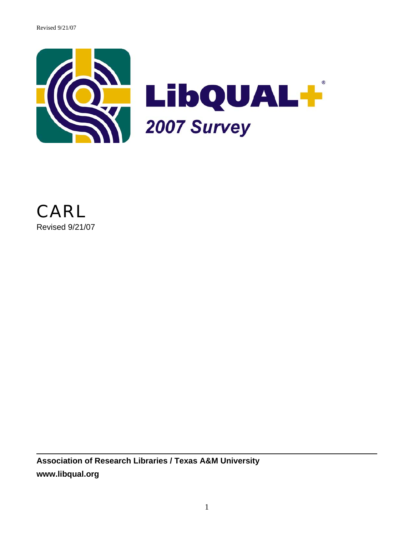Revised 9/21/07





**Association of Research Libraries / Texas A&M University www.libqual.org** 

1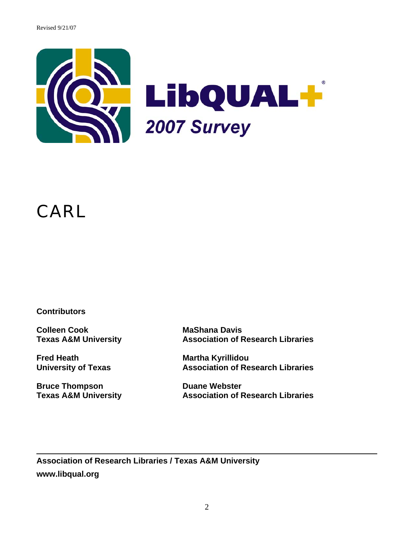Revised 9/21/07



# CARL

**Contributors** 

**Colleen Cook MaShana Davis** 

**Fred Heath Martha Kyrillidou Community** 

**Bruce Thompson Controller Controller Bruce Texas A&M University Controller Association of F** 

**Texas A&M University Association of Research Libraries** 

**University of Texas Association of Research Libraries** 

**Association of Research Libraries** 

**Association of Research Libraries / Texas A&M University www.libqual.org**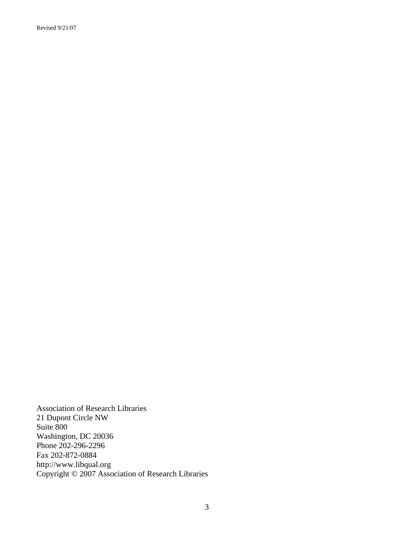Revised 9/21/07

Association of Research Libraries 21 Dupont Circle NW Suite 800 Washington, DC 20036 Phone 202-296-2296 Fax 202-872-0884 http://www.libqual.org Copyright © 2007 Association of Research Libraries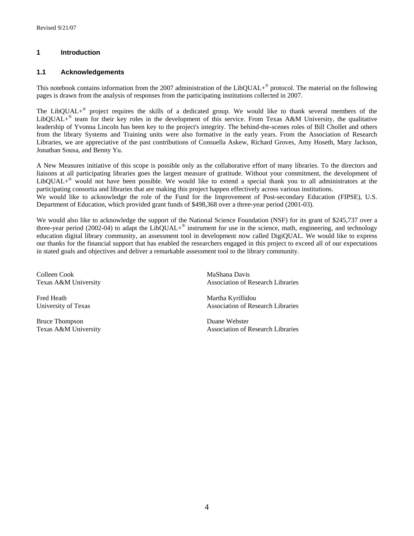# **1 Introduction**

# **1.1 Acknowledgements**

This notebook contains information from the 2007 administration of the LibQUAL $+^{\circ}$  protocol. The material on the following pages is drawn from the analysis of responses from the participating institutions collected in 2007.

The LibQUAL+® project requires the skills of a dedicated group. We would like to thank several members of the LibQUAL+® team for their key roles in the development of this service. From Texas A&M University, the qualitative leadership of Yvonna Lincoln has been key to the project's integrity. The behind-the-scenes roles of Bill Chollet and others from the library Systems and Training units were also formative in the early years. From the Association of Research Libraries, we are appreciative of the past contributions of Consuella Askew, Richard Groves, Amy Hoseth, Mary Jackson, Jonathan Sousa, and Benny Yu.

A New Measures initiative of this scope is possible only as the collaborative effort of many libraries. To the directors and liaisons at all participating libraries goes the largest measure of gratitude. Without your commitment, the development of LibQUAL $+^{\circ}$  would not have been possible. We would like to extend a special thank you to all administrators at the participating consortia and libraries that are making this project happen effectively across various institutions.

We would like to acknowledge the role of the Fund for the Improvement of Post-secondary Education (FIPSE), U.S. Department of Education, which provided grant funds of \$498,368 over a three-year period (2001-03).

We would also like to acknowledge the support of the National Science Foundation (NSF) for its grant of \$245,737 over a three-year period (2002-04) to adapt the LibQUAL+ $^{\circ}$  instrument for use in the science, math, engineering, and technology education digital library community, an assessment tool in development now called DigiQUAL. We would like to express our thanks for the financial support that has enabled the researchers engaged in this project to exceed all of our expectations in stated goals and objectives and deliver a remarkable assessment tool to the library community.

Colleen Cook MaShana Davis

Fred Heath Martha Kyrillidou

Bruce Thompson Duane Webster

Texas A&M University **Association** Christianus Association of Research Libraries

University of Texas Association of Research Libraries

Texas A&M University **Association** Association of Research Libraries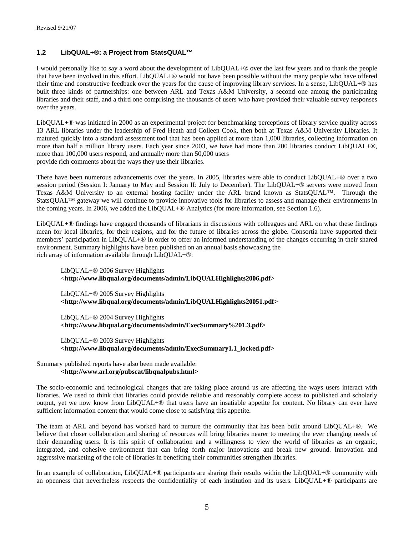# **1.2 LibQUAL+®: a Project from StatsQUAL™**

I would personally like to say a word about the development of LibQUAL+® over the last few years and to thank the people that have been involved in this effort. LibQUAL+® would not have been possible without the many people who have offered their time and constructive feedback over the years for the cause of improving library services. In a sense, LibQUAL+® has built three kinds of partnerships: one between ARL and Texas A&M University, a second one among the participating libraries and their staff, and a third one comprising the thousands of users who have provided their valuable survey responses over the years.

LibQUAL+® was initiated in 2000 as an experimental project for benchmarking perceptions of library service quality across 13 ARL libraries under the leadership of Fred Heath and Colleen Cook, then both at Texas A&M University Libraries. It matured quickly into a standard assessment tool that has been applied at more than 1,000 libraries, collecting information on more than half a million library users. Each year since 2003, we have had more than 200 libraries conduct LibQUAL+®, more than 100,000 users respond, and annually more than 50,000 users provide rich comments about the ways they use their libraries.

There have been numerous advancements over the years. In 2005, libraries were able to conduct LibQUAL+® over a two session period (Session I: January to May and Session II: July to December). The LibQUAL+® servers were moved from Texas A&M University to an external hosting facility under the ARL brand known as StatsQUAL™. Through the StatsQUAL™ gateway we will continue to provide innovative tools for libraries to assess and manage their environments in the coming years. In 2006, we added the LibQUAL+® Analytics (for more information, see Section 1.6).

LibQUAL+® findings have engaged thousands of librarians in discussions with colleagues and ARL on what these findings mean for local libraries, for their regions, and for the future of libraries across the globe. Consortia have supported their members' participation in LibQUAL+® in order to offer an informed understanding of the changes occurring in their shared environment. Summary highlights have been published on an annual basis showcasing the rich array of information available through LibQUAL+®:

LibQUAL+® 2006 Survey Highlights <**http://www.libqual.org/documents/admin/LibQUALHighlights2006.pdf**>

LibQUAL+® 2005 Survey Highlights **<http://www.libqual.org/documents/admin/LibQUALHighlights20051.pdf>** 

LibQUAL+® 2004 Survey Highlights **<http://www.libqual.org/documents/admin/ExecSummary%201.3.pdf>** 

LibQUAL+® 2003 Survey Highlights **<http://www.libqual.org/documents/admin/ExecSummary1.1\_locked.pdf>** 

Summary published reports have also been made available: **<http://www.arl.org/pubscat/libqualpubs.html>**

The socio-economic and technological changes that are taking place around us are affecting the ways users interact with libraries. We used to think that libraries could provide reliable and reasonably complete access to published and scholarly output, yet we now know from LibQUAL+® that users have an insatiable appetite for content. No library can ever have sufficient information content that would come close to satisfying this appetite.

The team at ARL and beyond has worked hard to nurture the community that has been built around LibQUAL+®. We believe that closer collaboration and sharing of resources will bring libraries nearer to meeting the ever changing needs of their demanding users. It is this spirit of collaboration and a willingness to view the world of libraries as an organic, integrated, and cohesive environment that can bring forth major innovations and break new ground. Innovation and aggressive marketing of the role of libraries in benefiting their communities strengthen libraries.

In an example of collaboration, LibQUAL+® participants are sharing their results within the LibQUAL+® community with an openness that nevertheless respects the confidentiality of each institution and its users. LibQUAL+® participants are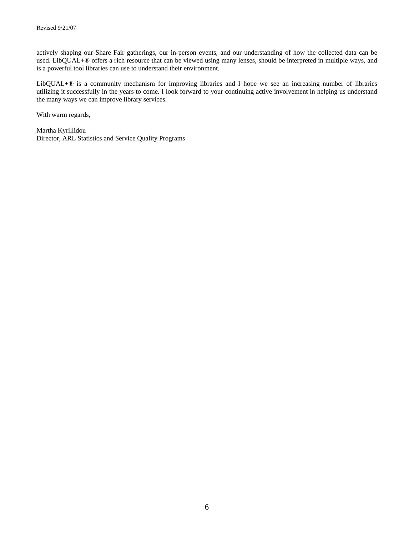actively shaping our Share Fair gatherings, our in-person events, and our understanding of how the collected data can be used. LibQUAL+® offers a rich resource that can be viewed using many lenses, should be interpreted in multiple ways, and is a powerful tool libraries can use to understand their environment.

LibQUAL+® is a community mechanism for improving libraries and I hope we see an increasing number of libraries utilizing it successfully in the years to come. I look forward to your continuing active involvement in helping us understand the many ways we can improve library services.

With warm regards,

Martha Kyrillidou Director, ARL Statistics and Service Quality Programs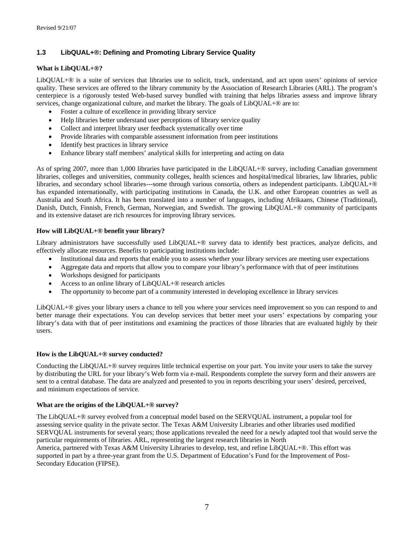# **1.3 LibQUAL+®: Defining and Promoting Library Service Quality**

# **What is LibQUAL+®?**

LibQUAL+® is a suite of services that libraries use to solicit, track, understand, and act upon users' opinions of service quality. These services are offered to the library community by the Association of Research Libraries (ARL). The program's centerpiece is a rigorously tested Web-based survey bundled with training that helps libraries assess and improve library services, change organizational culture, and market the library. The goals of LibQUAL+® are to:

- Foster a culture of excellence in providing library service
- Help libraries better understand user perceptions of library service quality
- Collect and interpret library user feedback systematically over time
- Provide libraries with comparable assessment information from peer institutions
- Identify best practices in library service
- Enhance library staff members' analytical skills for interpreting and acting on data

As of spring 2007, more than 1,000 libraries have participated in the LibQUAL+® survey, including Canadian government libraries, colleges and universities, community colleges, health sciences and hospital/medical libraries, law libraries, public libraries, and secondary school libraries---some through various consortia, others as independent participants. LibQUAL+® has expanded internationally, with participating institutions in Canada, the U.K. and other European countries as well as Australia and South Africa. It has been translated into a number of languages, including Afrikaans, Chinese (Traditional), Danish, Dutch, Finnish, French, German, Norwegian, and Swedish. The growing LibQUAL+® community of participants and its extensive dataset are rich resources for improving library services.

# **How will LibQUAL+® benefit your library?**

Library administrators have successfully used LibQUAL+<sup>®</sup> survey data to identify best practices, analyze deficits, and effectively allocate resources. Benefits to participating institutions include:

- Institutional data and reports that enable you to assess whether your library services are meeting user expectations
- Aggregate data and reports that allow you to compare your library's performance with that of peer institutions
- Workshops designed for participants
- Access to an online library of LibQUAL+® research articles
- The opportunity to become part of a community interested in developing excellence in library services

LibQUAL+® gives your library users a chance to tell you where your services need improvement so you can respond to and better manage their expectations. You can develop services that better meet your users' expectations by comparing your library's data with that of peer institutions and examining the practices of those libraries that are evaluated highly by their users.

#### **How is the LibQUAL+® survey conducted?**

Conducting the LibQUAL+® survey requires little technical expertise on your part. You invite your users to take the survey by distributing the URL for your library's Web form via e-mail. Respondents complete the survey form and their answers are sent to a central database. The data are analyzed and presented to you in reports describing your users' desired, perceived, and minimum expectations of service.

#### **What are the origins of the LibQUAL+® survey?**

The LibQUAL+® survey evolved from a conceptual model based on the SERVQUAL instrument, a popular tool for assessing service quality in the private sector. The Texas A&M University Libraries and other libraries used modified SERVQUAL instruments for several years; those applications revealed the need for a newly adapted tool that would serve the particular requirements of libraries. ARL, representing the largest research libraries in North America, partnered with Texas A&M University Libraries to develop, test, and refine LibQUAL+®. This effort was supported in part by a three-year grant from the U.S. Department of Education's Fund for the Improvement of Post-Secondary Education (FIPSE).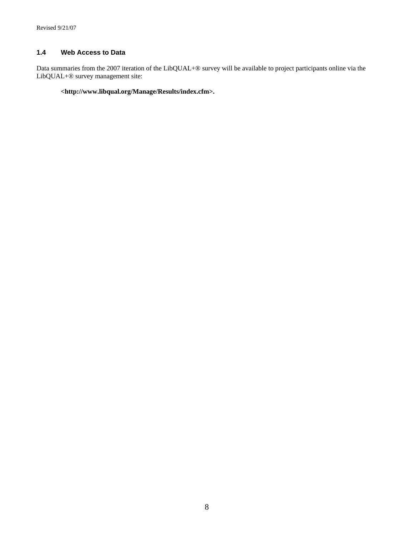# **1.4 Web Access to Data**

Data summaries from the 2007 iteration of the LibQUAL+® survey will be available to project participants online via the LibQUAL+® survey management site:

**<http://www.libqual.org/Manage/Results/index.cfm>.**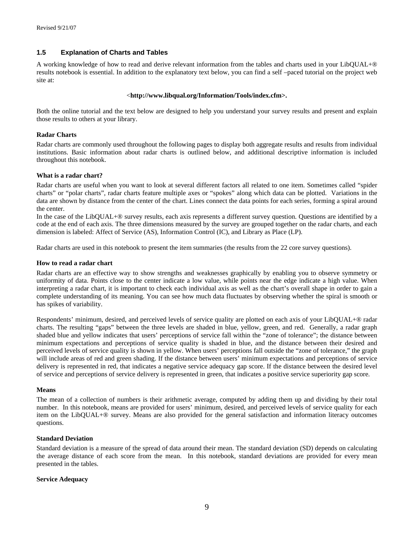# **1.5 Explanation of Charts and Tables**

A working knowledge of how to read and derive relevant information from the tables and charts used in your LibQUAL+® results notebook is essential. In addition to the explanatory text below, you can find a self –paced tutorial on the project web site at:

#### <**http://www.libqual.org/Information/Tools/index.cfm>.**

Both the online tutorial and the text below are designed to help you understand your survey results and present and explain those results to others at your library.

#### **Radar Charts**

Radar charts are commonly used throughout the following pages to display both aggregate results and results from individual institutions. Basic information about radar charts is outlined below, and additional descriptive information is included throughout this notebook.

#### **What is a radar chart?**

Radar charts are useful when you want to look at several different factors all related to one item. Sometimes called "spider charts" or "polar charts", radar charts feature multiple axes or "spokes" along which data can be plotted. Variations in the data are shown by distance from the center of the chart. Lines connect the data points for each series, forming a spiral around the center.

In the case of the LibQUAL+® survey results, each axis represents a different survey question. Questions are identified by a code at the end of each axis. The three dimensions measured by the survey are grouped together on the radar charts, and each dimension is labeled: Affect of Service (AS), Information Control (IC), and Library as Place (LP).

Radar charts are used in this notebook to present the item summaries (the results from the 22 core survey questions).

#### **How to read a radar chart**

Radar charts are an effective way to show strengths and weaknesses graphically by enabling you to observe symmetry or uniformity of data. Points close to the center indicate a low value, while points near the edge indicate a high value. When interpreting a radar chart, it is important to check each individual axis as well as the chart's overall shape in order to gain a complete understanding of its meaning. You can see how much data fluctuates by observing whether the spiral is smooth or has spikes of variability.

Respondents' minimum, desired, and perceived levels of service quality are plotted on each axis of your LibQUAL+® radar charts. The resulting "gaps" between the three levels are shaded in blue, yellow, green, and red. Generally, a radar graph shaded blue and yellow indicates that users' perceptions of service fall within the "zone of tolerance"; the distance between minimum expectations and perceptions of service quality is shaded in blue, and the distance between their desired and perceived levels of service quality is shown in yellow. When users' perceptions fall outside the "zone of tolerance," the graph will include areas of red and green shading. If the distance between users' minimum expectations and perceptions of service delivery is represented in red, that indicates a negative service adequacy gap score. If the distance between the desired level of service and perceptions of service delivery is represented in green, that indicates a positive service superiority gap score.

#### **Means**

The mean of a collection of numbers is their arithmetic average, computed by adding them up and dividing by their total number. In this notebook, means are provided for users' minimum, desired, and perceived levels of service quality for each item on the LibQUAL+® survey. Means are also provided for the general satisfaction and information literacy outcomes questions.

#### **Standard Deviation**

Standard deviation is a measure of the spread of data around their mean. The standard deviation (SD) depends on calculating the average distance of each score from the mean. In this notebook, standard deviations are provided for every mean presented in the tables.

#### **Service Adequacy**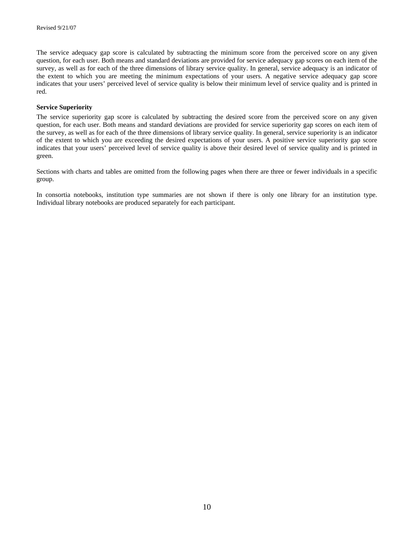The service adequacy gap score is calculated by subtracting the minimum score from the perceived score on any given question, for each user. Both means and standard deviations are provided for service adequacy gap scores on each item of the survey, as well as for each of the three dimensions of library service quality. In general, service adequacy is an indicator of the extent to which you are meeting the minimum expectations of your users. A negative service adequacy gap score indicates that your users' perceived level of service quality is below their minimum level of service quality and is printed in red.

#### **Service Superiority**

The service superiority gap score is calculated by subtracting the desired score from the perceived score on any given question, for each user. Both means and standard deviations are provided for service superiority gap scores on each item of the survey, as well as for each of the three dimensions of library service quality. In general, service superiority is an indicator of the extent to which you are exceeding the desired expectations of your users. A positive service superiority gap score indicates that your users' perceived level of service quality is above their desired level of service quality and is printed in green.

Sections with charts and tables are omitted from the following pages when there are three or fewer individuals in a specific group.

In consortia notebooks, institution type summaries are not shown if there is only one library for an institution type. Individual library notebooks are produced separately for each participant.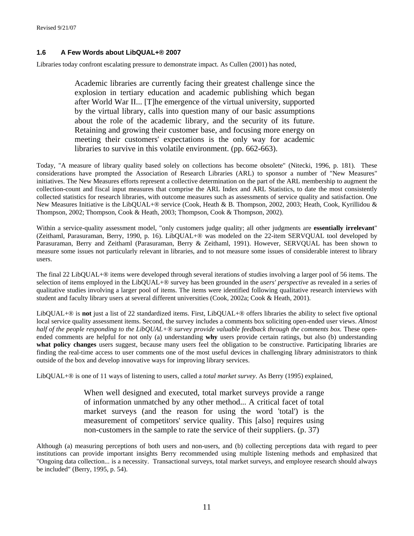# **1.6 A Few Words about LibQUAL+® 2007**

Libraries today confront escalating pressure to demonstrate impact. As Cullen (2001) has noted,

Academic libraries are currently facing their greatest challenge since the explosion in tertiary education and academic publishing which began after World War II... [T]he emergence of the virtual university, supported by the virtual library, calls into question many of our basic assumptions about the role of the academic library, and the security of its future. Retaining and growing their customer base, and focusing more energy on meeting their customers' expectations is the only way for academic libraries to survive in this volatile environment. (pp. 662-663).

Today, "A measure of library quality based solely on collections has become obsolete" (Nitecki, 1996, p. 181). These considerations have prompted the Association of Research Libraries (ARL) to sponsor a number of "New Measures" initiatives. The New Measures efforts represent a collective determination on the part of the ARL membership to augment the collection-count and fiscal input measures that comprise the ARL Index and ARL Statistics, to date the most consistently collected statistics for research libraries, with outcome measures such as assessments of service quality and satisfaction. One New Measures Initiative is the LibQUAL+® service (Cook, Heath & B. Thompson, 2002, 2003; Heath, Cook, Kyrillidou & Thompson, 2002; Thompson, Cook & Heath, 2003; Thompson, Cook & Thompson, 2002).

Within a service-quality assessment model, "only customers judge quality; all other judgments are **essentially irrelevant**" (Zeithaml, Parasuraman, Berry, 1990, p. 16). LibQUAL+® was modeled on the 22-item SERVQUAL tool developed by Parasuraman, Berry and Zeithaml (Parasuraman, Berry & Zeithaml, 1991). However, SERVQUAL has been shown to measure some issues not particularly relevant in libraries, and to not measure some issues of considerable interest to library users.

The final 22 LibQUAL+® items were developed through several iterations of studies involving a larger pool of 56 items. The selection of items employed in the LibQUAL+® survey has been grounded in the *users' perspective* as revealed in a series of qualitative studies involving a larger pool of items. The items were identified following qualitative research interviews with student and faculty library users at several different universities (Cook, 2002a; Cook & Heath, 2001).

LibQUAL+® is **not** just a list of 22 standardized items. First, LibQUAL+® offers libraries the ability to select five optional local service quality assessment items. Second, the survey includes a comments box soliciting open-ended user views. *Almost half of the people responding to the LibQUAL+® survey provide valuable feedback through the comments box.* These openended comments are helpful for not only (a) understanding **why** users provide certain ratings, but also (b) understanding **what policy changes** users suggest, because many users feel the obligation to be constructive. Participating libraries are finding the real-time access to user comments one of the most useful devices in challenging library administrators to think outside of the box and develop innovative ways for improving library services.

LibQUAL+® is one of 11 ways of listening to users, called a *total market survey*. As Berry (1995) explained,

When well designed and executed, total market surveys provide a range of information unmatched by any other method... A critical facet of total market surveys (and the reason for using the word 'total') is the measurement of competitors' service quality. This [also] requires using non-customers in the sample to rate the service of their suppliers. (p. 37)

Although (a) measuring perceptions of both users and non-users, and (b) collecting perceptions data with regard to peer institutions can provide important insights Berry recommended using multiple listening methods and emphasized that "Ongoing data collection... is a necessity. Transactional surveys, total market surveys, and employee research should always be included" (Berry, 1995, p. 54).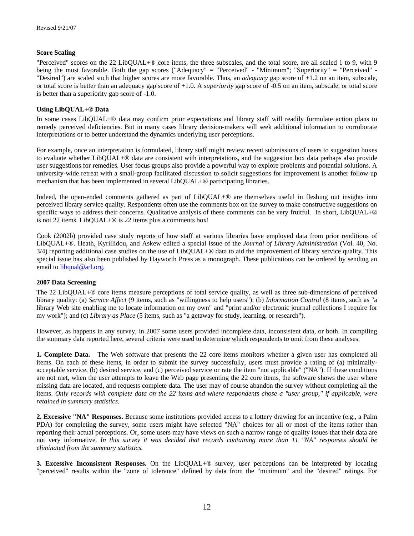#### **Score Scaling**

"Perceived" scores on the 22 LibQUAL+® core items, the three subscales, and the total score, are all scaled 1 to 9, with 9 being the most favorable. Both the gap scores ("Adequacy" = "Perceived" - "Minimum"; "Superiority" = "Perceived" - "Desired") are scaled such that higher scores are more favorable. Thus, an *adequacy* gap score of +1.2 on an item, subscale, or total score is better than an adequacy gap score of +1.0. A *superiority* gap score of -0.5 on an item, subscale, or total score is better than a superiority gap score of -1.0.

#### **Using LibQUAL+® Data**

In some cases LibQUAL+® data may confirm prior expectations and library staff will readily formulate action plans to remedy perceived deficiencies. But in many cases library decision-makers will seek additional information to corroborate interpretations or to better understand the dynamics underlying user perceptions.

For example, once an interpretation is formulated, library staff might review recent submissions of users to suggestion boxes to evaluate whether LibQUAL+® data are consistent with interpretations, and the suggestion box data perhaps also provide user suggestions for remedies. User focus groups also provide a powerful way to explore problems and potential solutions. A university-wide retreat with a small-group facilitated discussion to solicit suggestions for improvement is another follow-up mechanism that has been implemented in several LibQUAL+® participating libraries.

Indeed, the open-ended comments gathered as part of LibQUAL+® are themselves useful in fleshing out insights into perceived library service quality. Respondents often use the comments box on the survey to make constructive suggestions on specific ways to address their concerns. Qualitative analysis of these comments can be very fruitful. In short, LibQUAL+® is not 22 items. LibQUAL+® is 22 items plus a comments box!

Cook (2002b) provided case study reports of how staff at various libraries have employed data from prior renditions of LibQUAL+®. Heath, Kyrillidou, and Askew edited a special issue of the *Journal of Library Administration* (Vol. 40, No. 3/4) reporting additional case studies on the use of LibQUAL+® data to aid the improvement of library service quality. This special issue has also been published by Hayworth Press as a monograph. These publications can be ordered by sending an email to libqual@arl.org.

#### **2007 Data Screening**

The 22 LibQUAL+® core items measure perceptions of total service quality, as well as three sub-dimensions of perceived library quality: (a) *Service Affect* (9 items, such as "willingness to help users"); (b) *Information Control* (8 items, such as "a library Web site enabling me to locate information on my own" and "print and/or electronic journal collections I require for my work"); and (c) *Library as Place* (5 items, such as "a getaway for study, learning, or research").

However, as happens in any survey, in 2007 some users provided incomplete data, inconsistent data, or both. In compiling the summary data reported here, several criteria were used to determine which respondents to omit from these analyses.

**1. Complete Data.** The Web software that presents the 22 core items monitors whether a given user has completed all items. On each of these items, in order to submit the survey successfully, users must provide a rating of (a) minimallyacceptable service, (b) desired service, and (c) perceived service or rate the item "not applicable" ("NA"). If these conditions are not met, when the user attempts to leave the Web page presenting the 22 core items, the software shows the user where missing data are located, and requests complete data. The user may of course abandon the survey without completing all the items. *Only records with complete data on the 22 items and where respondents chose a "user group," if applicable, were retained in summary statistics.* 

**2. Excessive "NA" Responses.** Because some institutions provided access to a lottery drawing for an incentive (e.g., a Palm PDA) for completing the survey, some users might have selected "NA" choices for all or most of the items rather than reporting their actual perceptions. Or, some users may have views on such a narrow range of quality issues that their data are not very informative. *In this survey it was decided that records containing more than 11 "NA" responses should be eliminated from the summary statistics.* 

**3. Excessive Inconsistent Responses.** On the LibQUAL+® survey, user perceptions can be interpreted by locating "perceived" results within the "zone of tolerance" defined by data from the "minimum" and the "desired" ratings. For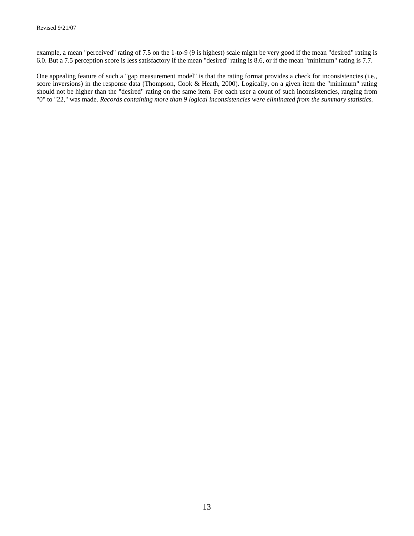example, a mean "perceived" rating of 7.5 on the 1-to-9 (9 is highest) scale might be very good if the mean "desired" rating is 6.0. But a 7.5 perception score is less satisfactory if the mean "desired" rating is 8.6, or if the mean "minimum" rating is 7.7.

One appealing feature of such a "gap measurement model" is that the rating format provides a check for inconsistencies (i.e., score inversions) in the response data (Thompson, Cook & Heath, 2000). Logically, on a given item the "minimum" rating should not be higher than the "desired" rating on the same item. For each user a count of such inconsistencies, ranging from "0" to "22," was made. *Records containing more than 9 logical inconsistencies were eliminated from the summary statistics.*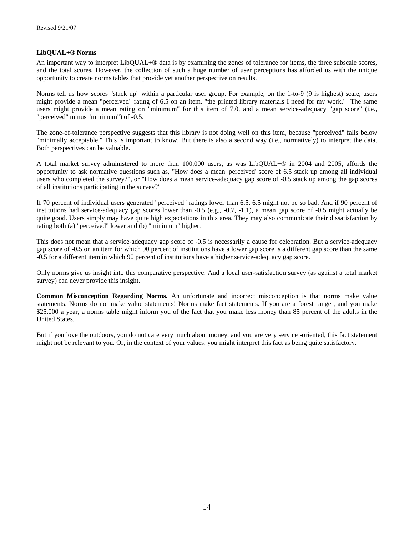#### **LibQUAL+® Norms**

An important way to interpret LibQUAL+® data is by examining the zones of tolerance for items, the three subscale scores, and the total scores. However, the collection of such a huge number of user perceptions has afforded us with the unique opportunity to create norms tables that provide yet another perspective on results.

Norms tell us how scores "stack up" within a particular user group. For example, on the 1-to-9 (9 is highest) scale, users might provide a mean "perceived" rating of 6.5 on an item, "the printed library materials I need for my work." The same users might provide a mean rating on "minimum" for this item of 7.0, and a mean service-adequacy "gap score" (i.e., "perceived" minus "minimum") of -0.5.

The zone-of-tolerance perspective suggests that this library is not doing well on this item, because "perceived" falls below "minimally acceptable." This is important to know. But there is also a second way (i.e., normatively) to interpret the data. Both perspectives can be valuable.

A total market survey administered to more than 100,000 users, as was LibQUAL+® in 2004 and 2005, affords the opportunity to ask normative questions such as, "How does a mean 'perceived' score of 6.5 stack up among all individual users who completed the survey?", or "How does a mean service-adequacy gap score of -0.5 stack up among the gap scores of all institutions participating in the survey?"

If 70 percent of individual users generated "perceived" ratings lower than 6.5, 6.5 might not be so bad. And if 90 percent of institutions had service-adequacy gap scores lower than -0.5 (e.g., -0.7, -1.1), a mean gap score of -0.5 might actually be quite good. Users simply may have quite high expectations in this area. They may also communicate their dissatisfaction by rating both (a) "perceived" lower and (b) "minimum" higher.

This does not mean that a service-adequacy gap score of -0.5 is necessarily a cause for celebration. But a service-adequacy gap score of -0.5 on an item for which 90 percent of institutions have a lower gap score is a different gap score than the same -0.5 for a different item in which 90 percent of institutions have a higher service-adequacy gap score.

Only norms give us insight into this comparative perspective. And a local user-satisfaction survey (as against a total market survey) can never provide this insight.

**Common Misconception Regarding Norms.** An unfortunate and incorrect misconception is that norms make value statements. Norms do not make value statements! Norms make fact statements. If you are a forest ranger, and you make \$25,000 a year, a norms table might inform you of the fact that you make less money than 85 percent of the adults in the United States.

But if you love the outdoors, you do not care very much about money, and you are very service -oriented, this fact statement might not be relevant to you. Or, in the context of your values, you might interpret this fact as being quite satisfactory.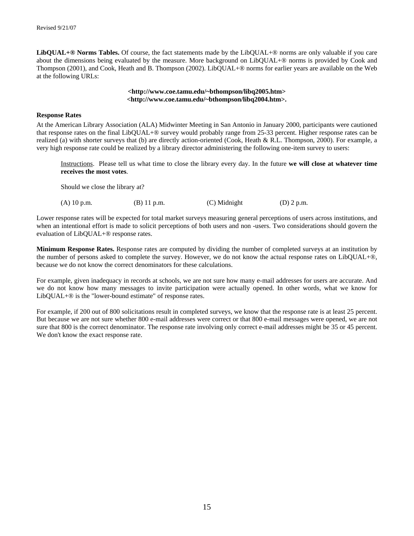**LibQUAL+® Norms Tables.** Of course, the fact statements made by the LibQUAL+® norms are only valuable if you care about the dimensions being evaluated by the measure. More background on LibQUAL+® norms is provided by Cook and Thompson (2001), and Cook, Heath and B. Thompson (2002). LibQUAL+® norms for earlier years are available on the Web at the following URLs:

#### **<http://www.coe.tamu.edu/~bthompson/libq2005.htm> <http://www.coe.tamu.edu/~bthompson/libq2004.htm>.**

#### **Response Rates**

At the American Library Association (ALA) Midwinter Meeting in San Antonio in January 2000, participants were cautioned that response rates on the final LibQUAL+® survey would probably range from 25-33 percent. Higher response rates can be realized (a) with shorter surveys that (b) are directly action-oriented (Cook, Heath & R.L. Thompson, 2000). For example, a very high response rate could be realized by a library director administering the following one-item survey to users:

Instructions. Please tell us what time to close the library every day. In the future **we will close at whatever time receives the most votes**.

Should we close the library at?

(A) 10 p.m. (B) 11 p.m. (C) Midnight (D) 2 p.m.

Lower response rates will be expected for total market surveys measuring general perceptions of users across institutions, and when an intentional effort is made to solicit perceptions of both users and non -users. Two considerations should govern the evaluation of LibQUAL+® response rates.

**Minimum Response Rates.** Response rates are computed by dividing the number of completed surveys at an institution by the number of persons asked to complete the survey. However, we do not know the actual response rates on LibQUAL+®, because we do not know the correct denominators for these calculations.

For example, given inadequacy in records at schools, we are not sure how many e-mail addresses for users are accurate. And we do not know how many messages to invite participation were actually opened. In other words, what we know for LibQUAL+® is the "lower-bound estimate" of response rates.

For example, if 200 out of 800 solicitations result in completed surveys, we know that the response rate is at least 25 percent. But because we are not sure whether 800 e-mail addresses were correct or that 800 e-mail messages were opened, we are not sure that 800 is the correct denominator. The response rate involving only correct e-mail addresses might be 35 or 45 percent. We don't know the exact response rate.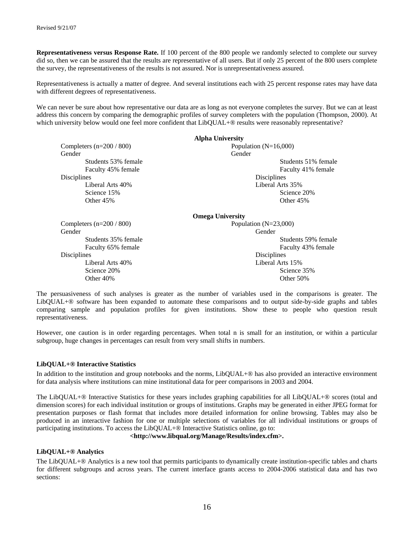**Representativeness versus Response Rate.** If 100 percent of the 800 people we randomly selected to complete our survey did so, then we can be assured that the results are representative of all users. But if only 25 percent of the 800 users complete the survey, the representativeness of the results is not assured. Nor is unrepresentativeness assured.

Representativeness is actually a matter of degree. And several institutions each with 25 percent response rates may have data with different degrees of representativeness.

We can never be sure about how representative our data are as long as not everyone completes the survey. But we can at least address this concern by comparing the demographic profiles of survey completers with the population (Thompson, 2000). At which university below would one feel more confident that LibQUAL+® results were reasonably representative?

|                          | <b>Alpha University</b> |  |  |  |
|--------------------------|-------------------------|--|--|--|
| Completers $(n=200/800)$ | Population $(N=16,000)$ |  |  |  |
| Gender                   | Gender                  |  |  |  |
| Students 53% female      | Students 51% female     |  |  |  |
| Faculty 45% female       | Faculty 41% female      |  |  |  |
| <b>Disciplines</b>       | Disciplines             |  |  |  |
| Liberal Arts 40%         | Liberal Arts 35%        |  |  |  |
| Science 15%              | Science 20%             |  |  |  |
| Other $45%$              | Other $45%$             |  |  |  |
|                          | <b>Omega University</b> |  |  |  |
| Completers $(n=200/800)$ | Population $(N=23,000)$ |  |  |  |
| Gender                   | Gender                  |  |  |  |
| Students 35% female      | Students 59% female     |  |  |  |
| Faculty 65% female       | Faculty 43% female      |  |  |  |
| Disciplines              | Disciplines             |  |  |  |
| Liberal Arts 40%         | Liberal Arts 15%        |  |  |  |
| Science 20%              | Science 35%             |  |  |  |

The persuasiveness of such analyses is greater as the number of variables used in the comparisons is greater. The LibQUAL+® software has been expanded to automate these comparisons and to output side-by-side graphs and tables comparing sample and population profiles for given institutions. Show these to people who question result representativeness.

Other 40% Other 50% Other 50%

However, one caution is in order regarding percentages. When total n is small for an institution, or within a particular subgroup, huge changes in percentages can result from very small shifts in numbers.

#### **LibQUAL+® Interactive Statistics**

In addition to the institution and group notebooks and the norms, LibQUAL+® has also provided an interactive environment for data analysis where institutions can mine institutional data for peer comparisons in 2003 and 2004.

The LibQUAL+® Interactive Statistics for these years includes graphing capabilities for all LibQUAL+® scores (total and dimension scores) for each individual institution or groups of institutions. Graphs may be generated in either JPEG format for presentation purposes or flash format that includes more detailed information for online browsing. Tables may also be produced in an interactive fashion for one or multiple selections of variables for all individual institutions or groups of participating institutions. To access the LibQUAL+® Interactive Statistics online, go to:

#### **<http://www.libqual.org/Manage/Results/index.cfm>.**

#### **LibQUAL+® Analytics**

The LibQUAL+® Analytics is a new tool that permits participants to dynamically create institution-specific tables and charts for different subgroups and across years. The current interface grants access to 2004-2006 statistical data and has two sections: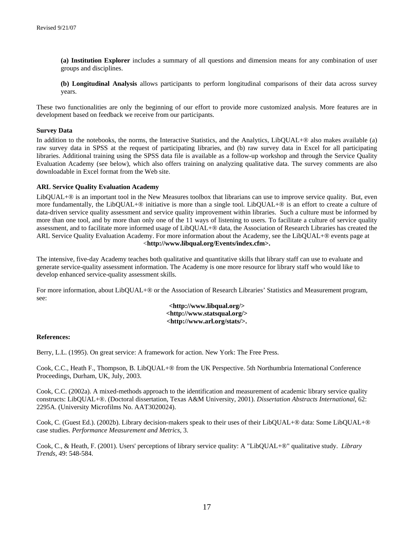**(a) Institution Explorer** includes a summary of all questions and dimension means for any combination of user groups and disciplines.

**(b) Longitudinal Analysis** allows participants to perform longitudinal comparisons of their data across survey years.

These two functionalities are only the beginning of our effort to provide more customized analysis. More features are in development based on feedback we receive from our participants.

#### **Survey Data**

In addition to the notebooks, the norms, the Interactive Statistics, and the Analytics, LibQUAL+® also makes available (a) raw survey data in SPSS at the request of participating libraries, and (b) raw survey data in Excel for all participating libraries. Additional training using the SPSS data file is available as a follow-up workshop and through the Service Quality Evaluation Academy (see below), which also offers training on analyzing qualitative data. The survey comments are also downloadable in Excel format from the Web site.

#### **ARL Service Quality Evaluation Academy**

LibQUAL+® is an important tool in the New Measures toolbox that librarians can use to improve service quality. But, even more fundamentally, the LibQUAL+® initiative is more than a single tool. LibQUAL+® is an effort to create a culture of data-driven service quality assessment and service quality improvement within libraries. Such a culture must be informed by more than one tool, and by more than only one of the 11 ways of listening to users. To facilitate a culture of service quality assessment, and to facilitate more informed usage of LibQUAL+® data, the Association of Research Libraries has created the ARL Service Quality Evaluation Academy. For more information about the Academy, see the LibQUAL+® events page at <**http://www.libqual.org/Events/index.cfm>.** 

The intensive, five-day Academy teaches both qualitative and quantitative skills that library staff can use to evaluate and generate service-quality assessment information. The Academy is one more resource for library staff who would like to develop enhanced service-quality assessment skills.

For more information, about LibQUAL+® or the Association of Research Libraries' Statistics and Measurement program, see:

#### **<http://www.libqual.org/> <http://www.statsqual.org/> <http://www.arl.org/stats/>.**

#### **References:**

Berry, L.L. (1995). On great service: A framework for action. New York: The Free Press.

Cook, C.C., Heath F., Thompson, B. LibQUAL+® from the UK Perspective. 5th Northumbria International Conference Proceedings, Durham, UK, July, 2003.

Cook, C.C. (2002a). A mixed-methods approach to the identification and measurement of academic library service quality constructs: LibQUAL+®. (Doctoral dissertation, Texas A&M University, 2001). *Dissertation Abstracts International*, 62: 2295A. (University Microfilms No. AAT3020024).

Cook, C. (Guest Ed.). (2002b). Library decision-makers speak to their uses of their LibQUAL+® data: Some LibQUAL+® case studies. *Performance Measurement and Metrics*, 3.

Cook, C., & Heath, F. (2001). Users' perceptions of library service quality: A "LibQUAL+®" qualitative study. *Library Trends*, 49: 548-584.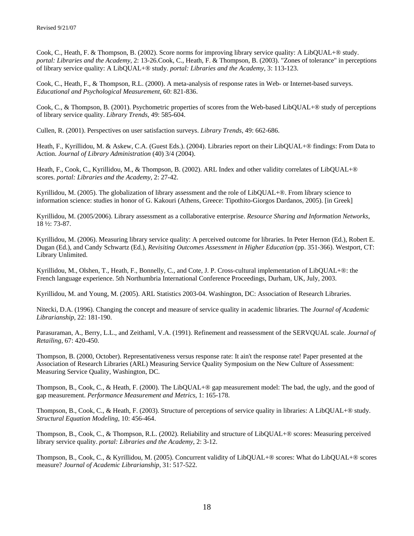Cook, C., Heath, F. & Thompson, B. (2002). Score norms for improving library service quality: A LibQUAL+® study. *portal: Libraries and the Academy*, 2: 13-26.Cook, C., Heath, F. & Thompson, B. (2003). "Zones of tolerance" in perceptions of library service quality: A LibQUAL+® study. *portal: Libraries and the Academy*, 3: 113-123.

Cook, C., Heath, F., & Thompson, R.L. (2000). A meta-analysis of response rates in Web- or Internet-based surveys. *Educational and Psychological Measurement*, 60: 821-836.

Cook, C., & Thompson, B. (2001). Psychometric properties of scores from the Web-based LibQUAL+® study of perceptions of library service quality. *Library Trends*, 49: 585-604.

Cullen, R. (2001). Perspectives on user satisfaction surveys. *Library Trends*, 49: 662-686.

Heath, F., Kyrillidou, M. & Askew, C.A. (Guest Eds.). (2004). Libraries report on their LibQUAL+® findings: From Data to Action. *Journal of Library Administration* (40) 3/4 (2004).

Heath, F., Cook, C., Kyrillidou, M., & Thompson, B. (2002). ARL Index and other validity correlates of LibQUAL+® scores. *portal: Libraries and the Academy*, 2: 27-42.

Kyrillidou, M. (2005). The globalization of library assessment and the role of LibQUAL+®. From library science to information science: studies in honor of G. Kakouri (Athens, Greece: Tipothito-Giorgos Dardanos, 2005). [in Greek]

Kyrillidou, M. (2005/2006). Library assessment as a collaborative enterprise. *Resource Sharing and Information Networks*, 18 ½: 73-87.

Kyrillidou, M. (2006). Measuring library service quality: A perceived outcome for libraries. In Peter Hernon (Ed.), Robert E. Dugan (Ed.), and Candy Schwartz (Ed.), *Revisiting Outcomes Assessment in Higher Education* (pp. 351-366). Westport, CT: Library Unlimited.

Kyrillidou, M., Olshen, T., Heath, F., Bonnelly, C., and Cote, J. P. Cross-cultural implementation of LibQUAL+®: the French language experience. 5th Northumbria International Conference Proceedings, Durham, UK, July, 2003.

Kyrillidou, M. and Young, M. (2005). ARL Statistics 2003-04. Washington, DC: Association of Research Libraries.

Nitecki, D.A. (1996). Changing the concept and measure of service quality in academic libraries. The *Journal of Academic Librarianship*, 22: 181-190.

Parasuraman, A., Berry, L.L., and Zeithaml, V.A. (1991). Refinement and reassessment of the SERVQUAL scale. *Journal of Retailing*, 67: 420-450.

Thompson, B. (2000, October). Representativeness versus response rate: It ain't the response rate! Paper presented at the Association of Research Libraries (ARL) Measuring Service Quality Symposium on the New Culture of Assessment: Measuring Service Quality, Washington, DC.

Thompson, B., Cook, C., & Heath, F. (2000). The LibQUAL+® gap measurement model: The bad, the ugly, and the good of gap measurement. *Performance Measurement and Metrics*, 1: 165-178.

Thompson, B., Cook, C., & Heath, F. (2003). Structure of perceptions of service quality in libraries: A LibQUAL+® study. *Structural Equation Modeling*, 10: 456-464.

Thompson, B., Cook, C., & Thompson, R.L. (2002). Reliability and structure of LibQUAL+® scores: Measuring perceived library service quality. *portal: Libraries and the Academy*, 2: 3-12.

Thompson, B., Cook, C., & Kyrillidou, M. (2005). Concurrent validity of LibQUAL+® scores: What do LibQUAL+® scores measure? *Journal of Academic Librarianship*, 31: 517-522.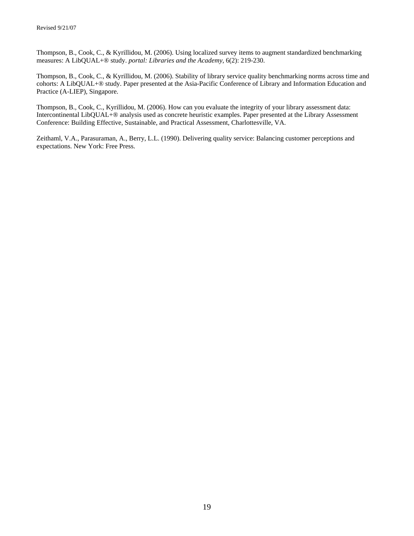Thompson, B., Cook, C., & Kyrillidou, M. (2006). Using localized survey items to augment standardized benchmarking measures: A LibQUAL+® study. *portal: Libraries and the Academy*, 6(2): 219-230.

Thompson, B., Cook, C., & Kyrillidou, M. (2006). Stability of library service quality benchmarking norms across time and cohorts: A LibQUAL+® study. Paper presented at the Asia-Pacific Conference of Library and Information Education and Practice (A-LIEP), Singapore.

Thompson, B., Cook, C., Kyrillidou, M. (2006). How can you evaluate the integrity of your library assessment data: Intercontinental LibQUAL+® analysis used as concrete heuristic examples. Paper presented at the Library Assessment Conference: Building Effective, Sustainable, and Practical Assessment, Charlottesville, VA.

Zeithaml, V.A., Parasuraman, A., Berry, L.L. (1990). Delivering quality service: Balancing customer perceptions and expectations. New York: Free Press.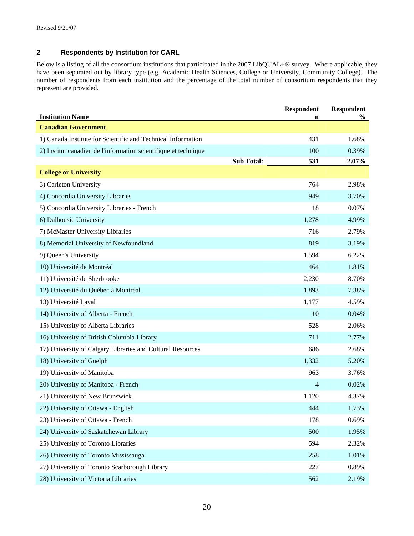# **2 Respondents by Institution for CARL**

Below is a listing of all the consortium institutions that participated in the 2007 LibQUAL+® survey. Where applicable, they have been separated out by library type (e.g. Academic Health Sciences, College or University, Community College). The number of respondents from each institution and the percentage of the total number of consortium respondents that they represent are provided.

| <b>Institution Name</b>                                         |                   | <b>Respondent</b><br>n | Respondent<br>$\%$ |
|-----------------------------------------------------------------|-------------------|------------------------|--------------------|
| <b>Canadian Government</b>                                      |                   |                        |                    |
| 1) Canada Institute for Scientific and Technical Information    |                   | 431                    | 1.68%              |
| 2) Institut canadien de l'information scientifique et technique |                   | 100                    | 0.39%              |
|                                                                 | <b>Sub Total:</b> | 531                    | 2.07%              |
| <b>College or University</b>                                    |                   |                        |                    |
| 3) Carleton University                                          |                   | 764                    | 2.98%              |
| 4) Concordia University Libraries                               |                   | 949                    | 3.70%              |
| 5) Concordia University Libraries - French                      |                   | 18                     | 0.07%              |
| 6) Dalhousie University                                         |                   | 1,278                  | 4.99%              |
| 7) McMaster University Libraries                                |                   | 716                    | 2.79%              |
| 8) Memorial University of Newfoundland                          |                   | 819                    | 3.19%              |
| 9) Queen's University                                           |                   | 1,594                  | 6.22%              |
| 10) Université de Montréal                                      |                   | 464                    | 1.81%              |
| 11) Université de Sherbrooke                                    |                   | 2,230                  | 8.70%              |
| 12) Université du Québec à Montréal                             |                   | 1,893                  | 7.38%              |
| 13) Université Laval                                            |                   | 1,177                  | 4.59%              |
| 14) University of Alberta - French                              |                   | 10                     | 0.04%              |
| 15) University of Alberta Libraries                             |                   | 528                    | 2.06%              |
| 16) University of British Columbia Library                      |                   | 711                    | 2.77%              |
| 17) University of Calgary Libraries and Cultural Resources      |                   | 686                    | 2.68%              |
| 18) University of Guelph                                        |                   | 1,332                  | 5.20%              |
| 19) University of Manitoba                                      |                   | 963                    | 3.76%              |
| 20) University of Manitoba - French                             |                   | $\overline{4}$         | 0.02%              |
| 21) University of New Brunswick                                 |                   | 1,120                  | 4.37%              |
| 22) University of Ottawa - English                              |                   | 444                    | 1.73%              |
| 23) University of Ottawa - French                               |                   | 178                    | 0.69%              |
| 24) University of Saskatchewan Library                          |                   | 500                    | 1.95%              |
| 25) University of Toronto Libraries                             |                   | 594                    | 2.32%              |
| 26) University of Toronto Mississauga                           |                   | 258                    | 1.01%              |
| 27) University of Toronto Scarborough Library                   |                   | 227                    | 0.89%              |
| 28) University of Victoria Libraries                            |                   | 562                    | 2.19%              |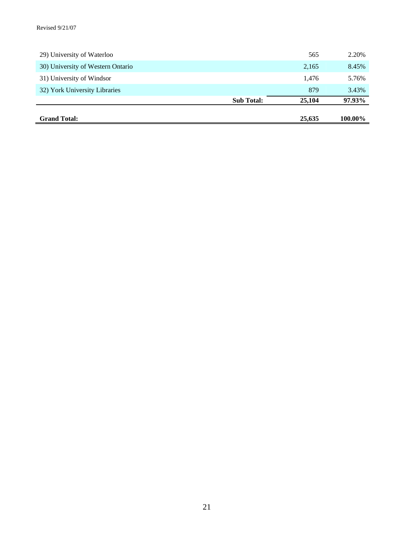| <b>Grand Total:</b>               |                   | 25,635 | 100.00% |
|-----------------------------------|-------------------|--------|---------|
|                                   | <b>Sub Total:</b> | 25,104 | 97.93%  |
| 32) York University Libraries     |                   | 879    | 3.43%   |
| 31) University of Windsor         |                   | 1.476  | 5.76%   |
| 30) University of Western Ontario |                   | 2,165  | 8.45%   |
| 29) University of Waterloo        |                   | 565    | 2.20%   |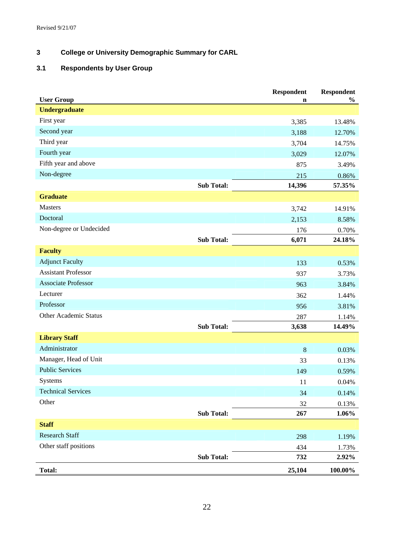# **3 College or University Demographic Summary for CARL**

# **3.1 Respondents by User Group**

|                            |                   | <b>Respondent</b> | <b>Respondent</b> |
|----------------------------|-------------------|-------------------|-------------------|
| <b>User Group</b>          |                   | $\mathbf n$       | $\frac{0}{0}$     |
| <b>Undergraduate</b>       |                   |                   |                   |
| First year                 |                   | 3,385             | 13.48%            |
| Second year                |                   | 3,188             | 12.70%            |
| Third year                 |                   | 3,704             | 14.75%            |
| Fourth year                |                   | 3,029             | 12.07%            |
| Fifth year and above       |                   | 875               | 3.49%             |
| Non-degree                 |                   | 215               | 0.86%             |
|                            | <b>Sub Total:</b> | 14,396            | 57.35%            |
| <b>Graduate</b>            |                   |                   |                   |
| Masters                    |                   | 3,742             | 14.91%            |
| Doctoral                   |                   | 2,153             | 8.58%             |
| Non-degree or Undecided    |                   | 176               | 0.70%             |
|                            | <b>Sub Total:</b> | 6,071             | 24.18%            |
| <b>Faculty</b>             |                   |                   |                   |
| <b>Adjunct Faculty</b>     |                   | 133               | 0.53%             |
| <b>Assistant Professor</b> |                   | 937               | 3.73%             |
| <b>Associate Professor</b> |                   | 963               | 3.84%             |
| Lecturer                   |                   | 362               | 1.44%             |
| Professor                  |                   | 956               | 3.81%             |
| Other Academic Status      |                   | 287               | 1.14%             |
|                            | <b>Sub Total:</b> | 3,638             | 14.49%            |
| <b>Library Staff</b>       |                   |                   |                   |
| Administrator              |                   | $8\phantom{1}$    | 0.03%             |
| Manager, Head of Unit      |                   | 33                | 0.13%             |
| <b>Public Services</b>     |                   | 149               | 0.59%             |
| Systems                    |                   | 11                | 0.04%             |
| <b>Technical Services</b>  |                   | 34                | 0.14%             |
| Other                      |                   | 32                | 0.13%             |
|                            | <b>Sub Total:</b> | 267               | 1.06%             |
| <b>Staff</b>               |                   |                   |                   |
| <b>Research Staff</b>      |                   | 298               | 1.19%             |
| Other staff positions      |                   | 434               | 1.73%             |
|                            | <b>Sub Total:</b> | 732               | 2.92%             |
| <b>Total:</b>              |                   | 25,104            | 100.00%           |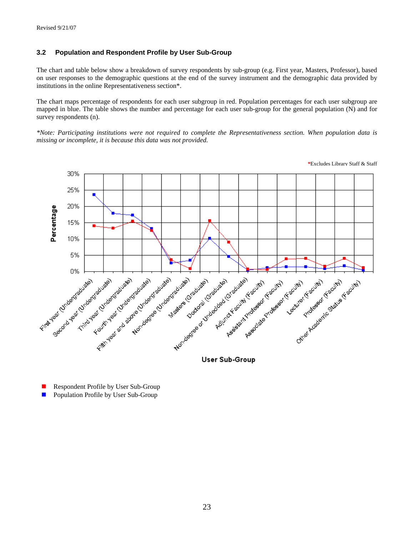# **3.2 Population and Respondent Profile by User Sub-Group**

The chart and table below show a breakdown of survey respondents by sub-group (e.g. First year, Masters, Professor), based on user responses to the demographic questions at the end of the survey instrument and the demographic data provided by institutions in the online Representativeness section\*.

The chart maps percentage of respondents for each user subgroup in red. Population percentages for each user subgroup are mapped in blue. The table shows the number and percentage for each user sub-group for the general population (N) and for survey respondents (n).

*\*Note: Participating institutions were not required to complete the Representativeness section. When population data is missing or incomplete, it is because this data was not provided.* 



Respondent Profile by User Sub-Group

**Population Profile by User Sub-Group**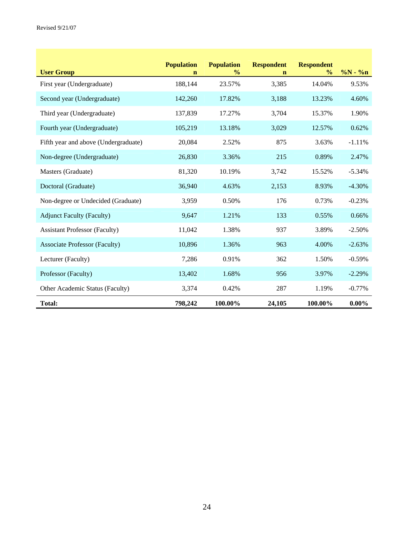| <b>User Group</b>                    | <b>Population</b><br>$\mathbf n$ | <b>Population</b><br>$\frac{0}{0}$ | <b>Respondent</b><br>$\mathbf n$ | <b>Respondent</b><br>$\frac{0}{0}$ | $\%N - \%n$ |
|--------------------------------------|----------------------------------|------------------------------------|----------------------------------|------------------------------------|-------------|
| First year (Undergraduate)           | 188,144                          | 23.57%                             | 3,385                            | 14.04%                             | 9.53%       |
| Second year (Undergraduate)          | 142,260                          | 17.82%                             | 3,188                            | 13.23%                             | 4.60%       |
| Third year (Undergraduate)           | 137,839                          | 17.27%                             | 3,704                            | 15.37%                             | 1.90%       |
| Fourth year (Undergraduate)          | 105,219                          | 13.18%                             | 3,029                            | 12.57%                             | 0.62%       |
| Fifth year and above (Undergraduate) | 20,084                           | 2.52%                              | 875                              | 3.63%                              | $-1.11%$    |
| Non-degree (Undergraduate)           | 26,830                           | 3.36%                              | 215                              | 0.89%                              | 2.47%       |
| Masters (Graduate)                   | 81,320                           | 10.19%                             | 3,742                            | 15.52%                             | $-5.34%$    |
| Doctoral (Graduate)                  | 36,940                           | 4.63%                              | 2,153                            | 8.93%                              | $-4.30%$    |
| Non-degree or Undecided (Graduate)   | 3,959                            | 0.50%                              | 176                              | 0.73%                              | $-0.23%$    |
| <b>Adjunct Faculty (Faculty)</b>     | 9,647                            | 1.21%                              | 133                              | 0.55%                              | 0.66%       |
| <b>Assistant Professor (Faculty)</b> | 11,042                           | 1.38%                              | 937                              | 3.89%                              | $-2.50%$    |
| <b>Associate Professor (Faculty)</b> | 10,896                           | 1.36%                              | 963                              | 4.00%                              | $-2.63%$    |
| Lecturer (Faculty)                   | 7,286                            | 0.91%                              | 362                              | 1.50%                              | $-0.59%$    |
| Professor (Faculty)                  | 13,402                           | 1.68%                              | 956                              | 3.97%                              | $-2.29%$    |
| Other Academic Status (Faculty)      | 3,374                            | 0.42%                              | 287                              | 1.19%                              | $-0.77%$    |
| <b>Total:</b>                        | 798,242                          | 100.00%                            | 24,105                           | 100.00%                            | $0.00\%$    |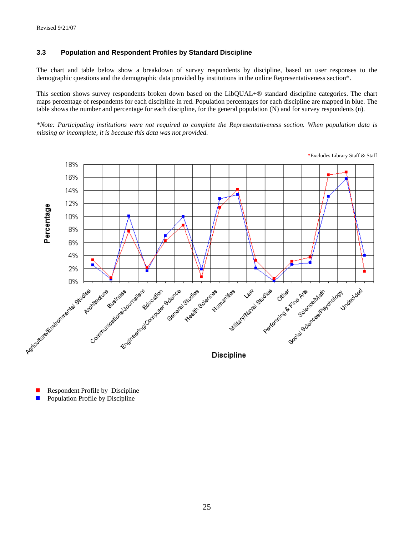# **3.3 Population and Respondent Profiles by Standard Discipline**

The chart and table below show a breakdown of survey respondents by discipline, based on user responses to the demographic questions and the demographic data provided by institutions in the online Representativeness section\*.

This section shows survey respondents broken down based on the LibQUAL+® standard discipline categories. The chart maps percentage of respondents for each discipline in red. Population percentages for each discipline are mapped in blue. The table shows the number and percentage for each discipline, for the general population (N) and for survey respondents (n).

*\*Note: Participating institutions were not required to complete the Representativeness section. When population data is missing or incomplete, it is because this data was not provided.* 



Respondent Profile by Discipline

Population Profile by Discipline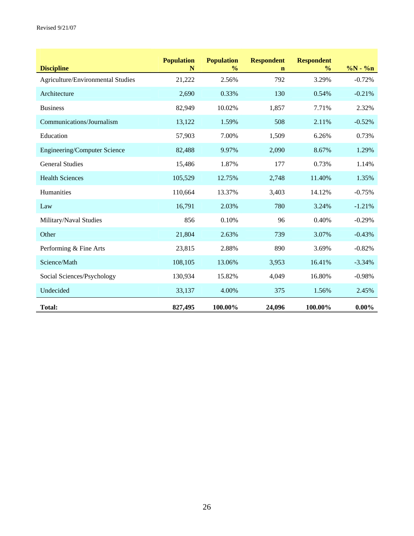| <b>Discipline</b>                 | <b>Population</b><br>N | <b>Population</b><br>$\frac{0}{0}$ | <b>Respondent</b><br>$\mathbf n$ | <b>Respondent</b><br>$\frac{0}{0}$ | $\%N - \%n$ |
|-----------------------------------|------------------------|------------------------------------|----------------------------------|------------------------------------|-------------|
| Agriculture/Environmental Studies | 21,222                 | 2.56%                              | 792                              | 3.29%                              | $-0.72%$    |
| Architecture                      | 2,690                  | 0.33%                              | 130                              | 0.54%                              | $-0.21%$    |
| <b>Business</b>                   | 82,949                 | 10.02%                             | 1,857                            | 7.71%                              | 2.32%       |
| Communications/Journalism         | 13,122                 | 1.59%                              | 508                              | 2.11%                              | $-0.52%$    |
| Education                         | 57,903                 | 7.00%                              | 1,509                            | 6.26%                              | 0.73%       |
| Engineering/Computer Science      | 82,488                 | 9.97%                              | 2,090                            | 8.67%                              | 1.29%       |
| <b>General Studies</b>            | 15,486                 | 1.87%                              | 177                              | 0.73%                              | 1.14%       |
| <b>Health Sciences</b>            | 105,529                | 12.75%                             | 2,748                            | 11.40%                             | 1.35%       |
| Humanities                        | 110,664                | 13.37%                             | 3,403                            | 14.12%                             | $-0.75%$    |
| Law                               | 16,791                 | 2.03%                              | 780                              | 3.24%                              | $-1.21%$    |
| Military/Naval Studies            | 856                    | 0.10%                              | 96                               | 0.40%                              | $-0.29%$    |
| Other                             | 21,804                 | 2.63%                              | 739                              | 3.07%                              | $-0.43%$    |
| Performing & Fine Arts            | 23,815                 | 2.88%                              | 890                              | 3.69%                              | $-0.82%$    |
| Science/Math                      | 108,105                | 13.06%                             | 3,953                            | 16.41%                             | $-3.34%$    |
| Social Sciences/Psychology        | 130,934                | 15.82%                             | 4,049                            | 16.80%                             | $-0.98%$    |
| Undecided                         | 33,137                 | 4.00%                              | 375                              | 1.56%                              | 2.45%       |
| <b>Total:</b>                     | 827,495                | 100.00%                            | 24,096                           | 100.00%                            | $0.00\%$    |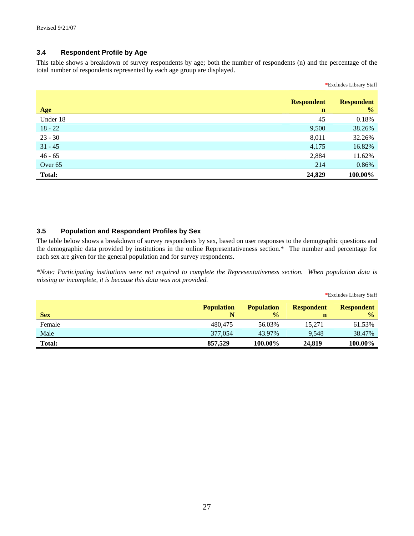# **3.4 Respondent Profile by Age**

This table shows a breakdown of survey respondents by age; both the number of respondents (n) and the percentage of the total number of respondents represented by each age group are displayed.

|               |                                  | *Excludes Library Staff            |
|---------------|----------------------------------|------------------------------------|
| Age           | <b>Respondent</b><br>$\mathbf n$ | <b>Respondent</b><br>$\frac{6}{6}$ |
| Under 18      | 45                               | 0.18%                              |
| $18 - 22$     | 9,500                            | 38.26%                             |
| $23 - 30$     | 8,011                            | 32.26%                             |
| $31 - 45$     | 4,175                            | 16.82%                             |
| $46 - 65$     | 2,884                            | 11.62%                             |
| Over 65       | 214                              | 0.86%                              |
| <b>Total:</b> | 24,829                           | 100.00%                            |

# **3.5 Population and Respondent Profiles by Sex**

The table below shows a breakdown of survey respondents by sex, based on user responses to the demographic questions and the demographic data provided by institutions in the online Representativeness section.\* The number and percentage for each sex are given for the general population and for survey respondents.

*\*Note: Participating institutions were not required to complete the Representativeness section. When population data is missing or incomplete, it is because this data was not provided.* 

|               |                   |                                    |                        | *Excludes Library Staff            |
|---------------|-------------------|------------------------------------|------------------------|------------------------------------|
| <b>Sex</b>    | <b>Population</b> | <b>Population</b><br>$\frac{0}{0}$ | <b>Respondent</b><br>n | <b>Respondent</b><br>$\frac{0}{0}$ |
| Female        | 480,475           | 56.03%                             | 15.271                 | 61.53%                             |
| Male          | 377,054           | 43.97%                             | 9.548                  | 38.47%                             |
| <b>Total:</b> | 857,529           | 100.00%                            | 24,819                 | 100.00%                            |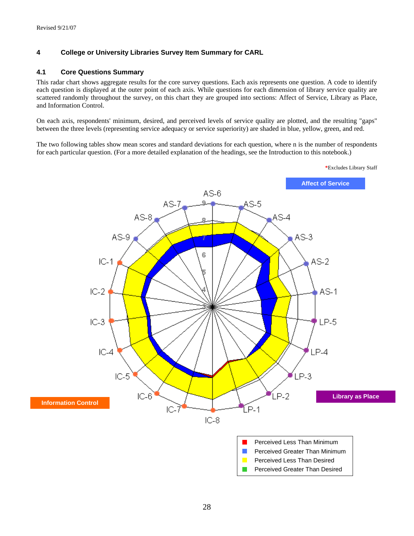# **4 College or University Libraries Survey Item Summary for CARL**

# **4.1 Core Questions Summary**

This radar chart shows aggregate results for the core survey questions. Each axis represents one question. A code to identify each question is displayed at the outer point of each axis. While questions for each dimension of library service quality are scattered randomly throughout the survey, on this chart they are grouped into sections: Affect of Service, Library as Place, and Information Control.

On each axis, respondents' minimum, desired, and perceived levels of service quality are plotted, and the resulting "gaps" between the three levels (representing service adequacy or service superiority) are shaded in blue, yellow, green, and red.

The two following tables show mean scores and standard deviations for each question, where n is the number of respondents for each particular question. (For a more detailed explanation of the headings, see the Introduction to this notebook.)



28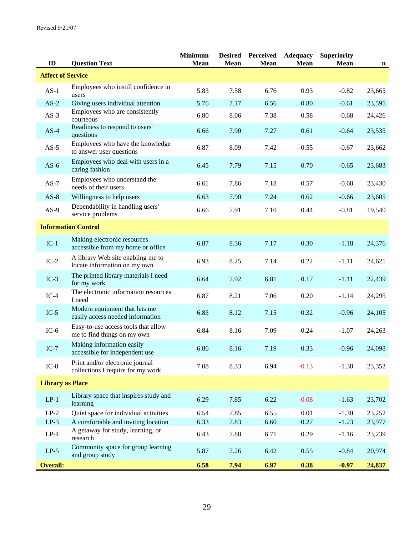| ID                       | <b>Question Text</b>                                                 | <b>Minimum</b><br><b>Mean</b> | <b>Desired</b><br><b>Mean</b> | Perceived<br><b>Mean</b> | <b>Adequacy</b><br><b>Mean</b> | <b>Superiority</b><br><b>Mean</b> | $\mathbf n$ |
|--------------------------|----------------------------------------------------------------------|-------------------------------|-------------------------------|--------------------------|--------------------------------|-----------------------------------|-------------|
| <b>Affect of Service</b> |                                                                      |                               |                               |                          |                                |                                   |             |
| $AS-1$                   | Employees who instill confidence in                                  | 5.83                          | 7.58                          | 6.76                     | 0.93                           | $-0.82$                           | 23,665      |
| $AS-2$                   | users<br>Giving users individual attention                           | 5.76                          | 7.17                          | 6.56                     | 0.80                           | $-0.61$                           | 23,595      |
| $AS-3$                   | Employees who are consistently<br>courteous                          | 6.80                          | 8.06                          | 7.38                     | 0.58                           | $-0.68$                           | 24,426      |
| $AS-4$                   | Readiness to respond to users'<br>questions                          | 6.66                          | 7.90                          | 7.27                     | 0.61                           | $-0.64$                           | 23,535      |
| $AS-5$                   | Employees who have the knowledge<br>to answer user questions         | 6.87                          | 8.09                          | 7.42                     | 0.55                           | $-0.67$                           | 23,662      |
| $AS-6$                   | Employees who deal with users in a<br>caring fashion                 | 6.45                          | 7.79                          | 7.15                     | 0.70                           | $-0.65$                           | 23,683      |
| $AS-7$                   | Employees who understand the<br>needs of their users                 | 6.61                          | 7.86                          | 7.18                     | 0.57                           | $-0.68$                           | 23,430      |
| $AS-8$                   | Willingness to help users                                            | 6.63                          | 7.90                          | 7.24                     | 0.62                           | $-0.66$                           | 23,605      |
| $AS-9$                   | Dependability in handling users'<br>service problems                 | 6.66                          | 7.91                          | 7.10                     | 0.44                           | $-0.81$                           | 19,540      |
|                          | <b>Information Control</b>                                           |                               |                               |                          |                                |                                   |             |
| $IC-1$                   | Making electronic resources<br>accessible from my home or office     | 6.87                          | 8.36                          | 7.17                     | 0.30                           | $-1.18$                           | 24,376      |
| $IC-2$                   | A library Web site enabling me to<br>locate information on my own    | 6.93                          | 8.25                          | 7.14                     | 0.22                           | $-1.11$                           | 24,621      |
| $IC-3$                   | The printed library materials I need<br>for my work                  | 6.64                          | 7.92                          | 6.81                     | 0.17                           | $-1.11$                           | 22,439      |
| $IC-4$                   | The electronic information resources<br>I need                       | 6.87                          | 8.21                          | 7.06                     | 0.20                           | $-1.14$                           | 24,295      |
| $IC-5$                   | Modern equipment that lets me<br>easily access needed information    | 6.83                          | 8.12                          | 7.15                     | 0.32                           | $-0.96$                           | 24,105      |
| $IC-6$                   | Easy-to-use access tools that allow<br>me to find things on my own   | 6.84                          | 8.16                          | 7.09                     | 0.24                           | $-1.07$                           | 24,263      |
| $IC-7$                   | Making information easily<br>accessible for independent use          | 6.86                          | 8.16                          | 7.19                     | 0.33                           | $-0.96$                           | 24,098      |
| $IC-8$                   | Print and/or electronic journal<br>collections I require for my work | 7.08                          | 8.33                          | 6.94                     | $-0.13$                        | $-1.38$                           | 23,352      |
| <b>Library as Place</b>  |                                                                      |                               |                               |                          |                                |                                   |             |
| $LP-1$                   | Library space that inspires study and<br>learning                    | 6.29                          | 7.85                          | 6.22                     | $-0.08$                        | $-1.63$                           | 23,702      |
| $LP-2$                   | Quiet space for individual activities                                | 6.54                          | 7.85                          | 6.55                     | 0.01                           | $-1.30$                           | 23,252      |
| $LP-3$                   | A comfortable and inviting location                                  | 6.33                          | 7.83                          | 6.60                     | 0.27                           | $-1.23$                           | 23,977      |
| $LP-4$                   | A getaway for study, learning, or<br>research                        | 6.43                          | 7.88                          | 6.71                     | 0.29                           | $-1.16$                           | 23,239      |
| $LP-5$                   | Community space for group learning<br>and group study                | 5.87                          | 7.26                          | 6.42                     | 0.55                           | $-0.84$                           | 20,974      |
| <b>Overall:</b>          |                                                                      | 6.58                          | 7.94                          | 6.97                     | 0.38                           | $-0.97$                           | 24,837      |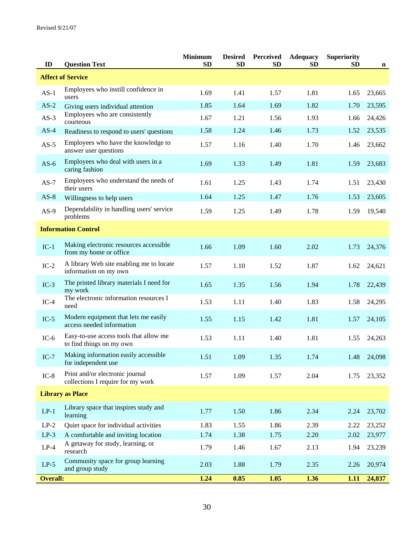| ID                      | <b>Question Text</b>                                                 | <b>Minimum</b><br><b>SD</b> | <b>Desired</b><br><b>SD</b> | Perceived<br><b>SD</b> | <b>Adequacy</b><br><b>SD</b> | <b>Superiority</b><br>SD | $\mathbf n$ |
|-------------------------|----------------------------------------------------------------------|-----------------------------|-----------------------------|------------------------|------------------------------|--------------------------|-------------|
|                         | <b>Affect of Service</b>                                             |                             |                             |                        |                              |                          |             |
| $AS-1$                  | Employees who instill confidence in<br>users                         | 1.69                        | 1.41                        | 1.57                   | 1.81                         | 1.65                     | 23,665      |
| $AS-2$                  | Giving users individual attention                                    | 1.85                        | 1.64                        | 1.69                   | 1.82                         | 1.70                     | 23,595      |
| $AS-3$                  | Employees who are consistently<br>courteous                          | 1.67                        | 1.21                        | 1.56                   | 1.93                         | 1.66                     | 24,426      |
| $AS-4$                  | Readiness to respond to users' questions                             | 1.58                        | 1.24                        | 1.46                   | 1.73                         | 1.52                     | 23,535      |
| $AS-5$                  | Employees who have the knowledge to<br>answer user questions         | 1.57                        | 1.16                        | 1.40                   | 1.70                         | 1.46                     | 23,662      |
| $AS-6$                  | Employees who deal with users in a<br>caring fashion                 | 1.69                        | 1.33                        | 1.49                   | 1.81                         | 1.59                     | 23,683      |
| $AS-7$                  | Employees who understand the needs of<br>their users                 | 1.61                        | 1.25                        | 1.43                   | 1.74                         | 1.51                     | 23,430      |
| $AS-8$                  | Willingness to help users                                            | 1.64                        | 1.25                        | 1.47                   | 1.76                         | 1.53                     | 23,605      |
| $AS-9$                  | Dependability in handling users' service<br>problems                 | 1.59                        | 1.25                        | 1.49                   | 1.78                         | 1.59                     | 19,540      |
|                         | <b>Information Control</b>                                           |                             |                             |                        |                              |                          |             |
| $IC-1$                  | Making electronic resources accessible<br>from my home or office     | 1.66                        | 1.09                        | 1.60                   | 2.02                         | 1.73                     | 24,376      |
| $IC-2$                  | A library Web site enabling me to locate<br>information on my own    | 1.57                        | 1.10                        | 1.52                   | 1.87                         | 1.62                     | 24,621      |
| $IC-3$                  | The printed library materials I need for<br>my work                  | 1.65                        | 1.35                        | 1.56                   | 1.94                         | 1.78                     | 22,439      |
| $IC-4$                  | The electronic information resources I<br>need                       | 1.53                        | 1.11                        | 1.40                   | 1.83                         | 1.58                     | 24,295      |
| $IC-5$                  | Modern equipment that lets me easily<br>access needed information    | 1.55                        | 1.15                        | 1.42                   | 1.81                         | 1.57                     | 24,105      |
| $IC-6$                  | Easy-to-use access tools that allow me<br>to find things on my own   | 1.53                        | 1.11                        | 1.40                   | 1.81                         | 1.55                     | 24,263      |
| $IC-7$                  | Making information easily accessible<br>for independent use          | 1.51                        | 1.09                        | 1.35                   | 1.74                         | 1.48                     | 24,098      |
| $IC-8$                  | Print and/or electronic journal<br>collections I require for my work | 1.57                        | 1.09                        | 1.57                   | 2.04                         | 1.75                     | 23,352      |
| <b>Library as Place</b> |                                                                      |                             |                             |                        |                              |                          |             |
| $LP-1$                  | Library space that inspires study and<br>learning                    | 1.77                        | 1.50                        | 1.86                   | 2.34                         | 2.24                     | 23,702      |
| $LP-2$                  | Quiet space for individual activities                                | 1.83                        | 1.55                        | 1.86                   | 2.39                         | 2.22                     | 23,252      |
| $LP-3$                  | A comfortable and inviting location                                  | 1.74                        | 1.38                        | 1.75                   | 2.20                         | 2.02                     | 23,977      |
| $LP-4$                  | A getaway for study, learning, or<br>research                        | 1.79                        | 1.46                        | 1.67                   | 2.13                         | 1.94                     | 23,239      |
| $LP-5$                  | Community space for group learning<br>and group study                | 2.03                        | 1.88                        | 1.79                   | 2.35                         | 2.26                     | 20,974      |
| <b>Overall:</b>         |                                                                      | 1.24                        | 0.85                        | 1.05                   | 1.36                         | 1.11                     | 24,837      |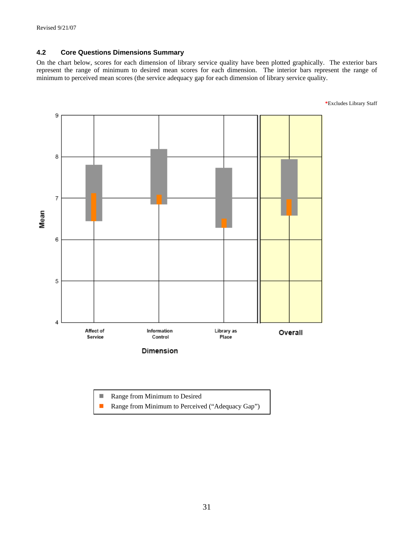# **4.2 Core Questions Dimensions Summary**

On the chart below, scores for each dimension of library service quality have been plotted graphically. The exterior bars represent the range of minimum to desired mean scores for each dimension. The interior bars represent the range of minimum to perceived mean scores (the service adequacy gap for each dimension of library service quality.



**\***Excludes Library Staff

**Range from Minimum to Desired** 

■ Range from Minimum to Perceived ("Adequacy Gap")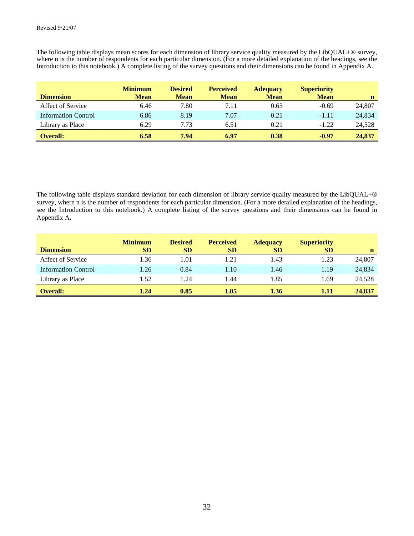The following table displays mean scores for each dimension of library service quality measured by the LibQUAL+® survey, where n is the number of respondents for each particular dimension. (For a more detailed explanation of the headings, see the Introduction to this notebook.) A complete listing of the survey questions and their dimensions can be found in Appendix A.

| <b>Dimension</b>           | <b>Minimum</b><br><b>Mean</b> | <b>Desired</b><br><b>Mean</b> | <b>Perceived</b><br><b>Mean</b> | <b>Adequacy</b><br><b>Mean</b> | <b>Superiority</b><br><b>Mean</b> | n      |
|----------------------------|-------------------------------|-------------------------------|---------------------------------|--------------------------------|-----------------------------------|--------|
| Affect of Service          | 6.46                          | 7.80                          | 7.11                            | 0.65                           | $-0.69$                           | 24,807 |
| <b>Information Control</b> | 6.86                          | 8.19                          | 7.07                            | 0.21                           | $-1.11$                           | 24,834 |
| Library as Place           | 6.29                          | 7.73                          | 6.51                            | 0.21                           | $-1.22$                           | 24,528 |
| <b>Overall:</b>            | 6.58                          | 7.94                          | 6.97                            | 0.38                           | $-0.97$                           | 24,837 |

The following table displays standard deviation for each dimension of library service quality measured by the LibQUAL+® survey, where n is the number of respondents for each particular dimension. (For a more detailed explanation of the headings, see the Introduction to this notebook.) A complete listing of the survey questions and their dimensions can be found in Appendix A.

|                            | <b>Minimum</b> | <b>Desired</b> | <b>Perceived</b> | <b>Adequacy</b> | <b>Superiority</b> |        |
|----------------------------|----------------|----------------|------------------|-----------------|--------------------|--------|
| <b>Dimension</b>           | <b>SD</b>      | <b>SD</b>      | <b>SD</b>        | <b>SD</b>       | <b>SD</b>          | n      |
| Affect of Service          | 1.36           | 1.01           | 1.21             | 1.43            | 1.23               | 24,807 |
| <b>Information Control</b> | 1.26           | 0.84           | 1.10             | 1.46            | 1.19               | 24,834 |
| Library as Place           | 1.52           | 1.24           | 1.44             | 1.85            | 1.69               | 24,528 |
| <b>Overall:</b>            | 1.24           | 0.85           | 1.05             | 1.36            | 1.11               | 24,837 |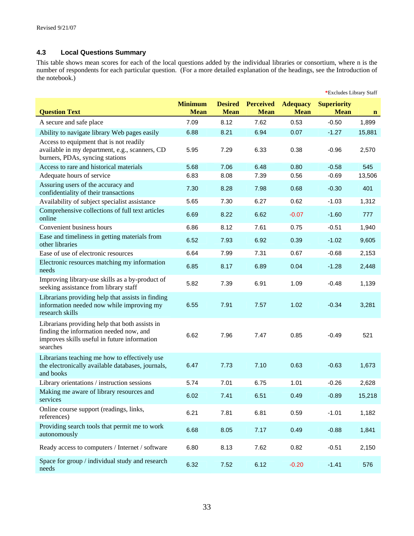# **4.3 Local Questions Summary**

This table shows mean scores for each of the local questions added by the individual libraries or consortium, where n is the number of respondents for each particular question. (For a more detailed explanation of the headings, see the Introduction of the notebook.)

|                                                                                                                                                       |                               |                               |                                 |                                |                                   | *Excludes Library Staff |
|-------------------------------------------------------------------------------------------------------------------------------------------------------|-------------------------------|-------------------------------|---------------------------------|--------------------------------|-----------------------------------|-------------------------|
| <b>Question Text</b>                                                                                                                                  | <b>Minimum</b><br><b>Mean</b> | <b>Desired</b><br><b>Mean</b> | <b>Perceived</b><br><b>Mean</b> | <b>Adequacy</b><br><b>Mean</b> | <b>Superiority</b><br><b>Mean</b> | $\mathbf n$             |
| A secure and safe place                                                                                                                               | 7.09                          | 8.12                          | 7.62                            | 0.53                           | $-0.50$                           | 1,899                   |
| Ability to navigate library Web pages easily                                                                                                          | 6.88                          | 8.21                          | 6.94                            | 0.07                           | $-1.27$                           | 15,881                  |
| Access to equipment that is not readily<br>available in my department, e.g., scanners, CD<br>burners, PDAs, syncing stations                          | 5.95                          | 7.29                          | 6.33                            | 0.38                           | $-0.96$                           | 2,570                   |
| Access to rare and historical materials                                                                                                               | 5.68                          | 7.06                          | 6.48                            | 0.80                           | $-0.58$                           | 545                     |
| Adequate hours of service                                                                                                                             | 6.83                          | 8.08                          | 7.39                            | 0.56                           | $-0.69$                           | 13,506                  |
| Assuring users of the accuracy and<br>confidentiality of their transactions                                                                           | 7.30                          | 8.28                          | 7.98                            | 0.68                           | $-0.30$                           | 401                     |
| Availability of subject specialist assistance                                                                                                         | 5.65                          | 7.30                          | 6.27                            | 0.62                           | $-1.03$                           | 1,312                   |
| Comprehensive collections of full text articles<br>online                                                                                             | 6.69                          | 8.22                          | 6.62                            | $-0.07$                        | $-1.60$                           | 777                     |
| Convenient business hours                                                                                                                             | 6.86                          | 8.12                          | 7.61                            | 0.75                           | $-0.51$                           | 1,940                   |
| Ease and timeliness in getting materials from<br>other libraries                                                                                      | 6.52                          | 7.93                          | 6.92                            | 0.39                           | $-1.02$                           | 9,605                   |
| Ease of use of electronic resources                                                                                                                   | 6.64                          | 7.99                          | 7.31                            | 0.67                           | $-0.68$                           | 2,153                   |
| Electronic resources matching my information<br>needs                                                                                                 | 6.85                          | 8.17                          | 6.89                            | 0.04                           | $-1.28$                           | 2,448                   |
| Improving library-use skills as a by-product of<br>seeking assistance from library staff                                                              | 5.82                          | 7.39                          | 6.91                            | 1.09                           | $-0.48$                           | 1,139                   |
| Librarians providing help that assists in finding<br>information needed now while improving my<br>research skills                                     | 6.55                          | 7.91                          | 7.57                            | 1.02                           | $-0.34$                           | 3,281                   |
| Librarians providing help that both assists in<br>finding the information needed now, and<br>improves skills useful in future information<br>searches | 6.62                          | 7.96                          | 7.47                            | 0.85                           | $-0.49$                           | 521                     |
| Librarians teaching me how to effectively use<br>the electronically available databases, journals,<br>and books                                       | 6.47                          | 7.73                          | 7.10                            | 0.63                           | $-0.63$                           | 1,673                   |
| Library orientations / instruction sessions                                                                                                           | 5.74                          | 7.01                          | 6.75                            | 1.01                           | $-0.26$                           | 2,628                   |
| Making me aware of library resources and<br>services                                                                                                  | 6.02                          | 7.41                          | 6.51                            | 0.49                           | $-0.89$                           | 15,218                  |
| Online course support (readings, links,<br>references)                                                                                                | 6.21                          | 7.81                          | 6.81                            | 0.59                           | $-1.01$                           | 1,182                   |
| Providing search tools that permit me to work<br>autonomously                                                                                         | 6.68                          | 8.05                          | 7.17                            | 0.49                           | $-0.88$                           | 1,841                   |
| Ready access to computers / Internet / software                                                                                                       | 6.80                          | 8.13                          | 7.62                            | 0.82                           | $-0.51$                           | 2,150                   |
| Space for group / individual study and research<br>needs                                                                                              | 6.32                          | 7.52                          | 6.12                            | $-0.20$                        | $-1.41$                           | 576                     |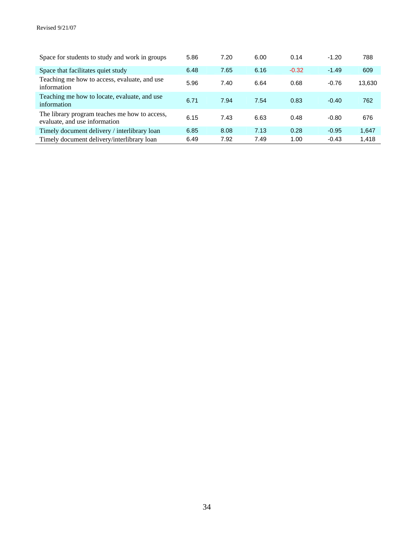| Space for students to study and work in groups                                 | 5.86 | 7.20 | 6.00 | 0.14    | $-1.20$ | 788    |
|--------------------------------------------------------------------------------|------|------|------|---------|---------|--------|
| Space that facilitates quiet study                                             | 6.48 | 7.65 | 6.16 | $-0.32$ | $-1.49$ | 609    |
| Teaching me how to access, evaluate, and use<br>information                    | 5.96 | 7.40 | 6.64 | 0.68    | $-0.76$ | 13,630 |
| Teaching me how to locate, evaluate, and use<br>information                    | 6.71 | 7.94 | 7.54 | 0.83    | $-0.40$ | 762    |
| The library program teaches me how to access,<br>evaluate, and use information | 6.15 | 7.43 | 6.63 | 0.48    | $-0.80$ | 676    |
| Timely document delivery / interlibrary loan                                   | 6.85 | 8.08 | 7.13 | 0.28    | $-0.95$ | 1.647  |
| Timely document delivery/interlibrary loan                                     | 6.49 | 7.92 | 7.49 | 1.00    | $-0.43$ | 1,418  |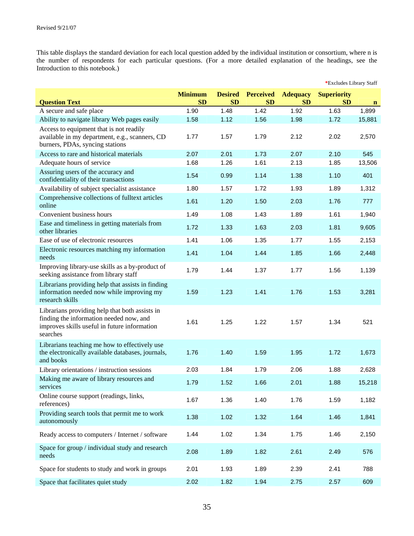This table displays the standard deviation for each local question added by the individual institution or consortium, where n is the number of respondents for each particular questions. (For a more detailed explanation of the headings, see the Introduction to this notebook.)

|                                                                                                                                                       |                             |                             |                               |                       | *Excludes Library Staff         |             |
|-------------------------------------------------------------------------------------------------------------------------------------------------------|-----------------------------|-----------------------------|-------------------------------|-----------------------|---------------------------------|-------------|
| <b>Question Text</b>                                                                                                                                  | <b>Minimum</b><br><b>SD</b> | <b>Desired</b><br><b>SD</b> | <b>Perceived</b><br><b>SD</b> | <b>Adequacy</b><br>SD | <b>Superiority</b><br><b>SD</b> | $\mathbf n$ |
| A secure and safe place                                                                                                                               | 1.90                        | 1.48                        | 1.42                          | 1.92                  | 1.63                            | 1,899       |
| Ability to navigate library Web pages easily                                                                                                          | 1.58                        | 1.12                        | 1.56                          | 1.98                  | 1.72                            | 15,881      |
| Access to equipment that is not readily<br>available in my department, e.g., scanners, CD<br>burners, PDAs, syncing stations                          | 1.77                        | 1.57                        | 1.79                          | 2.12                  | 2.02                            | 2,570       |
| Access to rare and historical materials                                                                                                               | 2.07                        | 2.01                        | 1.73                          | 2.07                  | 2.10                            | 545         |
| Adequate hours of service                                                                                                                             | 1.68                        | 1.26                        | 1.61                          | 2.13                  | 1.85                            | 13,506      |
| Assuring users of the accuracy and<br>confidentiality of their transactions                                                                           | 1.54                        | 0.99                        | 1.14                          | 1.38                  | 1.10                            | 401         |
| Availability of subject specialist assistance                                                                                                         | 1.80                        | 1.57                        | 1.72                          | 1.93                  | 1.89                            | 1,312       |
| Comprehensive collections of fulltext articles<br>online                                                                                              | 1.61                        | 1.20                        | 1.50                          | 2.03                  | 1.76                            | 777         |
| Convenient business hours                                                                                                                             | 1.49                        | 1.08                        | 1.43                          | 1.89                  | 1.61                            | 1,940       |
| Ease and timeliness in getting materials from<br>other libraries                                                                                      | 1.72                        | 1.33                        | 1.63                          | 2.03                  | 1.81                            | 9,605       |
| Ease of use of electronic resources                                                                                                                   | 1.41                        | 1.06                        | 1.35                          | 1.77                  | 1.55                            | 2,153       |
| Electronic resources matching my information<br>needs                                                                                                 | 1.41                        | 1.04                        | 1.44                          | 1.85                  | 1.66                            | 2,448       |
| Improving library-use skills as a by-product of<br>seeking assistance from library staff                                                              | 1.79                        | 1.44                        | 1.37                          | 1.77                  | 1.56                            | 1,139       |
| Librarians providing help that assists in finding<br>information needed now while improving my<br>research skills                                     | 1.59                        | 1.23                        | 1.41                          | 1.76                  | 1.53                            | 3,281       |
| Librarians providing help that both assists in<br>finding the information needed now, and<br>improves skills useful in future information<br>searches | 1.61                        | 1.25                        | 1.22                          | 1.57                  | 1.34                            | 521         |
| Librarians teaching me how to effectively use<br>the electronically available databases, journals,<br>and books                                       | 1.76                        | 1.40                        | 1.59                          | 1.95                  | 1.72                            | 1,673       |
| Library orientations / instruction sessions                                                                                                           | 2.03                        | 1.84                        | 1.79                          | 2.06                  | 1.88                            | 2,628       |
| Making me aware of library resources and<br>services                                                                                                  | 1.79                        | 1.52                        | 1.66                          | 2.01                  | 1.88                            | 15,218      |
| Online course support (readings, links,<br>references)                                                                                                | 1.67                        | 1.36                        | 1.40                          | 1.76                  | 1.59                            | 1,182       |
| Providing search tools that permit me to work<br>autonomously                                                                                         | 1.38                        | 1.02                        | 1.32                          | 1.64                  | 1.46                            | 1,841       |
| Ready access to computers / Internet / software                                                                                                       | 1.44                        | 1.02                        | 1.34                          | 1.75                  | 1.46                            | 2,150       |
| Space for group / individual study and research<br>needs                                                                                              | 2.08                        | 1.89                        | 1.82                          | 2.61                  | 2.49                            | 576         |
| Space for students to study and work in groups                                                                                                        | 2.01                        | 1.93                        | 1.89                          | 2.39                  | 2.41                            | 788         |
| Space that facilitates quiet study                                                                                                                    | 2.02                        | 1.82                        | 1.94                          | 2.75                  | 2.57                            | 609         |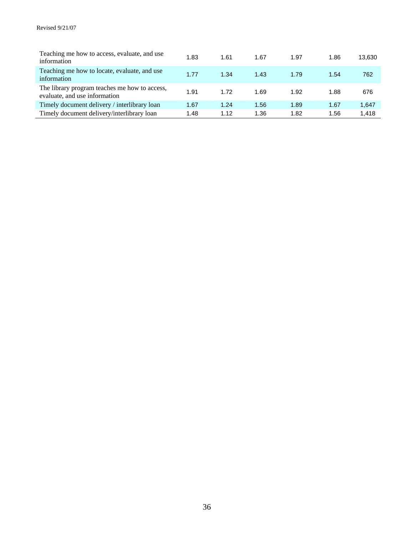| Teaching me how to access, evaluate, and use<br>information                    | 1.83 | 1.61 | 1.67 | 1.97 | 1.86 | 13.630 |
|--------------------------------------------------------------------------------|------|------|------|------|------|--------|
| Teaching me how to locate, evaluate, and use<br>information                    | 1.77 | 1.34 | 1.43 | 1.79 | 1.54 | 762    |
| The library program teaches me how to access,<br>evaluate, and use information | 1.91 | 1.72 | 1.69 | 1.92 | 1.88 | 676    |
| Timely document delivery / interlibrary loan                                   | 1.67 | 1.24 | 1.56 | 1.89 | 1.67 | 1,647  |
| Timely document delivery/interlibrary loan                                     | 1.48 | 1.12 | 1.36 | 1.82 | 1.56 | 1,418  |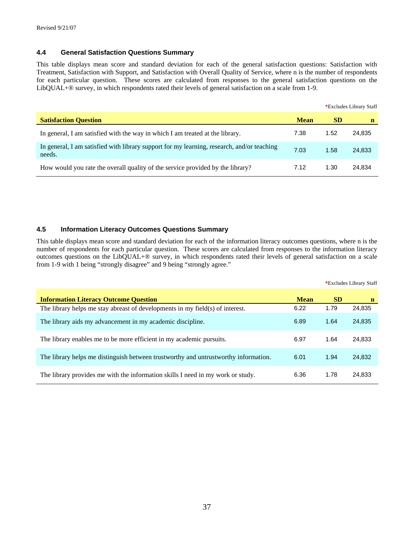# **4.4 General Satisfaction Questions Summary**

This table displays mean score and standard deviation for each of the general satisfaction questions: Satisfaction with Treatment, Satisfaction with Support, and Satisfaction with Overall Quality of Service, where n is the number of respondents for each particular question. These scores are calculated from responses to the general satisfaction questions on the LibQUAL+® survey, in which respondents rated their levels of general satisfaction on a scale from 1-9.

|                                                                                                      |             |           | *Excludes Library Staff |
|------------------------------------------------------------------------------------------------------|-------------|-----------|-------------------------|
| <b>Satisfaction Question</b>                                                                         | <b>Mean</b> | <b>SD</b> | n                       |
| In general, I am satisfied with the way in which I am treated at the library.                        | 7.38        | 1.52      | 24.835                  |
| In general, I am satisfied with library support for my learning, research, and/or teaching<br>needs. | 7.03        | 1.58      | 24.833                  |
| How would you rate the overall quality of the service provided by the library?                       | 7.12        | 1.30      | 24,834                  |

#### **4.5 Information Literacy Outcomes Questions Summary**

This table displays mean score and standard deviation for each of the information literacy outcomes questions, where n is the number of respondents for each particular question. These scores are calculated from responses to the information literacy outcomes questions on the LibQUAL+® survey, in which respondents rated their levels of general satisfaction on a scale from 1-9 with 1 being "strongly disagree" and 9 being "strongly agree."

|                                                                                     |             |           | *Excludes Library Staff |
|-------------------------------------------------------------------------------------|-------------|-----------|-------------------------|
| <b>Information Literacy Outcome Question</b>                                        | <b>Mean</b> | <b>SD</b> | n                       |
| The library helps me stay abreast of developments in my field(s) of interest.       | 6.22        | 1.79      | 24,835                  |
| The library aids my advancement in my academic discipline.                          | 6.89        | 1.64      | 24,835                  |
| The library enables me to be more efficient in my academic pursuits.                | 6.97        | 1.64      | 24.833                  |
| The library helps me distinguish between trustworthy and untrustworthy information. | 6.01        | 1.94      | 24,832                  |
| The library provides me with the information skills I need in my work or study.     | 6.36        | 1.78      | 24.833                  |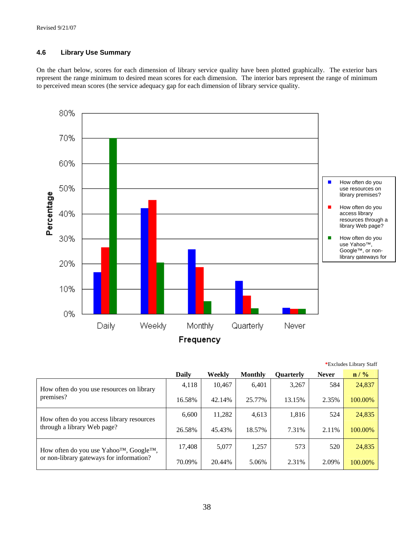# **4.6 Library Use Summary**

On the chart below, scores for each dimension of library service quality have been plotted graphically. The exterior bars represent the range minimum to desired mean scores for each dimension. The interior bars represent the range of minimum to perceived mean scores (the service adequacy gap for each dimension of library service quality.



|                                                                                   | <b>Daily</b> | <b>Weekly</b> | <b>Monthly</b> | <b>Ouarterly</b> | <b>Never</b> | n / %   |
|-----------------------------------------------------------------------------------|--------------|---------------|----------------|------------------|--------------|---------|
| How often do you use resources on library<br>premises?                            | 4,118        | 10,467        | 6,401          | 3,267            | 584          | 24,837  |
|                                                                                   | 16.58%       | 42.14%        | 25.77%         | 13.15%           | 2.35%        | 100.00% |
| How often do you access library resources                                         | 6,600        | 11,282        | 4,613          | 1,816            | 524          | 24,835  |
| through a library Web page?                                                       | 26.58%       | 45.43%        | 18.57%         | 7.31%            | 2.11%        | 100.00% |
| How often do you use Yahoo™, Google™,<br>or non-library gateways for information? | 17,408       | 5,077         | 1,257          | 573              | 520          | 24,835  |
|                                                                                   | 70.09%       | 20.44%        | 5.06%          | 2.31%            | 2.09%        | 100.00% |

**\***Excludes Library Staff

38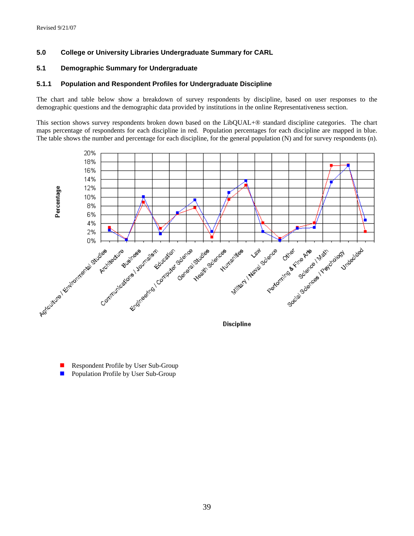## **5.0 College or University Libraries Undergraduate Summary for CARL**

### **5.1 Demographic Summary for Undergraduate**

### **5.1.1 Population and Respondent Profiles for Undergraduate Discipline**

The chart and table below show a breakdown of survey respondents by discipline, based on user responses to the demographic questions and the demographic data provided by institutions in the online Representativeness section.

This section shows survey respondents broken down based on the LibQUAL+® standard discipline categories. The chart maps percentage of respondents for each discipline in red. Population percentages for each discipline are mapped in blue. The table shows the number and percentage for each discipline, for the general population (N) and for survey respondents (n).



- Respondent Profile by User Sub-Group
- **Population Profile by User Sub-Group**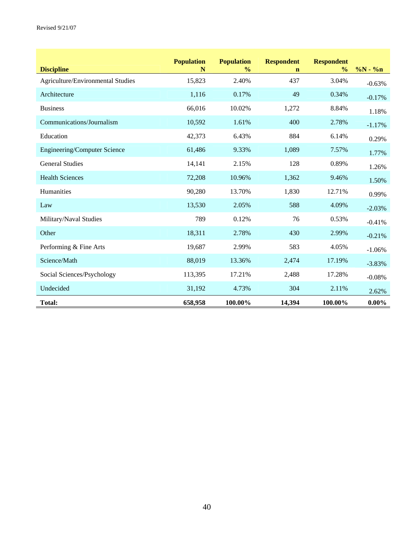|                                   | <b>Population</b> | <b>Population</b> | <b>Respondent</b> | <b>Respondent</b> |             |
|-----------------------------------|-------------------|-------------------|-------------------|-------------------|-------------|
| <b>Discipline</b>                 | N                 | $\frac{0}{0}$     | $\mathbf n$       | $\frac{6}{6}$     | $\%N - \%n$ |
| Agriculture/Environmental Studies | 15,823            | 2.40%             | 437               | 3.04%             | $-0.63%$    |
| Architecture                      | 1,116             | 0.17%             | 49                | 0.34%             | $-0.17%$    |
| <b>Business</b>                   | 66,016            | 10.02%            | 1,272             | 8.84%             | 1.18%       |
| Communications/Journalism         | 10,592            | 1.61%             | 400               | 2.78%             | $-1.17%$    |
| Education                         | 42,373            | 6.43%             | 884               | 6.14%             | 0.29%       |
| Engineering/Computer Science      | 61,486            | 9.33%             | 1,089             | 7.57%             | 1.77%       |
| <b>General Studies</b>            | 14,141            | 2.15%             | 128               | 0.89%             | 1.26%       |
| <b>Health Sciences</b>            | 72,208            | 10.96%            | 1,362             | 9.46%             | 1.50%       |
| Humanities                        | 90,280            | 13.70%            | 1,830             | 12.71%            | 0.99%       |
| Law                               | 13,530            | 2.05%             | 588               | 4.09%             | $-2.03%$    |
| Military/Naval Studies            | 789               | 0.12%             | 76                | 0.53%             | $-0.41%$    |
| Other                             | 18,311            | 2.78%             | 430               | 2.99%             | $-0.21%$    |
| Performing & Fine Arts            | 19,687            | 2.99%             | 583               | 4.05%             | $-1.06%$    |
| Science/Math                      | 88,019            | 13.36%            | 2,474             | 17.19%            | $-3.83%$    |
| Social Sciences/Psychology        | 113,395           | 17.21%            | 2,488             | 17.28%            | $-0.08%$    |
| Undecided                         | 31,192            | 4.73%             | 304               | 2.11%             | 2.62%       |
| <b>Total:</b>                     | 658,958           | 100.00%           | 14,394            | 100.00%           | $0.00\%$    |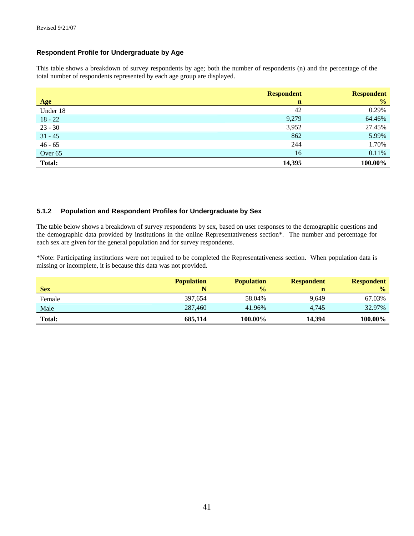## **Respondent Profile for Undergraduate by Age**

This table shows a breakdown of survey respondents by age; both the number of respondents (n) and the percentage of the total number of respondents represented by each age group are displayed.

|               | <b>Respondent</b> | <b>Respondent</b> |
|---------------|-------------------|-------------------|
| Age           | $\mathbf n$       | $\frac{1}{2}$     |
| Under 18      | 42                | 0.29%             |
| $18 - 22$     | 9,279             | 64.46%            |
| $23 - 30$     | 3,952             | 27.45%            |
| $31 - 45$     | 862               | 5.99%             |
| $46 - 65$     | 244               | 1.70%             |
| Over 65       | 16                | 0.11%             |
| <b>Total:</b> | 14,395            | 100.00%           |

### **5.1.2 Population and Respondent Profiles for Undergraduate by Sex**

The table below shows a breakdown of survey respondents by sex, based on user responses to the demographic questions and the demographic data provided by institutions in the online Representativeness section\*. The number and percentage for each sex are given for the general population and for survey respondents.

\*Note: Participating institutions were not required to be completed the Representativeness section. When population data is missing or incomplete, it is because this data was not provided.

|               | <b>Population</b> | <b>Population</b> | <b>Respondent</b> | <b>Respondent</b> |
|---------------|-------------------|-------------------|-------------------|-------------------|
| <b>Sex</b>    | N                 | $\frac{0}{0}$     |                   | $\frac{0}{0}$     |
| Female        | 397.654           | 58.04%            | 9.649             | 67.03%            |
| Male          | 287,460           | 41.96%            | 4.745             | 32.97%            |
| <b>Total:</b> | 685,114           | 100.00%           | 14.394            | 100.00%           |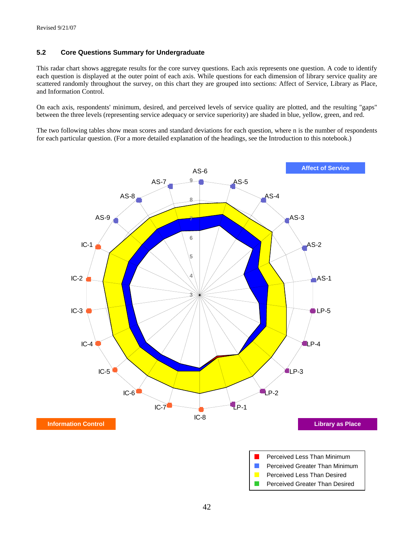### **5.2 Core Questions Summary for Undergraduate**

This radar chart shows aggregate results for the core survey questions. Each axis represents one question. A code to identify each question is displayed at the outer point of each axis. While questions for each dimension of library service quality are scattered randomly throughout the survey, on this chart they are grouped into sections: Affect of Service, Library as Place, and Information Control.

On each axis, respondents' minimum, desired, and perceived levels of service quality are plotted, and the resulting "gaps" between the three levels (representing service adequacy or service superiority) are shaded in blue, yellow, green, and red.

The two following tables show mean scores and standard deviations for each question, where n is the number of respondents for each particular question. (For a more detailed explanation of the headings, see the Introduction to this notebook.)

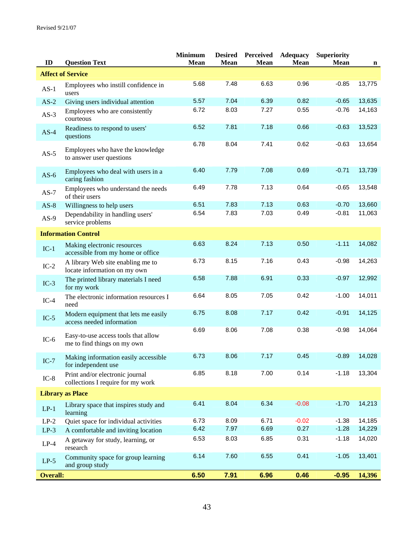| ID              | <b>Question Text</b>                                                 | <b>Minimum</b><br><b>Mean</b> | <b>Desired</b><br><b>Mean</b> | Perceived<br><b>Mean</b> | <b>Adequacy</b><br><b>Mean</b> | <b>Superiority</b><br><b>Mean</b> | $\mathbf n$ |
|-----------------|----------------------------------------------------------------------|-------------------------------|-------------------------------|--------------------------|--------------------------------|-----------------------------------|-------------|
|                 | <b>Affect of Service</b>                                             |                               |                               |                          |                                |                                   |             |
| $AS-1$          | Employees who instill confidence in<br>users                         | 5.68                          | 7.48                          | 6.63                     | 0.96                           | $-0.85$                           | 13,775      |
| $AS-2$          | Giving users individual attention                                    | 5.57                          | 7.04                          | 6.39                     | 0.82                           | $-0.65$                           | 13,635      |
| $AS-3$          | Employees who are consistently<br>courteous                          | 6.72                          | 8.03                          | 7.27                     | 0.55                           | $-0.76$                           | 14,163      |
| $AS-4$          | Readiness to respond to users'<br>questions                          | 6.52                          | 7.81                          | 7.18                     | 0.66                           | $-0.63$                           | 13,523      |
| $AS-5$          | Employees who have the knowledge<br>to answer user questions         | 6.78                          | 8.04                          | 7.41                     | 0.62                           | $-0.63$                           | 13,654      |
| $AS-6$          | Employees who deal with users in a<br>caring fashion                 | 6.40                          | 7.79                          | 7.08                     | 0.69                           | $-0.71$                           | 13,739      |
| $AS-7$          | Employees who understand the needs<br>of their users                 | 6.49                          | 7.78                          | 7.13                     | 0.64                           | $-0.65$                           | 13,548      |
| $AS-8$          | Willingness to help users                                            | 6.51                          | 7.83                          | 7.13                     | 0.63                           | $-0.70$                           | 13,660      |
| $AS-9$          | Dependability in handling users'<br>service problems                 | 6.54                          | 7.83                          | 7.03                     | 0.49                           | $-0.81$                           | 11,063      |
|                 | <b>Information Control</b>                                           |                               |                               |                          |                                |                                   |             |
| $IC-1$          | Making electronic resources<br>accessible from my home or office     | 6.63                          | 8.24                          | 7.13                     | 0.50                           | $-1.11$                           | 14,082      |
| $IC-2$          | A library Web site enabling me to<br>locate information on my own    | 6.73                          | 8.15                          | 7.16                     | 0.43                           | $-0.98$                           | 14,263      |
| $IC-3$          | The printed library materials I need<br>for my work                  | 6.58                          | 7.88                          | 6.91                     | 0.33                           | $-0.97$                           | 12,992      |
| $IC-4$          | The electronic information resources I<br>need                       | 6.64                          | 8.05                          | 7.05                     | 0.42                           | $-1.00$                           | 14,011      |
| $IC-5$          | Modern equipment that lets me easily<br>access needed information    | 6.75                          | 8.08                          | 7.17                     | 0.42                           | $-0.91$                           | 14,125      |
| $IC-6$          | Easy-to-use access tools that allow<br>me to find things on my own   | 6.69                          | 8.06                          | 7.08                     | 0.38                           | $-0.98$                           | 14,064      |
| $IC-7$          | Making information easily accessible<br>for independent use          | 6.73                          | 8.06                          | 7.17                     | 0.45                           | $-0.89$                           | 14,028      |
| $IC-8$          | Print and/or electronic journal<br>collections I require for my work | 6.85                          | 8.18                          | 7.00                     | 0.14                           | $-1.18$                           | 13,304      |
|                 | <b>Library as Place</b>                                              |                               |                               |                          |                                |                                   |             |
| $LP-1$          | Library space that inspires study and<br>learning                    | 6.41                          | 8.04                          | 6.34                     | $-0.08$                        | $-1.70$                           | 14,213      |
| $LP-2$          | Quiet space for individual activities                                | 6.73                          | 8.09                          | 6.71                     | $-0.02$                        | $-1.38$                           | 14,185      |
| $LP-3$          | A comfortable and inviting location                                  | 6.42                          | 7.97                          | 6.69                     | 0.27                           | $-1.28$                           | 14,229      |
| $LP-4$          | A getaway for study, learning, or<br>research                        | 6.53                          | 8.03                          | 6.85                     | 0.31                           | $-1.18$                           | 14,020      |
| $LP-5$          | Community space for group learning<br>and group study                | 6.14                          | 7.60                          | 6.55                     | 0.41                           | $-1.05$                           | 13,401      |
| <b>Overall:</b> |                                                                      | 6.50                          | 7.91                          | 6.96                     | 0.46                           | $-0.95$                           | 14,396      |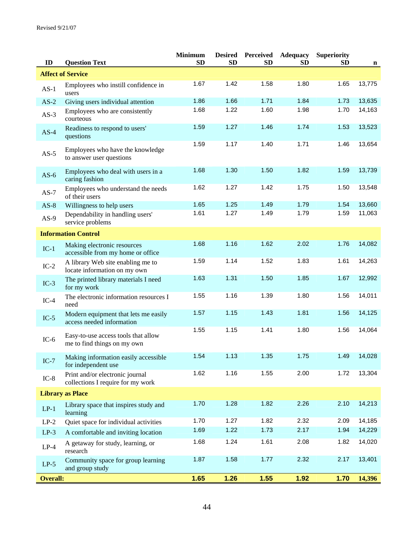| ID              | <b>Question Text</b>                                                 | <b>Minimum</b><br><b>SD</b> | <b>Desired</b><br><b>SD</b> | Perceived<br><b>SD</b> | <b>Adequacy</b><br><b>SD</b> | <b>Superiority</b><br>SD. | $\mathbf n$ |
|-----------------|----------------------------------------------------------------------|-----------------------------|-----------------------------|------------------------|------------------------------|---------------------------|-------------|
|                 | <b>Affect of Service</b>                                             |                             |                             |                        |                              |                           |             |
| $AS-1$          | Employees who instill confidence in<br>users                         | 1.67                        | 1.42                        | 1.58                   | 1.80                         | 1.65                      | 13,775      |
| $AS-2$          | Giving users individual attention                                    | 1.86                        | 1.66                        | 1.71                   | 1.84                         | 1.73                      | 13,635      |
| $AS-3$          | Employees who are consistently<br>courteous                          | 1.68                        | 1.22                        | 1.60                   | 1.98                         | 1.70                      | 14,163      |
| $AS-4$          | Readiness to respond to users'<br>questions                          | 1.59                        | 1.27                        | 1.46                   | 1.74                         | 1.53                      | 13,523      |
| $AS-5$          | Employees who have the knowledge<br>to answer user questions         | 1.59                        | 1.17                        | 1.40                   | 1.71                         | 1.46                      | 13,654      |
| $AS-6$          | Employees who deal with users in a<br>caring fashion                 | 1.68                        | 1.30                        | 1.50                   | 1.82                         | 1.59                      | 13,739      |
| $AS-7$          | Employees who understand the needs<br>of their users                 | 1.62                        | 1.27                        | 1.42                   | 1.75                         | 1.50                      | 13,548      |
| $AS-8$          | Willingness to help users                                            | 1.65                        | 1.25                        | 1.49                   | 1.79                         | 1.54                      | 13,660      |
| $AS-9$          | Dependability in handling users'<br>service problems                 | 1.61                        | 1.27                        | 1.49                   | 1.79                         | 1.59                      | 11,063      |
|                 | <b>Information Control</b>                                           |                             |                             |                        |                              |                           |             |
| $IC-1$          | Making electronic resources<br>accessible from my home or office     | 1.68                        | 1.16                        | 1.62                   | 2.02                         | 1.76                      | 14,082      |
| $IC-2$          | A library Web site enabling me to<br>locate information on my own    | 1.59                        | 1.14                        | 1.52                   | 1.83                         | 1.61                      | 14,263      |
| $IC-3$          | The printed library materials I need<br>for my work                  | 1.63                        | 1.31                        | 1.50                   | 1.85                         | 1.67                      | 12,992      |
| $IC-4$          | The electronic information resources I<br>need                       | 1.55                        | 1.16                        | 1.39                   | 1.80                         | 1.56                      | 14,011      |
| $IC-5$          | Modern equipment that lets me easily<br>access needed information    | 1.57                        | 1.15                        | 1.43                   | 1.81                         | 1.56                      | 14,125      |
| $IC-6$          | Easy-to-use access tools that allow<br>me to find things on my own   | 1.55                        | 1.15                        | 1.41                   | 1.80                         | 1.56                      | 14,064      |
| $IC-7$          | Making information easily accessible<br>for independent use          | 1.54                        | 1.13                        | 1.35                   | 1.75                         | 1.49                      | 14,028      |
| $IC-8$          | Print and/or electronic journal<br>collections I require for my work | 1.62                        | 1.16                        | 1.55                   | 2.00                         | 1.72                      | 13,304      |
|                 | <b>Library as Place</b>                                              |                             |                             |                        |                              |                           |             |
| $LP-1$          | Library space that inspires study and<br>learning                    | 1.70                        | 1.28                        | 1.82                   | 2.26                         | 2.10                      | 14,213      |
| $LP-2$          | Quiet space for individual activities                                | 1.70                        | 1.27                        | 1.82                   | 2.32                         | 2.09                      | 14,185      |
| $LP-3$          | A comfortable and inviting location                                  | 1.69                        | 1.22                        | 1.73                   | 2.17                         | 1.94                      | 14,229      |
| $LP-4$          | A getaway for study, learning, or<br>research                        | 1.68                        | 1.24                        | 1.61                   | 2.08                         | 1.82                      | 14,020      |
| $LP-5$          | Community space for group learning<br>and group study                | 1.87                        | 1.58                        | 1.77                   | 2.32                         | 2.17                      | 13,401      |
| <b>Overall:</b> |                                                                      | 1.65                        | $1.26$                      | 1.55                   | 1.92                         | 1.70                      | 14,396      |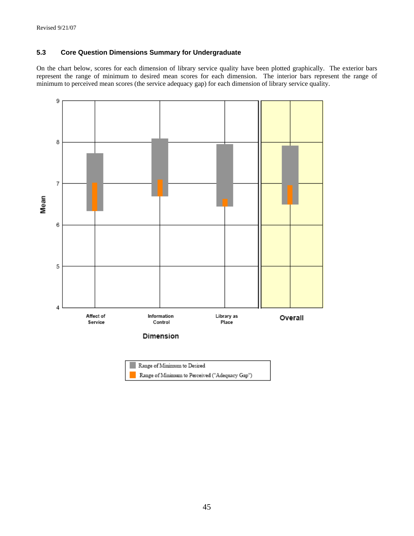# **5.3 Core Question Dimensions Summary for Undergraduate**

On the chart below, scores for each dimension of library service quality have been plotted graphically. The exterior bars represent the range of minimum to desired mean scores for each dimension. The interior bars represent the range of minimum to perceived mean scores (the service adequacy gap) for each dimension of library service quality.

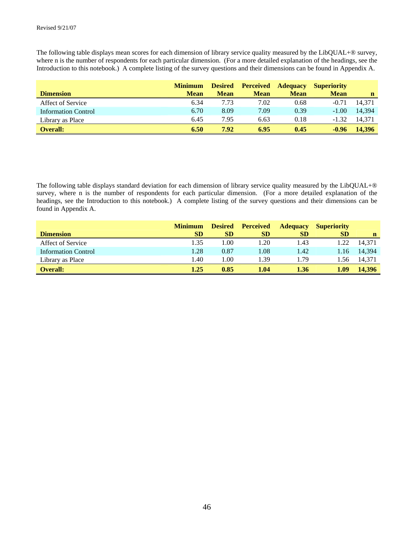The following table displays mean scores for each dimension of library service quality measured by the LibQUAL+® survey, where n is the number of respondents for each particular dimension. (For a more detailed explanation of the headings, see the Introduction to this notebook.) A complete listing of the survey questions and their dimensions can be found in Appendix A.

| <b>Dimension</b>           | <b>Minimum</b><br><b>Mean</b> | <b>Mean</b> | <b>Desired Perceived</b><br><b>Mean</b> | <b>Adequacy</b><br><b>Mean</b> | <b>Superiority</b><br><b>Mean</b> | n      |
|----------------------------|-------------------------------|-------------|-----------------------------------------|--------------------------------|-----------------------------------|--------|
| Affect of Service          | 6.34                          | 7.73        | 7.02                                    | 0.68                           | $-0.71$                           | 14.371 |
| <b>Information Control</b> | 6.70                          | 8.09        | 7.09                                    | 0.39                           | $-1.00$                           | 14.394 |
| Library as Place           | 6.45                          | 7.95        | 6.63                                    | 0.18                           | $-1.32$                           | 14.371 |
| <b>Overall:</b>            | 6.50                          | 7.92        | 6.95                                    | 0.45                           | $-0.96$                           | 14.396 |

The following table displays standard deviation for each dimension of library service quality measured by the LibQUAL+® survey, where n is the number of respondents for each particular dimension. (For a more detailed explanation of the headings, see the Introduction to this notebook.) A complete listing of the survey questions and their dimensions can be found in Appendix A.

|                            | <b>Minimum</b> | <b>Desired</b> | <b>Perceived</b> | <b>Adequacy</b> | <b>Superiority</b> |        |
|----------------------------|----------------|----------------|------------------|-----------------|--------------------|--------|
| <b>Dimension</b>           | <b>SD</b>      | <b>SD</b>      | <b>SD</b>        | <b>SD</b>       | <b>SD</b>          | n      |
| Affect of Service          | 1.35           | 1.00           | l.20             | 1.43            | 1.22               | 14,371 |
| <b>Information Control</b> | 1.28           | 0.87           | 1.08             | 1.42            | 1.16               | 14,394 |
| Library as Place           | 1.40           | 1.00           | 1.39             | 1.79            | 1.56               | 14,371 |
| <b>Overall:</b>            | 1.25           | 0.85           | 1.04             | 1.36            | 1.09               | 14,396 |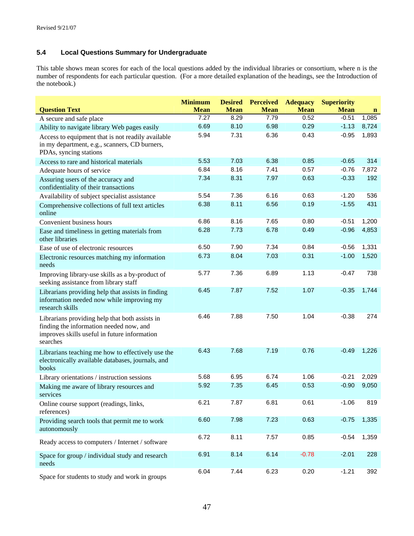# **5.4 Local Questions Summary for Undergraduate**

This table shows mean scores for each of the local questions added by the individual libraries or consortium, where n is the number of respondents for each particular question. (For a more detailed explanation of the headings, see the Introduction of the notebook.)

|                                                                                                                                                       | <b>Minimum</b> | <b>Desired</b> | <b>Perceived</b> | <b>Adequacy</b> | <b>Superiority</b> |             |
|-------------------------------------------------------------------------------------------------------------------------------------------------------|----------------|----------------|------------------|-----------------|--------------------|-------------|
| <b>Question Text</b>                                                                                                                                  | <b>Mean</b>    | <b>Mean</b>    | <b>Mean</b>      | <b>Mean</b>     | <b>Mean</b>        | $\mathbf n$ |
| A secure and safe place                                                                                                                               | 7.27           | 8.29           | 7.79             | 0.52            | $-0.51$            | 1,085       |
| Ability to navigate library Web pages easily                                                                                                          | 6.69           | 8.10           | 6.98             | 0.29            | $-1.13$            | 8,724       |
| Access to equipment that is not readily available                                                                                                     | 5.94           | 7.31           | 6.36             | 0.43            | $-0.95$            | 1,893       |
| in my department, e.g., scanners, CD burners,<br>PDAs, syncing stations                                                                               |                |                |                  |                 |                    |             |
| Access to rare and historical materials                                                                                                               | 5.53           | 7.03           | 6.38             | 0.85            | $-0.65$            | 314         |
| Adequate hours of service                                                                                                                             | 6.84           | 8.16           | 7.41             | 0.57            | $-0.76$            | 7,872       |
| Assuring users of the accuracy and<br>confidentiality of their transactions                                                                           | 7.34           | 8.31           | 7.97             | 0.63            | $-0.33$            | 192         |
| Availability of subject specialist assistance                                                                                                         | 5.54           | 7.36           | 6.16             | 0.63            | $-1.20$            | 536         |
| Comprehensive collections of full text articles<br>online                                                                                             | 6.38           | 8.11           | 6.56             | 0.19            | $-1.55$            | 431         |
| Convenient business hours                                                                                                                             | 6.86           | 8.16           | 7.65             | 0.80            | $-0.51$            | 1,200       |
| Ease and timeliness in getting materials from<br>other libraries                                                                                      | 6.28           | 7.73           | 6.78             | 0.49            | $-0.96$            | 4,853       |
| Ease of use of electronic resources                                                                                                                   | 6.50           | 7.90           | 7.34             | 0.84            | $-0.56$            | 1,331       |
| Electronic resources matching my information<br>needs                                                                                                 | 6.73           | 8.04           | 7.03             | 0.31            | $-1.00$            | 1,520       |
| Improving library-use skills as a by-product of<br>seeking assistance from library staff                                                              | 5.77           | 7.36           | 6.89             | 1.13            | $-0.47$            | 738         |
| Librarians providing help that assists in finding<br>information needed now while improving my<br>research skills                                     | 6.45           | 7.87           | 7.52             | 1.07            | $-0.35$            | 1,744       |
| Librarians providing help that both assists in<br>finding the information needed now, and<br>improves skills useful in future information<br>searches | 6.46           | 7.88           | 7.50             | 1.04            | $-0.38$            | 274         |
| Librarians teaching me how to effectively use the<br>electronically available databases, journals, and<br>books                                       | 6.43           | 7.68           | 7.19             | 0.76            | $-0.49$            | 1,226       |
| Library orientations / instruction sessions                                                                                                           | 5.68           | 6.95           | 6.74             | 1.06            | $-0.21$            | 2,029       |
| Making me aware of library resources and<br>services                                                                                                  | 5.92           | 7.35           | 6.45             | 0.53            | $-0.90$            | 9,050       |
| Online course support (readings, links,<br>references)                                                                                                | 6.21           | 7.87           | 6.81             | 0.61            | $-1.06$            | 819         |
| Providing search tools that permit me to work<br>autonomously                                                                                         | 6.60           | 7.98           | 7.23             | 0.63            | $-0.75$            | 1,335       |
| Ready access to computers / Internet / software                                                                                                       | 6.72           | 8.11           | 7.57             | 0.85            | $-0.54$            | 1,359       |
| Space for group / individual study and research<br>needs                                                                                              | 6.91           | 8.14           | 6.14             | $-0.78$         | $-2.01$            | 228         |
| Space for students to study and work in groups                                                                                                        | 6.04           | 7.44           | 6.23             | 0.20            | $-1.21$            | 392         |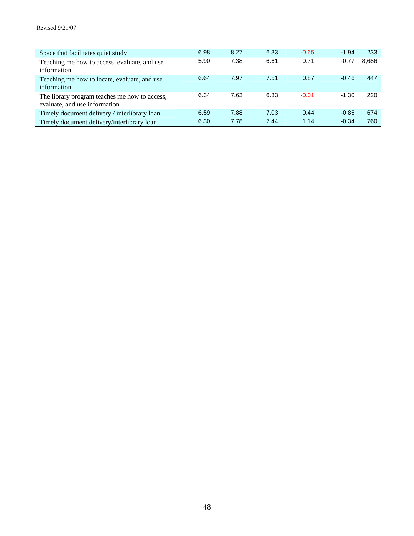| Space that facilitates quiet study                                             | 6.98 | 8.27 | 6.33 | $-0.65$ | $-1.94$ | -233  |
|--------------------------------------------------------------------------------|------|------|------|---------|---------|-------|
| Teaching me how to access, evaluate, and use<br>information                    | 5.90 | 7.38 | 6.61 | 0.71    | $-0.77$ | 8.686 |
| Teaching me how to locate, evaluate, and use<br>information                    | 6.64 | 7.97 | 7.51 | 0.87    | $-0.46$ | 447   |
| The library program teaches me how to access,<br>evaluate, and use information | 6.34 | 7.63 | 6.33 | $-0.01$ | $-1.30$ | 220   |
| Timely document delivery / interlibrary loan                                   | 6.59 | 7.88 | 7.03 | 0.44    | $-0.86$ | 674   |
| Timely document delivery/interlibrary loan                                     | 6.30 | 7.78 | 7.44 | 1.14    | $-0.34$ | 760   |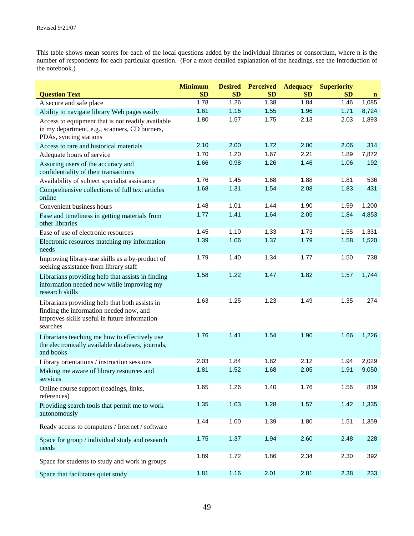This table shows mean scores for each of the local questions added by the individual libraries or consortium, where n is the number of respondents for each particular question. (For a more detailed explanation of the headings, see the Introduction of the notebook.)

| <b>Question Text</b>                                                                                                                                  | <b>Minimum</b><br><b>SD</b> | <b>Desired</b><br><b>SD</b> | <b>Perceived</b><br><b>SD</b> | <b>Adequacy</b><br><b>SD</b> | <b>Superiority</b><br><b>SD</b> | $\mathbf n$ |
|-------------------------------------------------------------------------------------------------------------------------------------------------------|-----------------------------|-----------------------------|-------------------------------|------------------------------|---------------------------------|-------------|
| A secure and safe place                                                                                                                               | 1.78                        | 1.26                        | 1.38                          | 1.84                         | 1.46                            | 1,085       |
| Ability to navigate library Web pages easily                                                                                                          | 1.61                        | 1.16                        | 1.55                          | 1.96                         | 1.71                            | 8,724       |
| Access to equipment that is not readily available<br>in my department, e.g., scanners, CD burners,<br>PDAs, syncing stations                          | 1.80                        | 1.57                        | 1.75                          | 2.13                         | 2.03                            | 1,893       |
| Access to rare and historical materials                                                                                                               | 2.10                        | 2.00                        | 1.72                          | 2.00                         | 2.06                            | 314         |
| Adequate hours of service                                                                                                                             | 1.70                        | 1.20                        | 1.67                          | 2.21                         | 1.89                            | 7,872       |
| Assuring users of the accuracy and<br>confidentiality of their transactions                                                                           | 1.66                        | 0.98                        | 1.26                          | 1.46                         | 1.06                            | 192         |
| Availability of subject specialist assistance                                                                                                         | 1.76                        | 1.45                        | 1.68                          | 1.88                         | 1.81                            | 536         |
| Comprehensive collections of full text articles<br>online                                                                                             | 1.68                        | 1.31                        | 1.54                          | 2.08                         | 1.83                            | 431         |
| Convenient business hours                                                                                                                             | 1.48                        | 1.01                        | 1.44                          | 1.90                         | 1.59                            | 1,200       |
| Ease and timeliness in getting materials from<br>other libraries                                                                                      | 1.77                        | 1.41                        | 1.64                          | 2.05                         | 1.84                            | 4,853       |
| Ease of use of electronic resources                                                                                                                   | 1.45                        | 1.10                        | 1.33                          | 1.73                         | 1.55                            | 1,331       |
| Electronic resources matching my information<br>needs                                                                                                 | 1.39                        | 1.06                        | 1.37                          | 1.79                         | 1.58                            | 1,520       |
| Improving library-use skills as a by-product of<br>seeking assistance from library staff                                                              | 1.79                        | 1.40                        | 1.34                          | 1.77                         | 1.50                            | 738         |
| Librarians providing help that assists in finding<br>information needed now while improving my<br>research skills                                     | 1.58                        | 1.22                        | 1.47                          | 1.82                         | 1.57                            | 1,744       |
| Librarians providing help that both assists in<br>finding the information needed now, and<br>improves skills useful in future information<br>searches | 1.63                        | 1.25                        | 1.23                          | 1.49                         | 1.35                            | 274         |
| Librarians teaching me how to effectively use<br>the electronically available databases, journals,<br>and books                                       | 1.76                        | 1.41                        | 1.54                          | 1.90                         | 1.66                            | 1,226       |
| Library orientations / instruction sessions                                                                                                           | 2.03                        | 1.84                        | 1.82                          | 2.12                         | 1.94                            | 2,029       |
| Making me aware of library resources and<br>services                                                                                                  | 1.81                        | 1.52                        | 1.68                          | 2.05                         | 1.91                            | 9,050       |
| Online course support (readings, links,<br>references)                                                                                                | 1.65                        | 1.26                        | 1.40                          | 1.76                         | 1.56                            | 819         |
| Providing search tools that permit me to work<br>autonomously                                                                                         | 1.35                        | 1.03                        | 1.28                          | 1.57                         | 1.42                            | 1,335       |
| Ready access to computers / Internet / software                                                                                                       | 1.44                        | 1.00                        | 1.39                          | 1.80                         | 1.51                            | 1,359       |
| Space for group / individual study and research<br>needs                                                                                              | 1.75                        | 1.37                        | 1.94                          | 2.60                         | 2.48                            | 228         |
| Space for students to study and work in groups                                                                                                        | 1.89                        | 1.72                        | 1.86                          | 2.34                         | 2.30                            | 392         |
| Space that facilitates quiet study                                                                                                                    | 1.81                        | 1.16                        | 2.01                          | 2.81                         | 2.38                            | 233         |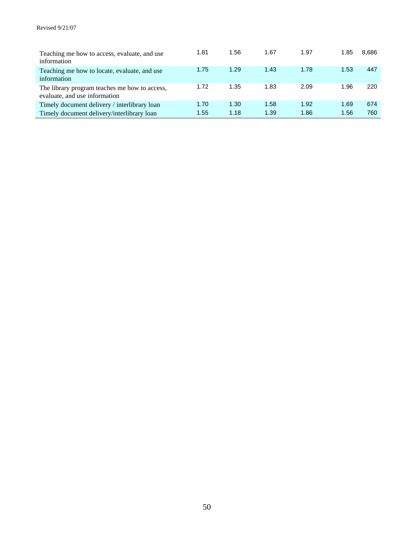| Teaching me how to access, evaluate, and use<br>information                    | 1.81 | 1.56 | 1.67 | 1.97 | 1.85 | 8.686 |
|--------------------------------------------------------------------------------|------|------|------|------|------|-------|
| Teaching me how to locate, evaluate, and use<br>information                    | 1.75 | 1.29 | 1.43 | 1.78 | 1.53 | 447   |
| The library program teaches me how to access,<br>evaluate, and use information | 1.72 | 1.35 | 1.83 | 2.09 | 1.96 | 220   |
| Timely document delivery / interlibrary loan                                   | 1.70 | 1.30 | 1.58 | 1.92 | 1.69 | 674   |
| Timely document delivery/interlibrary loan                                     | 1.55 | 1.18 | 1.39 | 1.86 | 1.56 | 760   |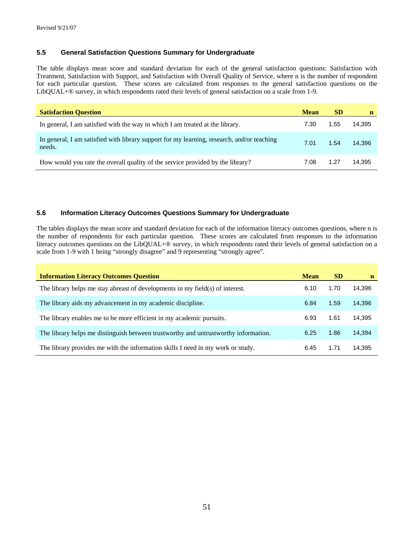## **5.5 General Satisfaction Questions Summary for Undergraduate**

The table displays mean score and standard deviation for each of the general satisfaction questions: Satisfaction with Treatment, Satisfaction with Support, and Satisfaction with Overall Quality of Service, where n is the number of respondent for each particular question. These scores are calculated from responses to the general satisfaction questions on the LibQUAL+® survey, in which respondents rated their levels of general satisfaction on a scale from 1-9.

| <b>Satisfaction Question</b>                                                                         | <b>Mean</b> | SD   | n      |
|------------------------------------------------------------------------------------------------------|-------------|------|--------|
| In general, I am satisfied with the way in which I am treated at the library.                        | 7.30        | 1.55 | 14.395 |
| In general, I am satisfied with library support for my learning, research, and/or teaching<br>needs. | 7.01        | 1.54 | 14.396 |
| How would you rate the overall quality of the service provided by the library?                       | 7.08        | 1.27 | 14.395 |

#### **5.6 Information Literacy Outcomes Questions Summary for Undergraduate**

The tables displays the mean score and standard deviation for each of the information literacy outcomes questions, where n is the number of respondents for each particular question. These scores are calculated from responses to the information literacy outcomes questions on the LibQUAL+® survey, in which respondents rated their levels of general satisfaction on a scale from 1-9 with 1 being "strongly disagree" and 9 representing "strongly agree".

| <b>Information Literacy Outcomes Question</b>                                       | <b>Mean</b> | <b>SD</b> | $\mathbf n$ |
|-------------------------------------------------------------------------------------|-------------|-----------|-------------|
| The library helps me stay abreast of developments in my field(s) of interest.       | 6.10        | 1.70      | 14,396      |
| The library aids my advancement in my academic discipline.                          | 6.84        | 1.59      | 14,396      |
| The library enables me to be more efficient in my academic pursuits.                | 6.93        | 1.61      | 14.395      |
| The library helps me distinguish between trustworthy and untrustworthy information. | 6.25        | 1.86      | 14,394      |
| The library provides me with the information skills I need in my work or study.     | 6.45        | 1.71      | 14,395      |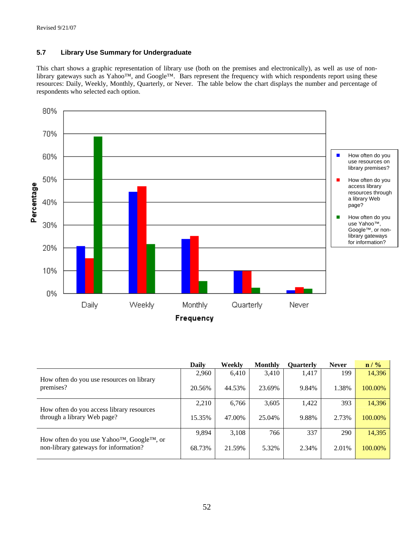# **5.7 Library Use Summary for Undergraduate**

This chart shows a graphic representation of library use (both on the premises and electronically), as well as use of nonlibrary gateways such as Yahoo™, and Google™. Bars represent the frequency with which respondents report using these resources: Daily, Weekly, Monthly, Quarterly, or Never. The table below the chart displays the number and percentage of respondents who selected each option.



|                                                                                   | Daily  | Weekly | <b>Monthly</b> | <b>Ouarterly</b> | <b>Never</b> | n / %   |
|-----------------------------------------------------------------------------------|--------|--------|----------------|------------------|--------------|---------|
|                                                                                   | 2,960  | 6,410  | 3,410          | 1,417            | 199          | 14,396  |
| How often do you use resources on library<br>premises?                            | 20.56% | 44.53% | 23.69%         | 9.84%            | 1.38%        | 100.00% |
|                                                                                   | 2,210  | 6,766  | 3,605          | 1,422            | 393          | 14,396  |
| How often do you access library resources<br>through a library Web page?          | 15.35% | 47.00% | 25.04%         | 9.88%            | 2.73%        | 100.00% |
| How often do you use Yahoo™, Google™, or<br>non-library gateways for information? | 9.894  | 3,108  | 766            | 337              | 290          | 14,395  |
|                                                                                   | 68.73% | 21.59% | 5.32%          | 2.34%            | 2.01%        | 100.00% |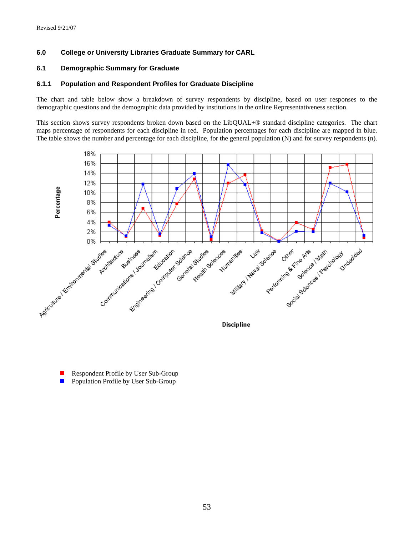## **6.0 College or University Libraries Graduate Summary for CARL**

#### **6.1 Demographic Summary for Graduate**

### **6.1.1 Population and Respondent Profiles for Graduate Discipline**

The chart and table below show a breakdown of survey respondents by discipline, based on user responses to the demographic questions and the demographic data provided by institutions in the online Representativeness section.

This section shows survey respondents broken down based on the LibQUAL+® standard discipline categories. The chart maps percentage of respondents for each discipline in red. Population percentages for each discipline are mapped in blue. The table shows the number and percentage for each discipline, for the general population (N) and for survey respondents (n).



- Respondent Profile by User Sub-Group
- **Population Profile by User Sub-Group**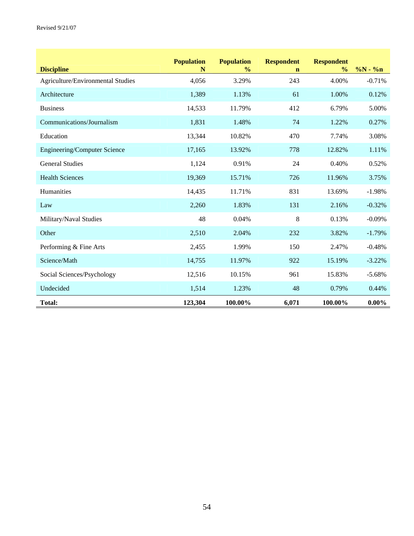|                                                        | <b>Population</b> | <b>Population</b>      | <b>Respondent</b>  | <b>Respondent</b>      |                         |
|--------------------------------------------------------|-------------------|------------------------|--------------------|------------------------|-------------------------|
| <b>Discipline</b><br>Agriculture/Environmental Studies | N<br>4,056        | $\frac{0}{0}$<br>3.29% | $\mathbf n$<br>243 | $\frac{0}{0}$<br>4.00% | $\%N - \%n$<br>$-0.71%$ |
|                                                        |                   |                        |                    |                        |                         |
| Architecture                                           | 1,389             | 1.13%                  | 61                 | 1.00%                  | 0.12%                   |
| <b>Business</b>                                        | 14,533            | 11.79%                 | 412                | 6.79%                  | 5.00%                   |
| Communications/Journalism                              | 1,831             | 1.48%                  | 74                 | 1.22%                  | 0.27%                   |
| Education                                              | 13,344            | 10.82%                 | 470                | 7.74%                  | 3.08%                   |
| Engineering/Computer Science                           | 17,165            | 13.92%                 | 778                | 12.82%                 | 1.11%                   |
| <b>General Studies</b>                                 | 1,124             | 0.91%                  | 24                 | 0.40%                  | 0.52%                   |
| <b>Health Sciences</b>                                 | 19,369            | 15.71%                 | 726                | 11.96%                 | 3.75%                   |
| Humanities                                             | 14,435            | 11.71%                 | 831                | 13.69%                 | $-1.98%$                |
| Law                                                    | 2,260             | 1.83%                  | 131                | 2.16%                  | $-0.32%$                |
| Military/Naval Studies                                 | 48                | 0.04%                  | 8                  | 0.13%                  | $-0.09%$                |
| Other                                                  | 2,510             | 2.04%                  | 232                | 3.82%                  | $-1.79%$                |
| Performing & Fine Arts                                 | 2,455             | 1.99%                  | 150                | 2.47%                  | $-0.48%$                |
| Science/Math                                           | 14,755            | 11.97%                 | 922                | 15.19%                 | $-3.22%$                |
| Social Sciences/Psychology                             | 12,516            | 10.15%                 | 961                | 15.83%                 | $-5.68%$                |
| Undecided                                              | 1,514             | 1.23%                  | 48                 | 0.79%                  | 0.44%                   |
| <b>Total:</b>                                          | 123,304           | 100.00%                | 6,071              | 100.00%                | $0.00\%$                |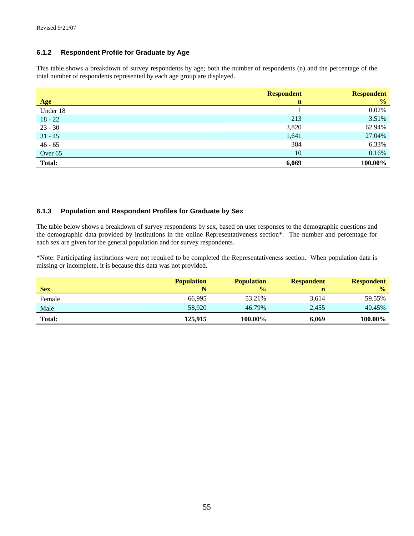## **6.1.2 Respondent Profile for Graduate by Age**

This table shows a breakdown of survey respondents by age; both the number of respondents (n) and the percentage of the total number of respondents represented by each age group are displayed.

|               | <b>Respondent</b> | <b>Respondent</b> |
|---------------|-------------------|-------------------|
| Age           | $\mathbf n$       | $\frac{1}{2}$     |
| Under 18      |                   | 0.02%             |
| $18 - 22$     | 213               | 3.51%             |
| $23 - 30$     | 3,820             | 62.94%            |
| $31 - 45$     | 1,641             | 27.04%            |
| $46 - 65$     | 384               | 6.33%             |
| Over 65       | 10                | 0.16%             |
| <b>Total:</b> | 6,069             | 100.00%           |

### **6.1.3 Population and Respondent Profiles for Graduate by Sex**

The table below shows a breakdown of survey respondents by sex, based on user responses to the demographic questions and the demographic data provided by institutions in the online Representativeness section\*. The number and percentage for each sex are given for the general population and for survey respondents.

\*Note: Participating institutions were not required to be completed the Representativeness section. When population data is missing or incomplete, it is because this data was not provided.

|               | <b>Population</b> | <b>Population</b> | <b>Respondent</b> | <b>Respondent</b> |
|---------------|-------------------|-------------------|-------------------|-------------------|
| <b>Sex</b>    |                   | $\frac{0}{0}$     | n                 | $\frac{0}{0}$     |
| Female        | 66.995            | 53.21%            | 3.614             | 59.55%            |
| Male          | 58,920            | 46.79%            | 2.455             | 40.45%            |
| <b>Total:</b> | 125,915           | 100.00%           | 6,069             | 100.00%           |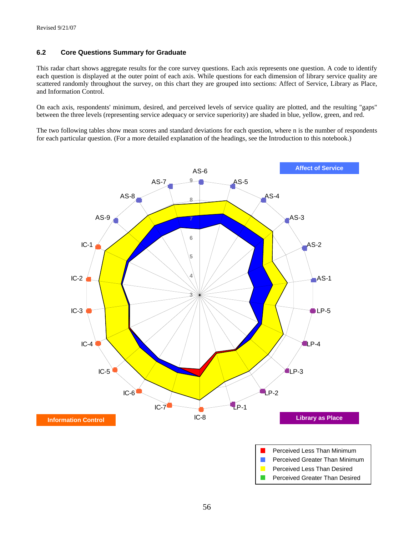## **6.2 Core Questions Summary for Graduate**

This radar chart shows aggregate results for the core survey questions. Each axis represents one question. A code to identify each question is displayed at the outer point of each axis. While questions for each dimension of library service quality are scattered randomly throughout the survey, on this chart they are grouped into sections: Affect of Service, Library as Place, and Information Control.

On each axis, respondents' minimum, desired, and perceived levels of service quality are plotted, and the resulting "gaps" between the three levels (representing service adequacy or service superiority) are shaded in blue, yellow, green, and red.

The two following tables show mean scores and standard deviations for each question, where n is the number of respondents for each particular question. (For a more detailed explanation of the headings, see the Introduction to this notebook.)

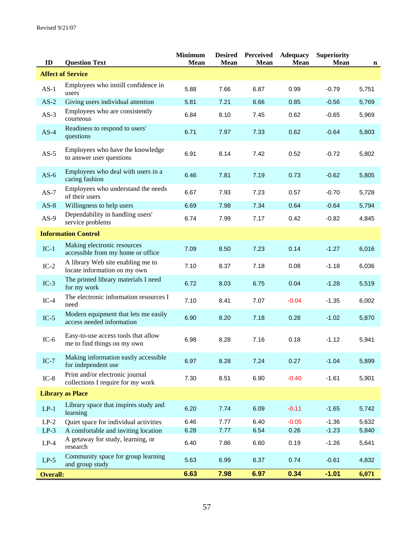| ID              | <b>Question Text</b>                                                 | <b>Minimum</b><br><b>Mean</b> | <b>Desired</b><br><b>Mean</b> | <b>Perceived</b><br><b>Mean</b> | <b>Adequacy</b><br><b>Mean</b> | <b>Superiority</b><br><b>Mean</b> | $\mathbf n$ |
|-----------------|----------------------------------------------------------------------|-------------------------------|-------------------------------|---------------------------------|--------------------------------|-----------------------------------|-------------|
|                 | <b>Affect of Service</b>                                             |                               |                               |                                 |                                |                                   |             |
| $AS-1$          | Employees who instill confidence in<br>users                         | 5.88                          | 7.66                          | 6.87                            | 0.99                           | $-0.79$                           | 5,751       |
| $AS-2$          | Giving users individual attention                                    | 5.81                          | 7.21                          | 6.66                            | 0.85                           | $-0.56$                           | 5,769       |
| $AS-3$          | Employees who are consistently<br>courteous                          | 6.84                          | 8.10                          | 7.45                            | 0.62                           | $-0.65$                           | 5,969       |
| $AS-4$          | Readiness to respond to users'<br>questions                          | 6.71                          | 7.97                          | 7.33                            | 0.62                           | $-0.64$                           | 5,803       |
| $AS-5$          | Employees who have the knowledge<br>to answer user questions         | 6.91                          | 8.14                          | 7.42                            | 0.52                           | $-0.72$                           | 5,802       |
| $AS-6$          | Employees who deal with users in a<br>caring fashion                 | 6.46                          | 7.81                          | 7.19                            | 0.73                           | $-0.62$                           | 5,805       |
| $AS-7$          | Employees who understand the needs<br>of their users                 | 6.67                          | 7.93                          | 7.23                            | 0.57                           | $-0.70$                           | 5,728       |
| $AS-8$          | Willingness to help users                                            | 6.69                          | 7.98                          | 7.34                            | 0.64                           | $-0.64$                           | 5,794       |
| $AS-9$          | Dependability in handling users'<br>service problems                 | 6.74                          | 7.99                          | 7.17                            | 0.42                           | $-0.82$                           | 4,845       |
|                 | <b>Information Control</b>                                           |                               |                               |                                 |                                |                                   |             |
| $IC-1$          | Making electronic resources<br>accessible from my home or office     | 7.09                          | 8.50                          | 7.23                            | 0.14                           | $-1.27$                           | 6,016       |
| $IC-2$          | A library Web site enabling me to<br>locate information on my own    | 7.10                          | 8.37                          | 7.18                            | 0.08                           | $-1.18$                           | 6,036       |
| $IC-3$          | The printed library materials I need<br>for my work                  | 6.72                          | 8.03                          | 6.75                            | 0.04                           | $-1.28$                           | 5,519       |
| $IC-4$          | The electronic information resources I<br>need                       | 7.10                          | 8.41                          | 7.07                            | $-0.04$                        | $-1.35$                           | 6,002       |
| $IC-5$          | Modern equipment that lets me easily<br>access needed information    | 6.90                          | 8.20                          | 7.18                            | 0.28                           | $-1.02$                           | 5,870       |
| $IC-6$          | Easy-to-use access tools that allow<br>me to find things on my own   | 6.98                          | 8.28                          | 7.16                            | 0.18                           | $-1.12$                           | 5,941       |
| $IC-7$          | Making information easily accessible<br>for independent use          | 6.97                          | 8.28                          | 7.24                            | 0.27                           | $-1.04$                           | 5,899       |
| $IC-8$          | Print and/or electronic journal<br>collections I require for my work | 7.30                          | 8.51                          | 6.90                            | $-0.40$                        | $-1.61$                           | 5,901       |
|                 | <b>Library as Place</b>                                              |                               |                               |                                 |                                |                                   |             |
| $LP-1$          | Library space that inspires study and<br>learning                    | 6.20                          | 7.74                          | 6.09                            | $-0.11$                        | $-1.65$                           | 5,742       |
| $LP-2$          | Quiet space for individual activities                                | 6.46                          | 7.77                          | 6.40                            | $-0.05$                        | $-1.36$                           | 5,632       |
| $LP-3$          | A comfortable and inviting location                                  | 6.28                          | 7.77                          | 6.54                            | 0.26                           | $-1.23$                           | 5,840       |
| $LP-4$          | A getaway for study, learning, or<br>research                        | 6.40                          | 7.86                          | 6.60                            | 0.19                           | $-1.26$                           | 5,641       |
| $LP-5$          | Community space for group learning<br>and group study                | 5.63                          | 6.99                          | 6.37                            | 0.74                           | $-0.61$                           | 4,832       |
| <b>Overall:</b> |                                                                      | 6.63                          | 7.98                          | 6.97                            | 0.34                           | $-1.01$                           | 6,071       |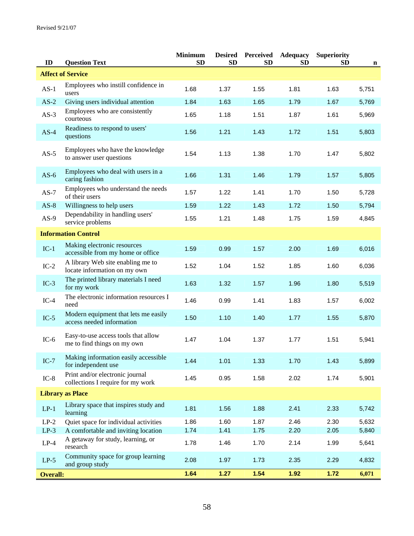| ID              | <b>Question Text</b>                                                 | <b>Minimum</b><br><b>SD</b> | <b>Desired</b><br><b>SD</b> | Perceived<br><b>SD</b> | <b>Adequacy</b><br><b>SD</b> | <b>Superiority</b><br>SD. | $\mathbf n$ |
|-----------------|----------------------------------------------------------------------|-----------------------------|-----------------------------|------------------------|------------------------------|---------------------------|-------------|
|                 | <b>Affect of Service</b>                                             |                             |                             |                        |                              |                           |             |
| $AS-1$          | Employees who instill confidence in<br>users                         | 1.68                        | 1.37                        | 1.55                   | 1.81                         | 1.63                      | 5,751       |
| $AS-2$          | Giving users individual attention                                    | 1.84                        | 1.63                        | 1.65                   | 1.79                         | 1.67                      | 5,769       |
| $AS-3$          | Employees who are consistently<br>courteous                          | 1.65                        | 1.18                        | 1.51                   | 1.87                         | 1.61                      | 5,969       |
| $AS-4$          | Readiness to respond to users'<br>questions                          | 1.56                        | 1.21                        | 1.43                   | 1.72                         | 1.51                      | 5,803       |
| $AS-5$          | Employees who have the knowledge<br>to answer user questions         | 1.54                        | 1.13                        | 1.38                   | 1.70                         | 1.47                      | 5,802       |
| $AS-6$          | Employees who deal with users in a<br>caring fashion                 | 1.66                        | 1.31                        | 1.46                   | 1.79                         | 1.57                      | 5,805       |
| $AS-7$          | Employees who understand the needs<br>of their users                 | 1.57                        | 1.22                        | 1.41                   | 1.70                         | 1.50                      | 5,728       |
| $AS-8$          | Willingness to help users                                            | 1.59                        | 1.22                        | 1.43                   | 1.72                         | 1.50                      | 5,794       |
| $AS-9$          | Dependability in handling users'<br>service problems                 | 1.55                        | 1.21                        | 1.48                   | 1.75                         | 1.59                      | 4,845       |
|                 | <b>Information Control</b>                                           |                             |                             |                        |                              |                           |             |
| $IC-1$          | Making electronic resources<br>accessible from my home or office     | 1.59                        | 0.99                        | 1.57                   | 2.00                         | 1.69                      | 6,016       |
| $IC-2$          | A library Web site enabling me to<br>locate information on my own    | 1.52                        | 1.04                        | 1.52                   | 1.85                         | 1.60                      | 6,036       |
| $IC-3$          | The printed library materials I need<br>for my work                  | 1.63                        | 1.32                        | 1.57                   | 1.96                         | 1.80                      | 5,519       |
| $IC-4$          | The electronic information resources I<br>need                       | 1.46                        | 0.99                        | 1.41                   | 1.83                         | 1.57                      | 6,002       |
| $IC-5$          | Modern equipment that lets me easily<br>access needed information    | 1.50                        | 1.10                        | 1.40                   | 1.77                         | 1.55                      | 5,870       |
| $IC-6$          | Easy-to-use access tools that allow<br>me to find things on my own   | 1.47                        | 1.04                        | 1.37                   | 1.77                         | 1.51                      | 5,941       |
| $IC-7$          | Making information easily accessible<br>for independent use          | 1.44                        | 1.01                        | 1.33                   | 1.70                         | 1.43                      | 5,899       |
| $IC-8$          | Print and/or electronic journal<br>collections I require for my work | 1.45                        | 0.95                        | 1.58                   | 2.02                         | 1.74                      | 5,901       |
|                 | <b>Library as Place</b>                                              |                             |                             |                        |                              |                           |             |
| $LP-1$          | Library space that inspires study and<br>learning                    | 1.81                        | 1.56                        | 1.88                   | 2.41                         | 2.33                      | 5,742       |
| $LP-2$          | Quiet space for individual activities                                | 1.86                        | 1.60                        | 1.87                   | 2.46                         | 2.30                      | 5,632       |
| $LP-3$          | A comfortable and inviting location                                  | 1.74                        | 1.41                        | 1.75                   | 2.20                         | 2.05                      | 5,840       |
| $LP-4$          | A getaway for study, learning, or<br>research                        | 1.78                        | 1.46                        | 1.70                   | 2.14                         | 1.99                      | 5,641       |
| $LP-5$          | Community space for group learning<br>and group study                | 2.08                        | 1.97                        | 1.73                   | 2.35                         | 2.29                      | 4,832       |
| <b>Overall:</b> |                                                                      | 1.64                        | 1.27                        | 1.54                   | 1.92                         | 1.72                      | 6,071       |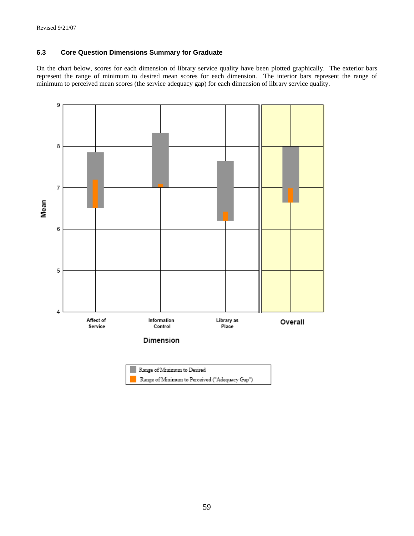# **6.3 Core Question Dimensions Summary for Graduate**

On the chart below, scores for each dimension of library service quality have been plotted graphically. The exterior bars represent the range of minimum to desired mean scores for each dimension. The interior bars represent the range of minimum to perceived mean scores (the service adequacy gap) for each dimension of library service quality.



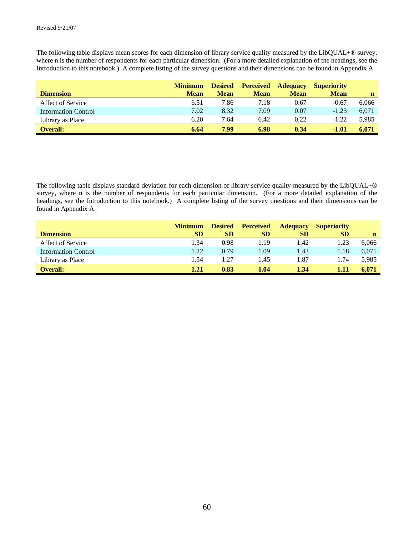The following table displays mean scores for each dimension of library service quality measured by the LibQUAL+® survey, where n is the number of respondents for each particular dimension. (For a more detailed explanation of the headings, see the Introduction to this notebook.) A complete listing of the survey questions and their dimensions can be found in Appendix A.

|                     | <b>Minimum</b> |             | <b>Desired Perceived</b> | <b>Adequacy</b> | <b>Superiority</b> |       |
|---------------------|----------------|-------------|--------------------------|-----------------|--------------------|-------|
| <b>Dimension</b>    | <b>Mean</b>    | <b>Mean</b> | <b>Mean</b>              | <b>Mean</b>     | <b>Mean</b>        | n     |
| Affect of Service   | 6.51           | 7.86        | 7.18                     | 0.67            | $-0.67$            | 6,066 |
| Information Control | 7.02           | 8.32        | 7.09                     | 0.07            | $-1.23$            | 6.071 |
| Library as Place    | 6.20           | 7.64        | 6.42                     | 0.22            | $-1.22$            | 5,985 |
| <b>Overall:</b>     | 6.64           | 7.99        | 6.98                     | 0.34            | $-1.01$            | 6.071 |

The following table displays standard deviation for each dimension of library service quality measured by the LibQUAL+® survey, where n is the number of respondents for each particular dimension. (For a more detailed explanation of the headings, see the Introduction to this notebook.) A complete listing of the survey questions and their dimensions can be found in Appendix A.

|                            | <b>Minimum</b> | <b>Desired</b> | <b>Perceived</b> | <b>Adequacy</b> | <b>Superiority</b> |       |
|----------------------------|----------------|----------------|------------------|-----------------|--------------------|-------|
| <b>Dimension</b>           | <b>SD</b>      | <b>SD</b>      | <b>SD</b>        | <b>SD</b>       | <b>SD</b>          | n     |
| Affect of Service          | 1.34           | 0.98           | 1.19             | 1.42            | 1.23               | 6,066 |
| <b>Information Control</b> | 1.22           | 0.79           | 1.09             | 1.43            | 1.18               | 6,071 |
| Library as Place           | 1.54           | 1.27           | l.45             | 1.87            | 1.74               | 5,985 |
| <b>Overall:</b>            | 1.21           | 0.83           | 1.04             | 1.34            | 1.11               | 6.071 |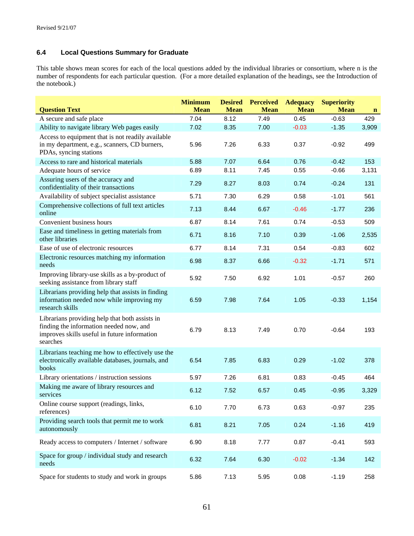# **6.4 Local Questions Summary for Graduate**

This table shows mean scores for each of the local questions added by the individual libraries or consortium, where n is the number of respondents for each particular question. (For a more detailed explanation of the headings, see the Introduction of the notebook.)

| <b>Question Text</b>                                                                                                                                  | <b>Minimum</b><br><b>Mean</b> | <b>Desired</b><br><b>Mean</b> | <b>Perceived</b><br><b>Mean</b> | <b>Adequacy</b><br><b>Mean</b> | <b>Superiority</b><br><b>Mean</b> | $\mathbf n$ |
|-------------------------------------------------------------------------------------------------------------------------------------------------------|-------------------------------|-------------------------------|---------------------------------|--------------------------------|-----------------------------------|-------------|
| A secure and safe place                                                                                                                               | 7.04                          | 8.12                          | 7.49                            | 0.45                           | $-0.63$                           | 429         |
| Ability to navigate library Web pages easily                                                                                                          | 7.02                          | 8.35                          | 7.00                            | $-0.03$                        | $-1.35$                           | 3,909       |
| Access to equipment that is not readily available<br>in my department, e.g., scanners, CD burners,<br>PDAs, syncing stations                          | 5.96                          | 7.26                          | 6.33                            | 0.37                           | $-0.92$                           | 499         |
| Access to rare and historical materials                                                                                                               | 5.88                          | 7.07                          | 6.64                            | 0.76                           | $-0.42$                           | 153         |
| Adequate hours of service                                                                                                                             | 6.89                          | 8.11                          | 7.45                            | 0.55                           | $-0.66$                           | 3,131       |
| Assuring users of the accuracy and<br>confidentiality of their transactions                                                                           | 7.29                          | 8.27                          | 8.03                            | 0.74                           | $-0.24$                           | 131         |
| Availability of subject specialist assistance                                                                                                         | 5.71                          | 7.30                          | 6.29                            | 0.58                           | $-1.01$                           | 561         |
| Comprehensive collections of full text articles<br>online                                                                                             | 7.13                          | 8.44                          | 6.67                            | $-0.46$                        | $-1.77$                           | 236         |
| Convenient business hours                                                                                                                             | 6.87                          | 8.14                          | 7.61                            | 0.74                           | $-0.53$                           | 509         |
| Ease and timeliness in getting materials from<br>other libraries                                                                                      | 6.71                          | 8.16                          | 7.10                            | 0.39                           | $-1.06$                           | 2,535       |
| Ease of use of electronic resources                                                                                                                   | 6.77                          | 8.14                          | 7.31                            | 0.54                           | $-0.83$                           | 602         |
| Electronic resources matching my information<br>needs                                                                                                 | 6.98                          | 8.37                          | 6.66                            | $-0.32$                        | $-1.71$                           | 571         |
| Improving library-use skills as a by-product of<br>seeking assistance from library staff                                                              | 5.92                          | 7.50                          | 6.92                            | 1.01                           | $-0.57$                           | 260         |
| Librarians providing help that assists in finding<br>information needed now while improving my<br>research skills                                     | 6.59                          | 7.98                          | 7.64                            | 1.05                           | $-0.33$                           | 1,154       |
| Librarians providing help that both assists in<br>finding the information needed now, and<br>improves skills useful in future information<br>searches | 6.79                          | 8.13                          | 7.49                            | 0.70                           | $-0.64$                           | 193         |
| Librarians teaching me how to effectively use the<br>electronically available databases, journals, and<br>books                                       | 6.54                          | 7.85                          | 6.83                            | 0.29                           | $-1.02$                           | 378         |
| Library orientations / instruction sessions                                                                                                           | 5.97                          | 7.26                          | 6.81                            | 0.83                           | $-0.45$                           | 464         |
| Making me aware of library resources and<br>services                                                                                                  | 6.12                          | 7.52                          | 6.57                            | 0.45                           | $-0.95$                           | 3,329       |
| Online course support (readings, links,<br>references)                                                                                                | 6.10                          | 7.70                          | 6.73                            | 0.63                           | $-0.97$                           | 235         |
| Providing search tools that permit me to work<br>autonomously                                                                                         | 6.81                          | 8.21                          | 7.05                            | 0.24                           | $-1.16$                           | 419         |
| Ready access to computers / Internet / software                                                                                                       | 6.90                          | 8.18                          | 7.77                            | 0.87                           | $-0.41$                           | 593         |
| Space for group / individual study and research<br>needs                                                                                              | 6.32                          | 7.64                          | 6.30                            | $-0.02$                        | $-1.34$                           | 142         |
| Space for students to study and work in groups                                                                                                        | 5.86                          | 7.13                          | 5.95                            | 0.08                           | $-1.19$                           | 258         |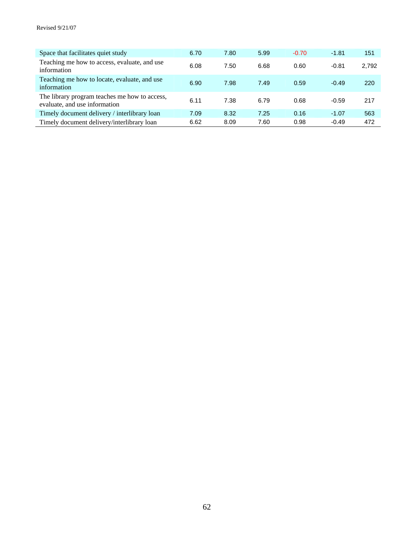| Space that facilitates quiet study                                             | 6.70 | 7.80 | 5.99 | $-0.70$ | $-1.81$ | 151   |
|--------------------------------------------------------------------------------|------|------|------|---------|---------|-------|
| Teaching me how to access, evaluate, and use<br>information                    | 6.08 | 7.50 | 6.68 | 0.60    | $-0.81$ | 2,792 |
| Teaching me how to locate, evaluate, and use<br>information                    | 6.90 | 7.98 | 7.49 | 0.59    | $-0.49$ | 220   |
| The library program teaches me how to access,<br>evaluate, and use information | 6.11 | 7.38 | 6.79 | 0.68    | $-0.59$ | 217   |
| Timely document delivery / interlibrary loan                                   | 7.09 | 8.32 | 7.25 | 0.16    | $-1.07$ | 563   |
| Timely document delivery/interlibrary loan                                     | 6.62 | 8.09 | 7.60 | 0.98    | $-0.49$ | 472   |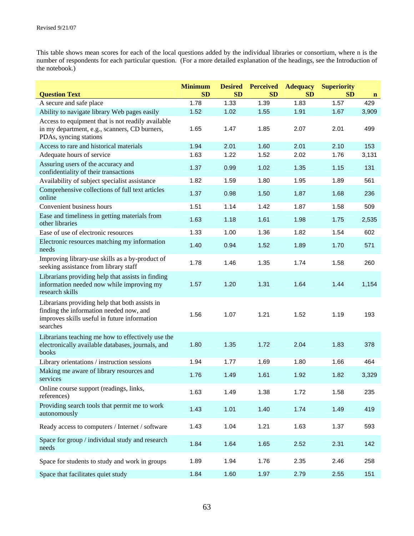This table shows mean scores for each of the local questions added by the individual libraries or consortium, where n is the number of respondents for each particular question. (For a more detailed explanation of the headings, see the Introduction of the notebook.)

| <b>Question Text</b>                                                                                                                                  | <b>Minimum</b><br><b>SD</b> | <b>Desired</b><br><b>SD</b> | <b>Perceived</b><br><b>SD</b> | <b>Adequacy</b><br><b>SD</b> | <b>Superiority</b><br><b>SD</b> | $\mathbf{n}$ |
|-------------------------------------------------------------------------------------------------------------------------------------------------------|-----------------------------|-----------------------------|-------------------------------|------------------------------|---------------------------------|--------------|
| A secure and safe place                                                                                                                               | 1.78                        | 1.33                        | 1.39                          | 1.83                         | 1.57                            | 429          |
| Ability to navigate library Web pages easily                                                                                                          | 1.52                        | 1.02                        | 1.55                          | 1.91                         | 1.67                            | 3,909        |
| Access to equipment that is not readily available<br>in my department, e.g., scanners, CD burners,<br>PDAs, syncing stations                          | 1.65                        | 1.47                        | 1.85                          | 2.07                         | 2.01                            | 499          |
| Access to rare and historical materials                                                                                                               | 1.94                        | 2.01                        | 1.60                          | 2.01                         | 2.10                            | 153          |
| Adequate hours of service                                                                                                                             | 1.63                        | 1.22                        | 1.52                          | 2.02                         | 1.76                            | 3,131        |
| Assuring users of the accuracy and<br>confidentiality of their transactions                                                                           | 1.37                        | 0.99                        | 1.02                          | 1.35                         | 1.15                            | 131          |
| Availability of subject specialist assistance                                                                                                         | 1.82                        | 1.59                        | 1.80                          | 1.95                         | 1.89                            | 561          |
| Comprehensive collections of full text articles<br>online                                                                                             | 1.37                        | 0.98                        | 1.50                          | 1.87                         | 1.68                            | 236          |
| Convenient business hours                                                                                                                             | 1.51                        | 1.14                        | 1.42                          | 1.87                         | 1.58                            | 509          |
| Ease and timeliness in getting materials from<br>other libraries                                                                                      | 1.63                        | 1.18                        | 1.61                          | 1.98                         | 1.75                            | 2,535        |
| Ease of use of electronic resources                                                                                                                   | 1.33                        | 1.00                        | 1.36                          | 1.82                         | 1.54                            | 602          |
| Electronic resources matching my information<br>needs                                                                                                 | 1.40                        | 0.94                        | 1.52                          | 1.89                         | 1.70                            | 571          |
| Improving library-use skills as a by-product of<br>seeking assistance from library staff                                                              | 1.78                        | 1.46                        | 1.35                          | 1.74                         | 1.58                            | 260          |
| Librarians providing help that assists in finding<br>information needed now while improving my<br>research skills                                     | 1.57                        | 1.20                        | 1.31                          | 1.64                         | 1.44                            | 1,154        |
| Librarians providing help that both assists in<br>finding the information needed now, and<br>improves skills useful in future information<br>searches | 1.56                        | 1.07                        | 1.21                          | 1.52                         | 1.19                            | 193          |
| Librarians teaching me how to effectively use the<br>electronically available databases, journals, and<br>books                                       | 1.80                        | 1.35                        | 1.72                          | 2.04                         | 1.83                            | 378          |
| Library orientations / instruction sessions                                                                                                           | 1.94                        | 1.77                        | 1.69                          | 1.80                         | 1.66                            | 464          |
| Making me aware of library resources and<br>services                                                                                                  | 1.76                        | 1.49                        | 1.61                          | 1.92                         | 1.82                            | 3,329        |
| Online course support (readings, links,<br>references)                                                                                                | 1.63                        | 1.49                        | 1.38                          | 1.72                         | 1.58                            | 235          |
| Providing search tools that permit me to work<br>autonomously                                                                                         | 1.43                        | 1.01                        | 1.40                          | 1.74                         | 1.49                            | 419          |
| Ready access to computers / Internet / software                                                                                                       | 1.43                        | 1.04                        | 1.21                          | 1.63                         | 1.37                            | 593          |
| Space for group / individual study and research<br>needs                                                                                              | 1.84                        | 1.64                        | 1.65                          | 2.52                         | 2.31                            | 142          |
| Space for students to study and work in groups                                                                                                        | 1.89                        | 1.94                        | 1.76                          | 2.35                         | 2.46                            | 258          |
| Space that facilitates quiet study                                                                                                                    | 1.84                        | 1.60                        | 1.97                          | 2.79                         | 2.55                            | 151          |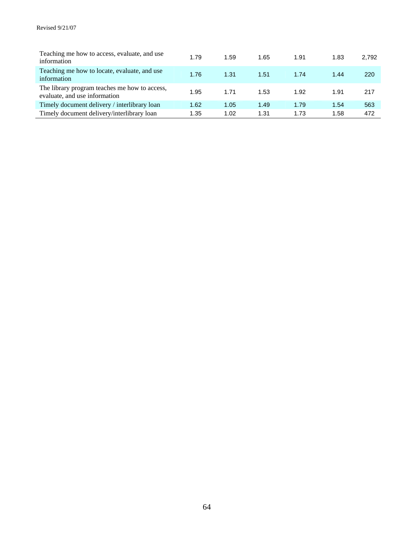| Teaching me how to access, evaluate, and use<br>information                    | 1.79 | 1.59 | 1.65 | 1.91 | 1.83 | 2.792 |
|--------------------------------------------------------------------------------|------|------|------|------|------|-------|
| Teaching me how to locate, evaluate, and use<br>information                    | 1.76 | 1.31 | 1.51 | 1.74 | 1.44 | 220   |
| The library program teaches me how to access,<br>evaluate, and use information | 1.95 | 1.71 | 1.53 | 1.92 | 1.91 | 217   |
| Timely document delivery / interlibrary loan                                   | 1.62 | 1.05 | 1.49 | 1.79 | 1.54 | 563   |
| Timely document delivery/interlibrary loan                                     | 1.35 | 1.02 | 1.31 | 1.73 | 1.58 | 472   |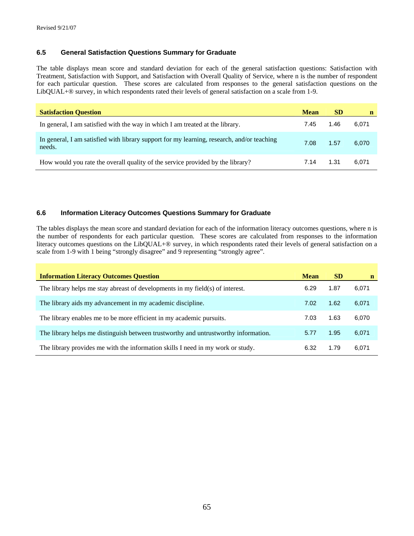## **6.5 General Satisfaction Questions Summary for Graduate**

The table displays mean score and standard deviation for each of the general satisfaction questions: Satisfaction with Treatment, Satisfaction with Support, and Satisfaction with Overall Quality of Service, where n is the number of respondent for each particular question. These scores are calculated from responses to the general satisfaction questions on the LibQUAL+® survey, in which respondents rated their levels of general satisfaction on a scale from 1-9.

| <b>Satisfaction Question</b>                                                                         | <b>Mean</b> | <b>SD</b> | n     |
|------------------------------------------------------------------------------------------------------|-------------|-----------|-------|
| In general, I am satisfied with the way in which I am treated at the library.                        | 7.45        | 1.46      | 6.071 |
| In general, I am satisfied with library support for my learning, research, and/or teaching<br>needs. | 7.08        | 1.57      | 6.070 |
| How would you rate the overall quality of the service provided by the library?                       | 7.14        | 1.31      | 6.071 |

#### **6.6 Information Literacy Outcomes Questions Summary for Graduate**

The tables displays the mean score and standard deviation for each of the information literacy outcomes questions, where n is the number of respondents for each particular question. These scores are calculated from responses to the information literacy outcomes questions on the LibQUAL+® survey, in which respondents rated their levels of general satisfaction on a scale from 1-9 with 1 being "strongly disagree" and 9 representing "strongly agree".

| <b>Information Literacy Outcomes Ouestion</b>                                       | <b>Mean</b> | <b>SD</b> | $\mathbf n$ |
|-------------------------------------------------------------------------------------|-------------|-----------|-------------|
| The library helps me stay abreast of developments in my field(s) of interest.       | 6.29        | 1.87      | 6,071       |
| The library aids my advancement in my academic discipline.                          | 7.02        | 1.62      | 6,071       |
| The library enables me to be more efficient in my academic pursuits.                | 7.03        | 1.63      | 6,070       |
| The library helps me distinguish between trustworthy and untrustworthy information. | 5.77        | 1.95      | 6,071       |
| The library provides me with the information skills I need in my work or study.     | 6.32        | 1.79      | 6.071       |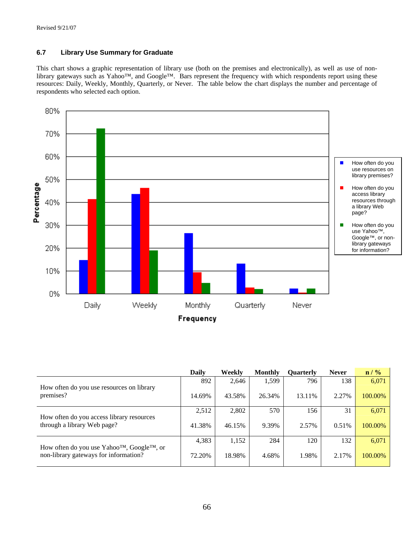# **6.7 Library Use Summary for Graduate**

This chart shows a graphic representation of library use (both on the premises and electronically), as well as use of nonlibrary gateways such as Yahoo™, and Google™. Bars represent the frequency with which respondents report using these resources: Daily, Weekly, Monthly, Quarterly, or Never. The table below the chart displays the number and percentage of respondents who selected each option.



|                                                                                   | <b>Daily</b> | Weekly | <b>Monthly</b> | <b>Ouarterly</b> | <b>Never</b> | n / %   |
|-----------------------------------------------------------------------------------|--------------|--------|----------------|------------------|--------------|---------|
|                                                                                   | 892          | 2,646  | 1,599          | 796              | 138          | 6,071   |
| How often do you use resources on library<br>premises?                            | 14.69%       | 43.58% | 26.34%         | 13.11%           | 2.27%        | 100.00% |
|                                                                                   | 2,512        | 2,802  | 570            | 156              | 31           | 6,071   |
| How often do you access library resources<br>through a library Web page?          | 41.38%       | 46.15% | 9.39%          | 2.57%            | 0.51%        | 100.00% |
|                                                                                   | 4,383        | 1,152  | 284            | 120              | 132          | 6,071   |
| How often do you use Yahoo™, Google™, or<br>non-library gateways for information? | 72.20%       | 18.98% | 4.68%          | 1.98%            | 2.17%        | 100.00% |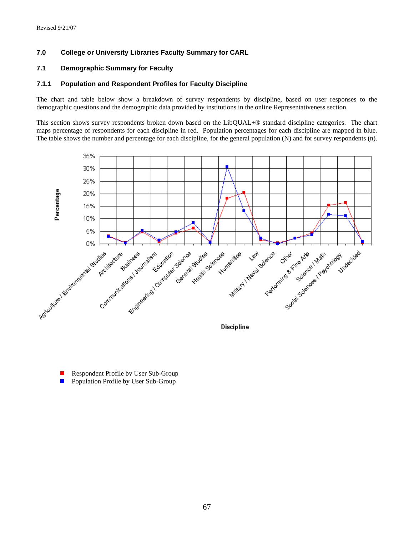## **7.0 College or University Libraries Faculty Summary for CARL**

### **7.1 Demographic Summary for Faculty**

### **7.1.1 Population and Respondent Profiles for Faculty Discipline**

The chart and table below show a breakdown of survey respondents by discipline, based on user responses to the demographic questions and the demographic data provided by institutions in the online Representativeness section.

This section shows survey respondents broken down based on the LibQUAL+® standard discipline categories. The chart maps percentage of respondents for each discipline in red. Population percentages for each discipline are mapped in blue. The table shows the number and percentage for each discipline, for the general population (N) and for survey respondents (n).



- Respondent Profile by User Sub-Group
- **Population Profile by User Sub-Group**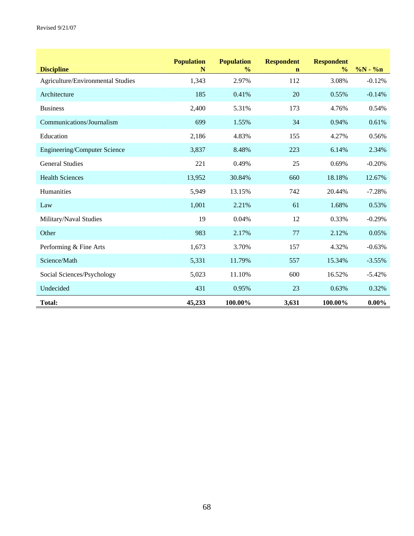|                                   | <b>Population</b> | <b>Population</b> | <b>Respondent</b> | <b>Respondent</b> |             |
|-----------------------------------|-------------------|-------------------|-------------------|-------------------|-------------|
| <b>Discipline</b>                 | N                 | $\frac{0}{0}$     | $\mathbf n$       | $\frac{0}{0}$     | $\%N - \%n$ |
| Agriculture/Environmental Studies | 1,343             | 2.97%             | 112               | 3.08%             | $-0.12%$    |
| Architecture                      | 185               | 0.41%             | 20                | 0.55%             | $-0.14%$    |
| <b>Business</b>                   | 2,400             | 5.31%             | 173               | 4.76%             | 0.54%       |
| Communications/Journalism         | 699               | 1.55%             | 34                | 0.94%             | 0.61%       |
| Education                         | 2,186             | 4.83%             | 155               | 4.27%             | 0.56%       |
| Engineering/Computer Science      | 3,837             | 8.48%             | 223               | 6.14%             | 2.34%       |
| <b>General Studies</b>            | 221               | 0.49%             | 25                | 0.69%             | $-0.20%$    |
| <b>Health Sciences</b>            | 13,952            | 30.84%            | 660               | 18.18%            | 12.67%      |
| Humanities                        | 5,949             | 13.15%            | 742               | 20.44%            | $-7.28%$    |
| Law                               | 1,001             | 2.21%             | 61                | 1.68%             | 0.53%       |
| Military/Naval Studies            | 19                | 0.04%             | 12                | 0.33%             | $-0.29%$    |
| Other                             | 983               | 2.17%             | 77                | 2.12%             | 0.05%       |
| Performing & Fine Arts            | 1,673             | 3.70%             | 157               | 4.32%             | $-0.63%$    |
| Science/Math                      | 5,331             | 11.79%            | 557               | 15.34%            | $-3.55%$    |
| Social Sciences/Psychology        | 5,023             | 11.10%            | 600               | 16.52%            | $-5.42%$    |
| Undecided                         | 431               | 0.95%             | 23                | 0.63%             | 0.32%       |
| <b>Total:</b>                     | 45,233            | 100.00%           | 3,631             | 100.00%           | $0.00\%$    |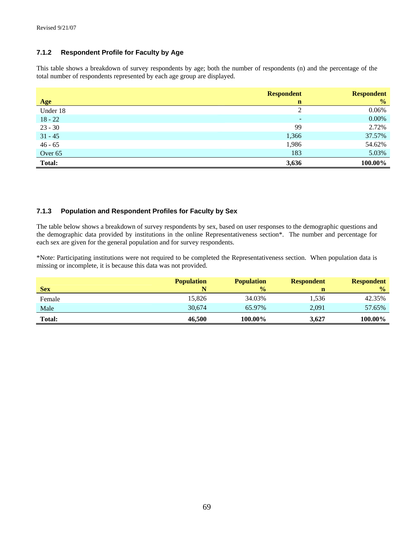# **7.1.2 Respondent Profile for Faculty by Age**

This table shows a breakdown of survey respondents by age; both the number of respondents (n) and the percentage of the total number of respondents represented by each age group are displayed.

|               | <b>Respondent</b>        | <b>Respondent</b> |
|---------------|--------------------------|-------------------|
| <b>Age</b>    | $\mathbf n$              | $\frac{1}{2}$     |
| Under 18      | C.                       | 0.06%             |
| $18 - 22$     | $\overline{\phantom{a}}$ | 0.00%             |
| $23 - 30$     | 99                       | 2.72%             |
| $31 - 45$     | 1,366                    | 37.57%            |
| $46 - 65$     | 1,986                    | 54.62%            |
| Over 65       | 183                      | 5.03%             |
| <b>Total:</b> | 3,636                    | 100.00%           |

### **7.1.3 Population and Respondent Profiles for Faculty by Sex**

The table below shows a breakdown of survey respondents by sex, based on user responses to the demographic questions and the demographic data provided by institutions in the online Representativeness section\*. The number and percentage for each sex are given for the general population and for survey respondents.

\*Note: Participating institutions were not required to be completed the Representativeness section. When population data is missing or incomplete, it is because this data was not provided.

|               | <b>Population</b> | <b>Population</b> | <b>Respondent</b> | <b>Respondent</b> |
|---------------|-------------------|-------------------|-------------------|-------------------|
| <b>Sex</b>    |                   | $\frac{0}{0}$     | n                 | $\frac{0}{0}$     |
| Female        | 15.826            | 34.03%            | 1.536             | 42.35%            |
| Male          | 30.674            | 65.97%            | 2.091             | 57.65%            |
| <b>Total:</b> | 46,500            | 100.00%           | 3,627             | 100.00%           |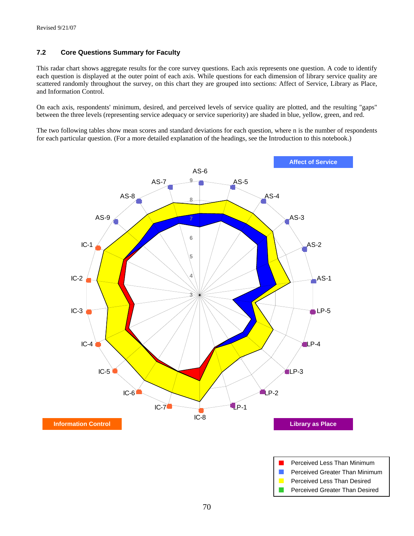## **7.2 Core Questions Summary for Faculty**

This radar chart shows aggregate results for the core survey questions. Each axis represents one question. A code to identify each question is displayed at the outer point of each axis. While questions for each dimension of library service quality are scattered randomly throughout the survey, on this chart they are grouped into sections: Affect of Service, Library as Place, and Information Control.

On each axis, respondents' minimum, desired, and perceived levels of service quality are plotted, and the resulting "gaps" between the three levels (representing service adequacy or service superiority) are shaded in blue, yellow, green, and red.

The two following tables show mean scores and standard deviations for each question, where n is the number of respondents for each particular question. (For a more detailed explanation of the headings, see the Introduction to this notebook.)



| a ser           | Perceived Less Than Minimum    |
|-----------------|--------------------------------|
| <b>Contract</b> | Perceived Greater Than Minimum |
|                 | Perceived Less Than Desired    |
| <b>Contract</b> | Perceived Greater Than Desired |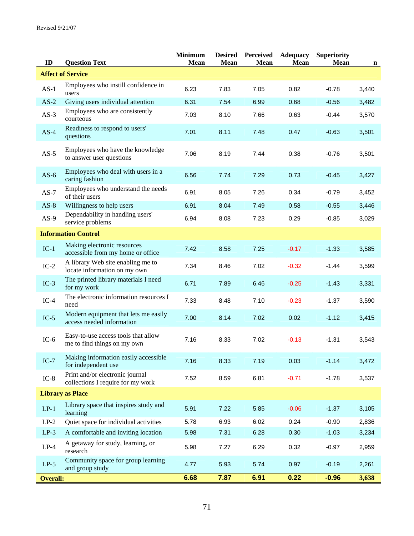| ID              | <b>Question Text</b>                                                 | <b>Minimum</b><br><b>Mean</b> | <b>Desired</b><br><b>Mean</b> | Perceived<br><b>Mean</b> | <b>Adequacy</b><br><b>Mean</b> | <b>Superiority</b><br>Mean | $\mathbf n$ |
|-----------------|----------------------------------------------------------------------|-------------------------------|-------------------------------|--------------------------|--------------------------------|----------------------------|-------------|
|                 | <b>Affect of Service</b>                                             |                               |                               |                          |                                |                            |             |
| $AS-1$          | Employees who instill confidence in<br>users                         | 6.23                          | 7.83                          | 7.05                     | 0.82                           | $-0.78$                    | 3,440       |
| $AS-2$          | Giving users individual attention                                    | 6.31                          | 7.54                          | 6.99                     | 0.68                           | $-0.56$                    | 3,482       |
| $AS-3$          | Employees who are consistently<br>courteous                          | 7.03                          | 8.10                          | 7.66                     | 0.63                           | $-0.44$                    | 3,570       |
| $AS-4$          | Readiness to respond to users'<br>questions                          | 7.01                          | 8.11                          | 7.48                     | 0.47                           | $-0.63$                    | 3,501       |
| $AS-5$          | Employees who have the knowledge<br>to answer user questions         | 7.06                          | 8.19                          | 7.44                     | 0.38                           | $-0.76$                    | 3,501       |
| $AS-6$          | Employees who deal with users in a<br>caring fashion                 | 6.56                          | 7.74                          | 7.29                     | 0.73                           | $-0.45$                    | 3,427       |
| $AS-7$          | Employees who understand the needs<br>of their users                 | 6.91                          | 8.05                          | 7.26                     | 0.34                           | $-0.79$                    | 3,452       |
| $AS-8$          | Willingness to help users                                            | 6.91                          | 8.04                          | 7.49                     | 0.58                           | $-0.55$                    | 3,446       |
| $AS-9$          | Dependability in handling users'<br>service problems                 | 6.94                          | 8.08                          | 7.23                     | 0.29                           | $-0.85$                    | 3,029       |
|                 | <b>Information Control</b>                                           |                               |                               |                          |                                |                            |             |
| $IC-1$          | Making electronic resources<br>accessible from my home or office     | 7.42                          | 8.58                          | 7.25                     | $-0.17$                        | $-1.33$                    | 3,585       |
| $IC-2$          | A library Web site enabling me to<br>locate information on my own    | 7.34                          | 8.46                          | 7.02                     | $-0.32$                        | $-1.44$                    | 3,599       |
| $IC-3$          | The printed library materials I need<br>for my work                  | 6.71                          | 7.89                          | 6.46                     | $-0.25$                        | $-1.43$                    | 3,331       |
| $IC-4$          | The electronic information resources I<br>need                       | 7.33                          | 8.48                          | 7.10                     | $-0.23$                        | $-1.37$                    | 3,590       |
| $IC-5$          | Modern equipment that lets me easily<br>access needed information    | 7.00                          | 8.14                          | 7.02                     | 0.02                           | $-1.12$                    | 3,415       |
| $IC-6$          | Easy-to-use access tools that allow<br>me to find things on my own   | 7.16                          | 8.33                          | 7.02                     | $-0.13$                        | $-1.31$                    | 3,543       |
| $IC-7$          | Making information easily accessible<br>for independent use          | 7.16                          | 8.33                          | 7.19                     | 0.03                           | $-1.14$                    | 3,472       |
| $IC-8$          | Print and/or electronic journal<br>collections I require for my work | 7.52                          | 8.59                          | 6.81                     | $-0.71$                        | $-1.78$                    | 3,537       |
|                 | <b>Library as Place</b>                                              |                               |                               |                          |                                |                            |             |
| $LP-1$          | Library space that inspires study and<br>learning                    | 5.91                          | 7.22                          | 5.85                     | $-0.06$                        | $-1.37$                    | 3,105       |
| $LP-2$          | Quiet space for individual activities                                | 5.78                          | 6.93                          | 6.02                     | 0.24                           | $-0.90$                    | 2,836       |
| $LP-3$          | A comfortable and inviting location                                  | 5.98                          | 7.31                          | 6.28                     | 0.30                           | $-1.03$                    | 3,234       |
| $LP-4$          | A getaway for study, learning, or<br>research                        | 5.98                          | 7.27                          | 6.29                     | 0.32                           | $-0.97$                    | 2,959       |
| $LP-5$          | Community space for group learning<br>and group study                | 4.77                          | 5.93                          | 5.74                     | 0.97                           | $-0.19$                    | 2,261       |
| <b>Overall:</b> |                                                                      | 6.68                          | 7.87                          | 6.91                     | 0.22                           | $-0.96$                    | 3,638       |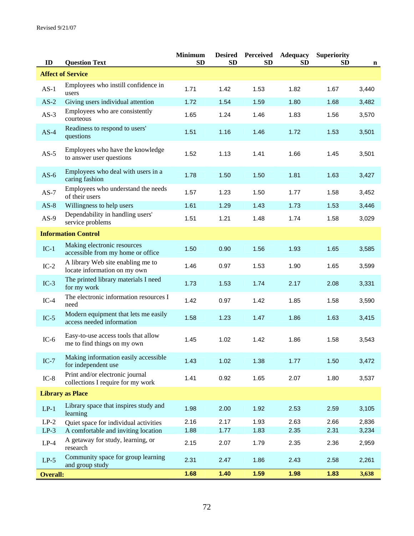| ID                         | <b>Question Text</b>                                                 | <b>Minimum</b><br><b>SD</b> | <b>Desired</b><br><b>SD</b> | Perceived<br><b>SD</b> | <b>Adequacy</b><br><b>SD</b> | <b>Superiority</b><br>SD. | $\mathbf n$ |
|----------------------------|----------------------------------------------------------------------|-----------------------------|-----------------------------|------------------------|------------------------------|---------------------------|-------------|
| <b>Affect of Service</b>   |                                                                      |                             |                             |                        |                              |                           |             |
| $AS-1$                     | Employees who instill confidence in<br>users                         | 1.71                        | 1.42                        | 1.53                   | 1.82                         | 1.67                      | 3,440       |
| $AS-2$                     | Giving users individual attention                                    | 1.72                        | 1.54                        | 1.59                   | 1.80                         | 1.68                      | 3,482       |
| $AS-3$                     | Employees who are consistently<br>courteous                          | 1.65                        | 1.24                        | 1.46                   | 1.83                         | 1.56                      | 3,570       |
| $AS-4$                     | Readiness to respond to users'<br>questions                          | 1.51                        | 1.16                        | 1.46                   | 1.72                         | 1.53                      | 3,501       |
| $AS-5$                     | Employees who have the knowledge<br>to answer user questions         | 1.52                        | 1.13                        | 1.41                   | 1.66                         | 1.45                      | 3,501       |
| $AS-6$                     | Employees who deal with users in a<br>caring fashion                 | 1.78                        | 1.50                        | 1.50                   | 1.81                         | 1.63                      | 3,427       |
| $AS-7$                     | Employees who understand the needs<br>of their users                 | 1.57                        | 1.23                        | 1.50                   | 1.77                         | 1.58                      | 3,452       |
| $AS-8$                     | Willingness to help users                                            | 1.61                        | 1.29                        | 1.43                   | 1.73                         | 1.53                      | 3,446       |
| $AS-9$                     | Dependability in handling users'<br>service problems                 | 1.51                        | 1.21                        | 1.48                   | 1.74                         | 1.58                      | 3,029       |
| <b>Information Control</b> |                                                                      |                             |                             |                        |                              |                           |             |
| $IC-1$                     | Making electronic resources<br>accessible from my home or office     | 1.50                        | 0.90                        | 1.56                   | 1.93                         | 1.65                      | 3,585       |
| $IC-2$                     | A library Web site enabling me to<br>locate information on my own    | 1.46                        | 0.97                        | 1.53                   | 1.90                         | 1.65                      | 3,599       |
| $IC-3$                     | The printed library materials I need<br>for my work                  | 1.73                        | 1.53                        | 1.74                   | 2.17                         | 2.08                      | 3,331       |
| $IC-4$                     | The electronic information resources I<br>need                       | 1.42                        | 0.97                        | 1.42                   | 1.85                         | 1.58                      | 3,590       |
| $IC-5$                     | Modern equipment that lets me easily<br>access needed information    | 1.58                        | 1.23                        | 1.47                   | 1.86                         | 1.63                      | 3,415       |
| $IC-6$                     | Easy-to-use access tools that allow<br>me to find things on my own   | 1.45                        | 1.02                        | 1.42                   | 1.86                         | 1.58                      | 3,543       |
| $IC-7$                     | Making information easily accessible<br>for independent use          | 1.43                        | 1.02                        | 1.38                   | 1.77                         | 1.50                      | 3,472       |
| $IC-8$                     | Print and/or electronic journal<br>collections I require for my work | 1.41                        | 0.92                        | 1.65                   | 2.07                         | 1.80                      | 3,537       |
| <b>Library as Place</b>    |                                                                      |                             |                             |                        |                              |                           |             |
| $LP-1$                     | Library space that inspires study and<br>learning                    | 1.98                        | 2.00                        | 1.92                   | 2.53                         | 2.59                      | 3,105       |
| $LP-2$                     | Quiet space for individual activities                                | 2.16                        | 2.17                        | 1.93                   | 2.63                         | 2.66                      | 2,836       |
| $LP-3$                     | A comfortable and inviting location                                  | 1.88                        | 1.77                        | 1.83                   | 2.35                         | 2.31                      | 3,234       |
| $LP-4$                     | A getaway for study, learning, or<br>research                        | 2.15                        | 2.07                        | 1.79                   | 2.35                         | 2.36                      | 2,959       |
| $LP-5$                     | Community space for group learning<br>and group study                | 2.31                        | 2.47                        | 1.86                   | 2.43                         | 2.58                      | 2,261       |
| <b>Overall:</b>            |                                                                      | 1.68                        | 1.40                        | 1.59                   | 1.98                         | 1.83                      | 3,638       |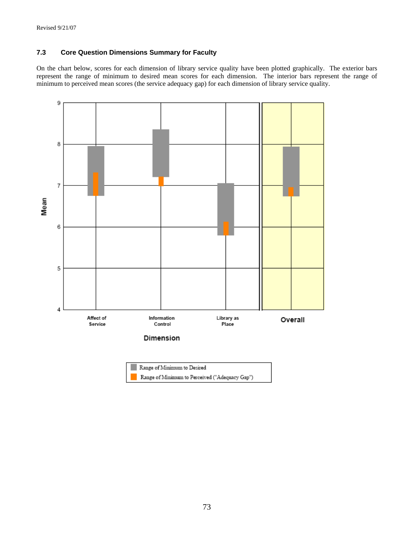# **7.3 Core Question Dimensions Summary for Faculty**

On the chart below, scores for each dimension of library service quality have been plotted graphically. The exterior bars represent the range of minimum to desired mean scores for each dimension. The interior bars represent the range of minimum to perceived mean scores (the service adequacy gap) for each dimension of library service quality.



Range of Minimum to Perceived ("Adequacy Gap")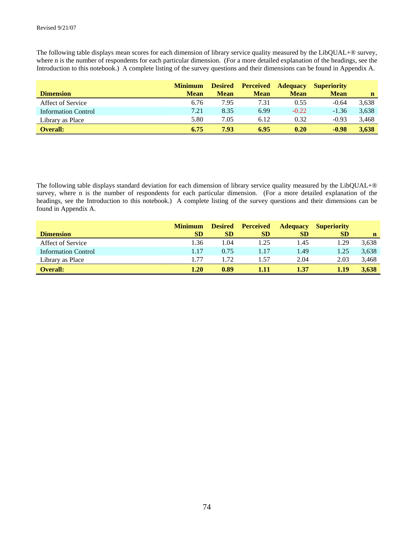The following table displays mean scores for each dimension of library service quality measured by the LibQUAL+® survey, where n is the number of respondents for each particular dimension. (For a more detailed explanation of the headings, see the Introduction to this notebook.) A complete listing of the survey questions and their dimensions can be found in Appendix A.

|                     | <b>Minimum</b> |             | <b>Desired Perceived</b> | <b>Adequacy</b> | <b>Superiority</b> |       |
|---------------------|----------------|-------------|--------------------------|-----------------|--------------------|-------|
| <b>Dimension</b>    | <b>Mean</b>    | <b>Mean</b> | <b>Mean</b>              | <b>Mean</b>     | <b>Mean</b>        | n     |
| Affect of Service   | 6.76           | 7.95        | 7.31                     | 0.55            | $-0.64$            | 3,638 |
| Information Control | 7.21           | 8.35        | 6.99                     | $-0.22$         | $-1.36$            | 3,638 |
| Library as Place    | 5.80           | 7.05        | 6.12                     | 0.32            | $-0.93$            | 3.468 |
| <b>Overall:</b>     | 6.75           | 7.93        | 6.95                     | 0.20            | $-0.98$            | 3,638 |

The following table displays standard deviation for each dimension of library service quality measured by the LibQUAL+® survey, where n is the number of respondents for each particular dimension. (For a more detailed explanation of the headings, see the Introduction to this notebook.) A complete listing of the survey questions and their dimensions can be found in Appendix A.

|                            | <b>Minimum</b> | <b>Desired</b> | <b>Perceived</b> | <b>Adequacy</b> | <b>Superiority</b> |       |
|----------------------------|----------------|----------------|------------------|-----------------|--------------------|-------|
| <b>Dimension</b>           | <b>SD</b>      | <b>SD</b>      | <b>SD</b>        | <b>SD</b>       | <b>SD</b>          | n     |
| Affect of Service          | 1.36           | 1.04           | 1.25             | 1.45            | 1.29               | 3,638 |
| <b>Information Control</b> | 1.17           | 0.75           | 1.17             | 1.49            | 1.25               | 3,638 |
| Library as Place           | 1.77           | 1.72           | 1.57             | 2.04            | 2.03               | 3,468 |
| <b>Overall:</b>            | 1.20           | 0.89           | 1.11             | 1.37            | 1.19               | 3,638 |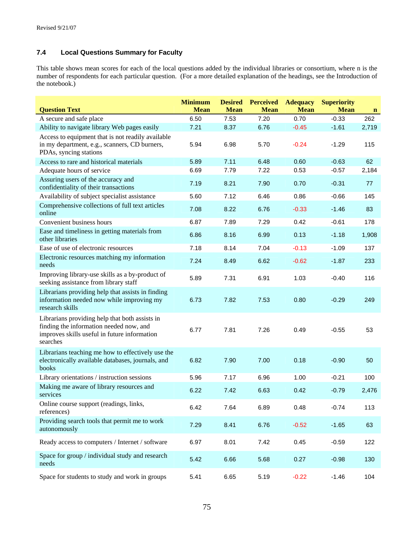# **7.4 Local Questions Summary for Faculty**

| <b>Question Text</b>                                                                                                                                  | <b>Minimum</b><br><b>Mean</b> | <b>Desired</b><br><b>Mean</b> | <b>Perceived</b><br><b>Mean</b> | <b>Adequacy</b><br><b>Mean</b> | <b>Superiority</b><br><b>Mean</b> | $\mathbf n$ |
|-------------------------------------------------------------------------------------------------------------------------------------------------------|-------------------------------|-------------------------------|---------------------------------|--------------------------------|-----------------------------------|-------------|
| A secure and safe place                                                                                                                               | 6.50                          | 7.53                          | 7.20                            | 0.70                           | $-0.33$                           | 262         |
| Ability to navigate library Web pages easily                                                                                                          | 7.21                          | 8.37                          | 6.76                            | $-0.45$                        | $-1.61$                           | 2,719       |
| Access to equipment that is not readily available<br>in my department, e.g., scanners, CD burners,<br>PDAs, syncing stations                          | 5.94                          | 6.98                          | 5.70                            | $-0.24$                        | $-1.29$                           | 115         |
| Access to rare and historical materials                                                                                                               | 5.89                          | 7.11                          | 6.48                            | 0.60                           | $-0.63$                           | 62          |
| Adequate hours of service                                                                                                                             | 6.69                          | 7.79                          | 7.22                            | 0.53                           | $-0.57$                           | 2,184       |
| Assuring users of the accuracy and<br>confidentiality of their transactions                                                                           | 7.19                          | 8.21                          | 7.90                            | 0.70                           | $-0.31$                           | 77          |
| Availability of subject specialist assistance                                                                                                         | 5.60                          | 7.12                          | 6.46                            | 0.86                           | $-0.66$                           | 145         |
| Comprehensive collections of full text articles<br>online                                                                                             | 7.08                          | 8.22                          | 6.76                            | $-0.33$                        | $-1.46$                           | 83          |
| Convenient business hours                                                                                                                             | 6.87                          | 7.89                          | 7.29                            | 0.42                           | $-0.61$                           | 178         |
| Ease and timeliness in getting materials from<br>other libraries                                                                                      | 6.86                          | 8.16                          | 6.99                            | 0.13                           | $-1.18$                           | 1,908       |
| Ease of use of electronic resources                                                                                                                   | 7.18                          | 8.14                          | 7.04                            | $-0.13$                        | $-1.09$                           | 137         |
| Electronic resources matching my information<br>needs                                                                                                 | 7.24                          | 8.49                          | 6.62                            | $-0.62$                        | $-1.87$                           | 233         |
| Improving library-use skills as a by-product of<br>seeking assistance from library staff                                                              | 5.89                          | 7.31                          | 6.91                            | 1.03                           | $-0.40$                           | 116         |
| Librarians providing help that assists in finding<br>information needed now while improving my<br>research skills                                     | 6.73                          | 7.82                          | 7.53                            | 0.80                           | $-0.29$                           | 249         |
| Librarians providing help that both assists in<br>finding the information needed now, and<br>improves skills useful in future information<br>searches | 6.77                          | 7.81                          | 7.26                            | 0.49                           | $-0.55$                           | 53          |
| Librarians teaching me how to effectively use the<br>electronically available databases, journals, and<br>books                                       | 6.82                          | 7.90                          | 7.00                            | 0.18                           | $-0.90$                           | 50          |
| Library orientations / instruction sessions                                                                                                           | 5.96                          | 7.17                          | 6.96                            | 1.00                           | $-0.21$                           | 100         |
| Making me aware of library resources and<br>services                                                                                                  | 6.22                          | 7.42                          | 6.63                            | 0.42                           | $-0.79$                           | 2,476       |
| Online course support (readings, links,<br>references)                                                                                                | 6.42                          | 7.64                          | 6.89                            | 0.48                           | $-0.74$                           | 113         |
| Providing search tools that permit me to work<br>autonomously                                                                                         | 7.29                          | 8.41                          | 6.76                            | $-0.52$                        | $-1.65$                           | 63          |
| Ready access to computers / Internet / software                                                                                                       | 6.97                          | 8.01                          | 7.42                            | 0.45                           | $-0.59$                           | 122         |
| Space for group / individual study and research<br>needs                                                                                              | 5.42                          | 6.66                          | 5.68                            | 0.27                           | $-0.98$                           | 130         |
| Space for students to study and work in groups                                                                                                        | 5.41                          | 6.65                          | 5.19                            | $-0.22$                        | $-1.46$                           | 104         |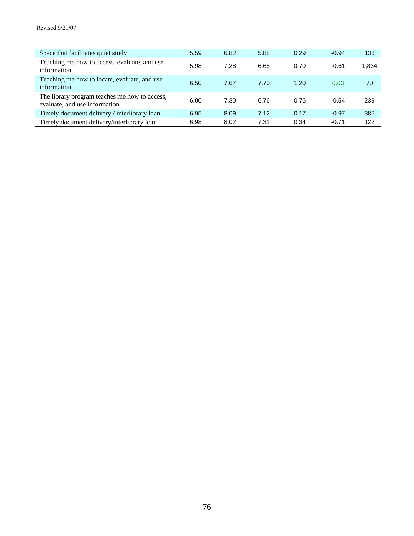| Space that facilitates quiet study                                             | 5.59 | 6.82 | 5.88 | 0.29 | $-0.94$ | 138   |
|--------------------------------------------------------------------------------|------|------|------|------|---------|-------|
| Teaching me how to access, evaluate, and use<br>information                    | 5.98 | 7.28 | 6.68 | 0.70 | $-0.61$ | 1.834 |
| Teaching me how to locate, evaluate, and use<br>information                    | 6.50 | 7.67 | 7.70 | 1.20 | 0.03    | 70    |
| The library program teaches me how to access,<br>evaluate, and use information | 6.00 | 7.30 | 6.76 | 0.76 | $-0.54$ | 239   |
| Timely document delivery / interlibrary loan                                   | 6.95 | 8.09 | 7.12 | 0.17 | $-0.97$ | 385   |
| Timely document delivery/interlibrary loan                                     | 6.98 | 8.02 | 7.31 | 0.34 | $-0.71$ | 122   |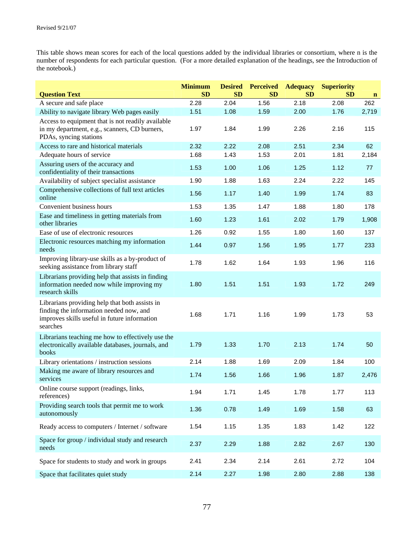| <b>Question Text</b>                                                                                                                                  | <b>Minimum</b><br><b>SD</b> | <b>Desired</b><br><b>SD</b> | <b>Perceived</b><br><b>SD</b> | <b>Adequacy</b><br><b>SD</b> | <b>Superiority</b><br><b>SD</b> | $\mathbf{n}$ |
|-------------------------------------------------------------------------------------------------------------------------------------------------------|-----------------------------|-----------------------------|-------------------------------|------------------------------|---------------------------------|--------------|
| A secure and safe place                                                                                                                               | 2.28                        | 2.04                        | 1.56                          | 2.18                         | 2.08                            | 262          |
| Ability to navigate library Web pages easily                                                                                                          | 1.51                        | 1.08                        | 1.59                          | 2.00                         | 1.76                            | 2,719        |
| Access to equipment that is not readily available<br>in my department, e.g., scanners, CD burners,<br>PDAs, syncing stations                          | 1.97                        | 1.84                        | 1.99                          | 2.26                         | 2.16                            | 115          |
| Access to rare and historical materials                                                                                                               | 2.32                        | 2.22                        | 2.08                          | 2.51                         | 2.34                            | 62           |
| Adequate hours of service                                                                                                                             | 1.68                        | 1.43                        | 1.53                          | 2.01                         | 1.81                            | 2,184        |
| Assuring users of the accuracy and<br>confidentiality of their transactions                                                                           | 1.53                        | 1.00                        | 1.06                          | 1.25                         | 1.12                            | 77           |
| Availability of subject specialist assistance                                                                                                         | 1.90                        | 1.88                        | 1.63                          | 2.24                         | 2.22                            | 145          |
| Comprehensive collections of full text articles<br>online                                                                                             | 1.56                        | 1.17                        | 1.40                          | 1.99                         | 1.74                            | 83           |
| Convenient business hours                                                                                                                             | 1.53                        | 1.35                        | 1.47                          | 1.88                         | 1.80                            | 178          |
| Ease and timeliness in getting materials from<br>other libraries                                                                                      | 1.60                        | 1.23                        | 1.61                          | 2.02                         | 1.79                            | 1,908        |
| Ease of use of electronic resources                                                                                                                   | 1.26                        | 0.92                        | 1.55                          | 1.80                         | 1.60                            | 137          |
| Electronic resources matching my information<br>needs                                                                                                 | 1.44                        | 0.97                        | 1.56                          | 1.95                         | 1.77                            | 233          |
| Improving library-use skills as a by-product of<br>seeking assistance from library staff                                                              | 1.78                        | 1.62                        | 1.64                          | 1.93                         | 1.96                            | 116          |
| Librarians providing help that assists in finding<br>information needed now while improving my<br>research skills                                     | 1.80                        | 1.51                        | 1.51                          | 1.93                         | 1.72                            | 249          |
| Librarians providing help that both assists in<br>finding the information needed now, and<br>improves skills useful in future information<br>searches | 1.68                        | 1.71                        | 1.16                          | 1.99                         | 1.73                            | 53           |
| Librarians teaching me how to effectively use the<br>electronically available databases, journals, and<br>books                                       | 1.79                        | 1.33                        | 1.70                          | 2.13                         | 1.74                            | 50           |
| Library orientations / instruction sessions                                                                                                           | 2.14                        | 1.88                        | 1.69                          | 2.09                         | 1.84                            | 100          |
| Making me aware of library resources and<br>services                                                                                                  | 1.74                        | 1.56                        | 1.66                          | 1.96                         | 1.87                            | 2,476        |
| Online course support (readings, links,<br>references)                                                                                                | 1.94                        | 1.71                        | 1.45                          | 1.78                         | 1.77                            | 113          |
| Providing search tools that permit me to work<br>autonomously                                                                                         | 1.36                        | 0.78                        | 1.49                          | 1.69                         | 1.58                            | 63           |
| Ready access to computers / Internet / software                                                                                                       | 1.54                        | 1.15                        | 1.35                          | 1.83                         | 1.42                            | 122          |
| Space for group / individual study and research<br>needs                                                                                              | 2.37                        | 2.29                        | 1.88                          | 2.82                         | 2.67                            | 130          |
| Space for students to study and work in groups                                                                                                        | 2.41                        | 2.34                        | 2.14                          | 2.61                         | 2.72                            | 104          |
| Space that facilitates quiet study                                                                                                                    | 2.14                        | 2.27                        | 1.98                          | 2.80                         | 2.88                            | 138          |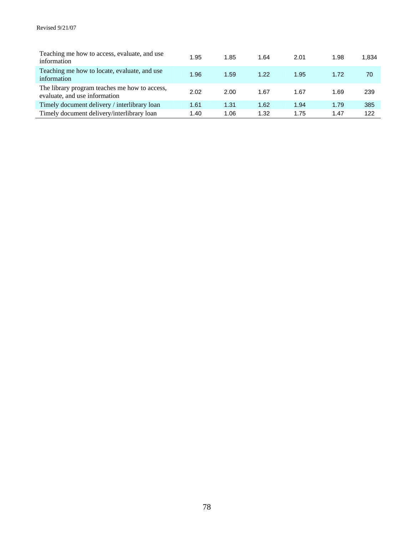| Teaching me how to access, evaluate, and use<br>information                    | 1.95 | 1.85 | 1.64 | 2.01 | 1.98 | 1.834 |
|--------------------------------------------------------------------------------|------|------|------|------|------|-------|
| Teaching me how to locate, evaluate, and use<br>information                    | 1.96 | 1.59 | 1.22 | 1.95 | 1.72 | 70    |
| The library program teaches me how to access,<br>evaluate, and use information | 2.02 | 2.00 | 1.67 | 1.67 | 1.69 | 239   |
| Timely document delivery / interlibrary loan                                   | 1.61 | 1.31 | 1.62 | 1.94 | 1.79 | 385   |
| Timely document delivery/interlibrary loan                                     | 1.40 | 1.06 | 1.32 | 1.75 | 1.47 | 122   |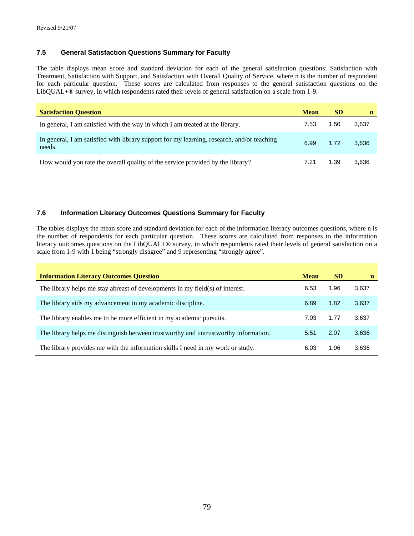## **7.5 General Satisfaction Questions Summary for Faculty**

The table displays mean score and standard deviation for each of the general satisfaction questions: Satisfaction with Treatment, Satisfaction with Support, and Satisfaction with Overall Quality of Service, where n is the number of respondent for each particular question. These scores are calculated from responses to the general satisfaction questions on the LibQUAL+® survey, in which respondents rated their levels of general satisfaction on a scale from 1-9.

| <b>Satisfaction Question</b>                                                                         | <b>Mean</b> | <b>SD</b> | n     |
|------------------------------------------------------------------------------------------------------|-------------|-----------|-------|
| In general, I am satisfied with the way in which I am treated at the library.                        | 7.53        | 1.50      | 3.637 |
| In general, I am satisfied with library support for my learning, research, and/or teaching<br>needs. | 6.99        | 1.72      | 3.636 |
| How would you rate the overall quality of the service provided by the library?                       | 7.21        | 1.39      | 3.636 |

#### **7.6 Information Literacy Outcomes Questions Summary for Faculty**

The tables displays the mean score and standard deviation for each of the information literacy outcomes questions, where n is the number of respondents for each particular question. These scores are calculated from responses to the information literacy outcomes questions on the LibQUAL+® survey, in which respondents rated their levels of general satisfaction on a scale from 1-9 with 1 being "strongly disagree" and 9 representing "strongly agree".

| <b>Information Literacy Outcomes Ouestion</b>                                       | <b>Mean</b> | <b>SD</b> | n     |
|-------------------------------------------------------------------------------------|-------------|-----------|-------|
| The library helps me stay abreast of developments in my field(s) of interest.       | 6.53        | 1.96      | 3,637 |
| The library aids my advancement in my academic discipline.                          | 6.89        | 1.82      | 3,637 |
| The library enables me to be more efficient in my academic pursuits.                | 7.03        | 1.77      | 3,637 |
| The library helps me distinguish between trustworthy and untrustworthy information. | 5.51        | 2.07      | 3,636 |
| The library provides me with the information skills I need in my work or study.     | 6.03        | 1.96      | 3,636 |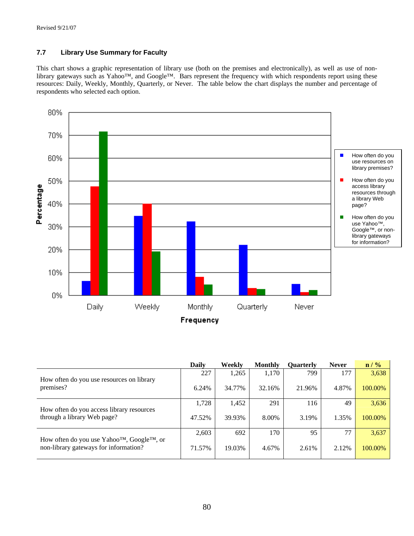# **7.7 Library Use Summary for Faculty**

This chart shows a graphic representation of library use (both on the premises and electronically), as well as use of nonlibrary gateways such as Yahoo™, and Google™. Bars represent the frequency with which respondents report using these resources: Daily, Weekly, Monthly, Quarterly, or Never. The table below the chart displays the number and percentage of respondents who selected each option.



|                                                                                   | <b>Daily</b> | Weekly          | <b>Monthly</b> | <b>Ouarterly</b> | <b>Never</b> | n / %   |
|-----------------------------------------------------------------------------------|--------------|-----------------|----------------|------------------|--------------|---------|
|                                                                                   | 227          | 1,265           | 1,170          | 799              | 177          | 3,638   |
| How often do you use resources on library<br>premises?                            | 6.24%        | 34.77%          | 32.16%         | 21.96%           | 4.87%        | 100.00% |
|                                                                                   | 1,728        | 1,452           | 291            | 116              | 49           | 3,636   |
| How often do you access library resources<br>through a library Web page?          | 47.52%       | 39.93%<br>8.00% | 3.19%          | 1.35%            | 100.00%      |         |
|                                                                                   | 2,603        | 692             | 170            | 95               | 77           | 3,637   |
| How often do you use Yahoo™, Google™, or<br>non-library gateways for information? | 71.57%       | 19.03%          | 4.67%          | 2.61%            | 2.12%        | 100.00% |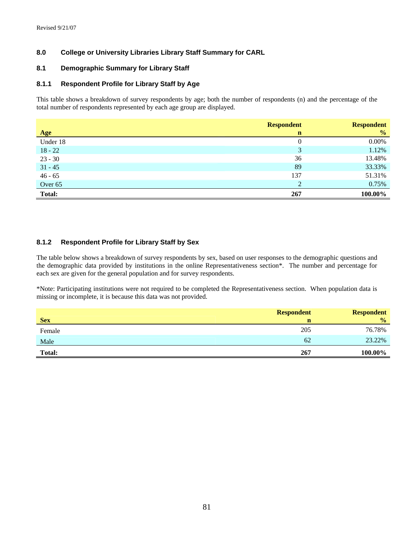## **8.0 College or University Libraries Library Staff Summary for CARL**

#### **8.1 Demographic Summary for Library Staff**

#### **8.1.1 Respondent Profile for Library Staff by Age**

This table shows a breakdown of survey respondents by age; both the number of respondents (n) and the percentage of the total number of respondents represented by each age group are displayed.

|               | <b>Respondent</b> | <b>Respondent</b> |
|---------------|-------------------|-------------------|
| <b>Age</b>    | $\mathbf n$       | $\frac{0}{0}$     |
| Under 18      | 0                 | 0.00%             |
| $18 - 22$     | 3                 | 1.12%             |
| $23 - 30$     | 36                | 13.48%            |
| $31 - 45$     | 89                | 33.33%            |
| $46 - 65$     | 137               | 51.31%            |
| Over 65       | ↑                 | 0.75%             |
| <b>Total:</b> | 267               | 100.00%           |

## **8.1.2 Respondent Profile for Library Staff by Sex**

The table below shows a breakdown of survey respondents by sex, based on user responses to the demographic questions and the demographic data provided by institutions in the online Representativeness section\*. The number and percentage for each sex are given for the general population and for survey respondents.

\*Note: Participating institutions were not required to be completed the Representativeness section. When population data is missing or incomplete, it is because this data was not provided.

|               | <b>Respondent</b> | <b>Respondent</b> |
|---------------|-------------------|-------------------|
| <b>Sex</b>    | n                 | $\frac{0}{0}$     |
| Female        | 205               | 76.78%            |
| Male          | 62                | 23.22%            |
| <b>Total:</b> | 267               | 100.00%           |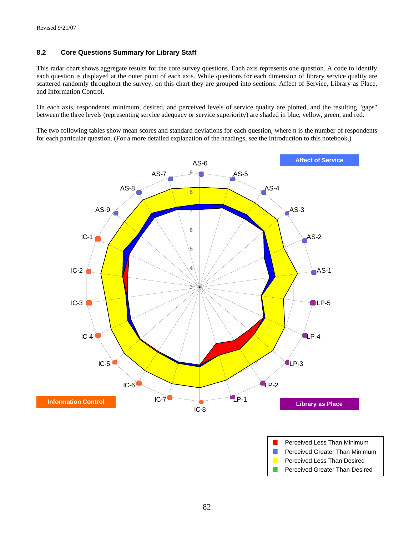## **8.2 Core Questions Summary for Library Staff**

This radar chart shows aggregate results for the core survey questions. Each axis represents one question. A code to identify each question is displayed at the outer point of each axis. While questions for each dimension of library service quality are scattered randomly throughout the survey, on this chart they are grouped into sections: Affect of Service, Library as Place, and Information Control.

On each axis, respondents' minimum, desired, and perceived levels of service quality are plotted, and the resulting "gaps" between the three levels (representing service adequacy or service superiority) are shaded in blue, yellow, green, and red.

The two following tables show mean scores and standard deviations for each question, where n is the number of respondents for each particular question. (For a more detailed explanation of the headings, see the Introduction to this notebook.)



- Perceived Less Than Desired
- **Perceived Greater Than Desired**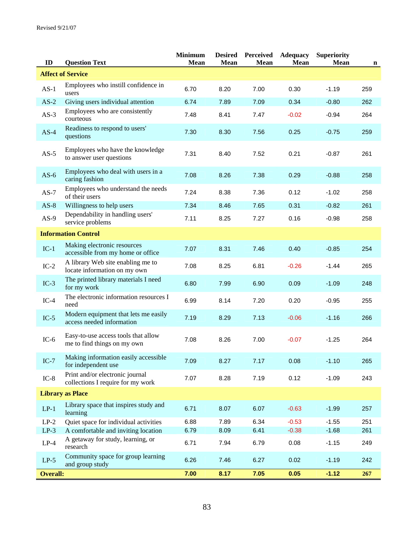| ID              | <b>Question Text</b>                                                 | <b>Minimum</b><br><b>Mean</b> | <b>Desired</b><br><b>Mean</b> | Perceived<br><b>Mean</b> | <b>Adequacy</b><br><b>Mean</b> | <b>Superiority</b><br>Mean | $\mathbf n$ |
|-----------------|----------------------------------------------------------------------|-------------------------------|-------------------------------|--------------------------|--------------------------------|----------------------------|-------------|
|                 | <b>Affect of Service</b>                                             |                               |                               |                          |                                |                            |             |
| $AS-1$          | Employees who instill confidence in<br>users                         | 6.70                          | 8.20                          | 7.00                     | 0.30                           | $-1.19$                    | 259         |
| $AS-2$          | Giving users individual attention                                    | 6.74                          | 7.89                          | 7.09                     | 0.34                           | $-0.80$                    | 262         |
| $AS-3$          | Employees who are consistently<br>courteous                          | 7.48                          | 8.41                          | 7.47                     | $-0.02$                        | $-0.94$                    | 264         |
| $AS-4$          | Readiness to respond to users'<br>questions                          | 7.30                          | 8.30                          | 7.56                     | 0.25                           | $-0.75$                    | 259         |
| $AS-5$          | Employees who have the knowledge<br>to answer user questions         | 7.31                          | 8.40                          | 7.52                     | 0.21                           | $-0.87$                    | 261         |
| $AS-6$          | Employees who deal with users in a<br>caring fashion                 | 7.08                          | 8.26                          | 7.38                     | 0.29                           | $-0.88$                    | 258         |
| $AS-7$          | Employees who understand the needs<br>of their users                 | 7.24                          | 8.38                          | 7.36                     | 0.12                           | $-1.02$                    | 258         |
| $AS-8$          | Willingness to help users                                            | 7.34                          | 8.46                          | 7.65                     | 0.31                           | $-0.82$                    | 261         |
| $AS-9$          | Dependability in handling users'<br>service problems                 | 7.11                          | 8.25                          | 7.27                     | 0.16                           | $-0.98$                    | 258         |
|                 | <b>Information Control</b>                                           |                               |                               |                          |                                |                            |             |
| $IC-1$          | Making electronic resources<br>accessible from my home or office     | 7.07                          | 8.31                          | 7.46                     | 0.40                           | $-0.85$                    | 254         |
| $IC-2$          | A library Web site enabling me to<br>locate information on my own    | 7.08                          | 8.25                          | 6.81                     | $-0.26$                        | $-1.44$                    | 265         |
| $IC-3$          | The printed library materials I need<br>for my work                  | 6.80                          | 7.99                          | 6.90                     | 0.09                           | $-1.09$                    | 248         |
| $IC-4$          | The electronic information resources I<br>need                       | 6.99                          | 8.14                          | 7.20                     | 0.20                           | $-0.95$                    | 255         |
| $IC-5$          | Modern equipment that lets me easily<br>access needed information    | 7.19                          | 8.29                          | 7.13                     | $-0.06$                        | $-1.16$                    | 266         |
| $IC-6$          | Easy-to-use access tools that allow<br>me to find things on my own   | 7.08                          | 8.26                          | 7.00                     | $-0.07$                        | $-1.25$                    | 264         |
| $IC-7$          | Making information easily accessible<br>for independent use          | 7.09                          | 8.27                          | 7.17                     | 0.08                           | $-1.10$                    | 265         |
| $IC-8$          | Print and/or electronic journal<br>collections I require for my work | 7.07                          | 8.28                          | 7.19                     | 0.12                           | $-1.09$                    | 243         |
|                 | <b>Library as Place</b>                                              |                               |                               |                          |                                |                            |             |
| $LP-1$          | Library space that inspires study and<br>learning                    | 6.71                          | 8.07                          | 6.07                     | $-0.63$                        | $-1.99$                    | 257         |
| $LP-2$          | Quiet space for individual activities                                | 6.88                          | 7.89                          | 6.34                     | $-0.53$                        | $-1.55$                    | 251         |
| $LP-3$          | A comfortable and inviting location                                  | 6.79                          | 8.09                          | 6.41                     | $-0.38$                        | $-1.68$                    | 261         |
| $LP-4$          | A getaway for study, learning, or<br>research                        | 6.71                          | 7.94                          | 6.79                     | 0.08                           | $-1.15$                    | 249         |
| $LP-5$          | Community space for group learning<br>and group study                | 6.26                          | 7.46                          | 6.27                     | 0.02                           | $-1.19$                    | 242         |
| <b>Overall:</b> |                                                                      | 7.00                          | 8.17                          | 7.05                     | 0.05                           | $-1.12$                    | 267         |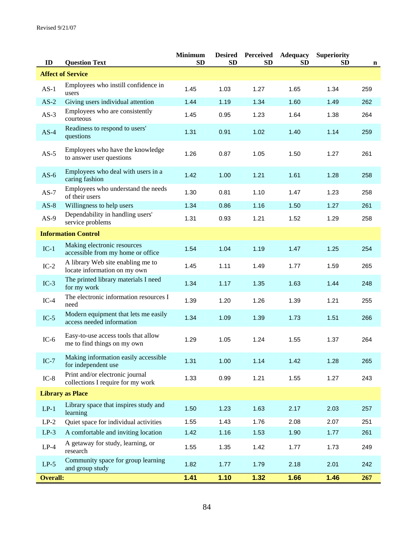| ID              | <b>Question Text</b>                                                 | <b>Minimum</b><br><b>SD</b> | <b>Desired</b><br><b>SD</b> | Perceived<br><b>SD</b> | <b>Adequacy</b><br><b>SD</b> | <b>Superiority</b><br><b>SD</b> | $\mathbf n$ |
|-----------------|----------------------------------------------------------------------|-----------------------------|-----------------------------|------------------------|------------------------------|---------------------------------|-------------|
|                 | <b>Affect of Service</b>                                             |                             |                             |                        |                              |                                 |             |
| $AS-1$          | Employees who instill confidence in<br>users                         | 1.45                        | 1.03                        | 1.27                   | 1.65                         | 1.34                            | 259         |
| $AS-2$          | Giving users individual attention                                    | 1.44                        | 1.19                        | 1.34                   | 1.60                         | 1.49                            | 262         |
| $AS-3$          | Employees who are consistently<br>courteous                          | 1.45                        | 0.95                        | 1.23                   | 1.64                         | 1.38                            | 264         |
| $AS-4$          | Readiness to respond to users'<br>questions                          | 1.31                        | 0.91                        | 1.02                   | 1.40                         | 1.14                            | 259         |
| $AS-5$          | Employees who have the knowledge<br>to answer user questions         | 1.26                        | 0.87                        | 1.05                   | 1.50                         | 1.27                            | 261         |
| $AS-6$          | Employees who deal with users in a<br>caring fashion                 | 1.42                        | 1.00                        | 1.21                   | 1.61                         | 1.28                            | 258         |
| $AS-7$          | Employees who understand the needs<br>of their users                 | 1.30                        | 0.81                        | 1.10                   | 1.47                         | 1.23                            | 258         |
| $AS-8$          | Willingness to help users                                            | 1.34                        | 0.86                        | 1.16                   | 1.50                         | 1.27                            | 261         |
| $AS-9$          | Dependability in handling users'<br>service problems                 | 1.31                        | 0.93                        | 1.21                   | 1.52                         | 1.29                            | 258         |
|                 | <b>Information Control</b>                                           |                             |                             |                        |                              |                                 |             |
| $IC-1$          | Making electronic resources<br>accessible from my home or office     | 1.54                        | 1.04                        | 1.19                   | 1.47                         | 1.25                            | 254         |
| $IC-2$          | A library Web site enabling me to<br>locate information on my own    | 1.45                        | 1.11                        | 1.49                   | 1.77                         | 1.59                            | 265         |
| $IC-3$          | The printed library materials I need<br>for my work                  | 1.34                        | 1.17                        | 1.35                   | 1.63                         | 1.44                            | 248         |
| $IC-4$          | The electronic information resources I<br>need                       | 1.39                        | 1.20                        | 1.26                   | 1.39                         | 1.21                            | 255         |
| $IC-5$          | Modern equipment that lets me easily<br>access needed information    | 1.34                        | 1.09                        | 1.39                   | 1.73                         | 1.51                            | 266         |
| $IC-6$          | Easy-to-use access tools that allow<br>me to find things on my own   | 1.29                        | 1.05                        | 1.24                   | 1.55                         | 1.37                            | 264         |
| $IC-7$          | Making information easily accessible<br>for independent use          | 1.31                        | 1.00                        | 1.14                   | 1.42                         | 1.28                            | 265         |
| $IC-8$          | Print and/or electronic journal<br>collections I require for my work | 1.33                        | 0.99                        | 1.21                   | 1.55                         | 1.27                            | 243         |
|                 | <b>Library as Place</b>                                              |                             |                             |                        |                              |                                 |             |
| $LP-1$          | Library space that inspires study and<br>learning                    | 1.50                        | 1.23                        | 1.63                   | 2.17                         | 2.03                            | 257         |
| $LP-2$          | Quiet space for individual activities                                | 1.55                        | 1.43                        | 1.76                   | 2.08                         | 2.07                            | 251         |
| $LP-3$          | A comfortable and inviting location                                  | 1.42                        | 1.16                        | 1.53                   | 1.90                         | 1.77                            | 261         |
| $LP-4$          | A getaway for study, learning, or<br>research                        | 1.55                        | 1.35                        | 1.42                   | 1.77                         | 1.73                            | 249         |
| $LP-5$          | Community space for group learning<br>and group study                | 1.82                        | 1.77                        | 1.79                   | 2.18                         | 2.01                            | 242         |
| <b>Overall:</b> |                                                                      | 1.41                        | 1.10                        | 1.32                   | 1.66                         | 1.46                            | 267         |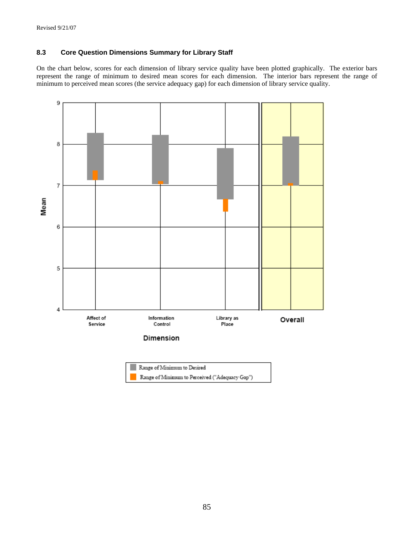# **8.3 Core Question Dimensions Summary for Library Staff**

On the chart below, scores for each dimension of library service quality have been plotted graphically. The exterior bars represent the range of minimum to desired mean scores for each dimension. The interior bars represent the range of minimum to perceived mean scores (the service adequacy gap) for each dimension of library service quality.



Range of Minimum to Perceived ("Adequacy Gap")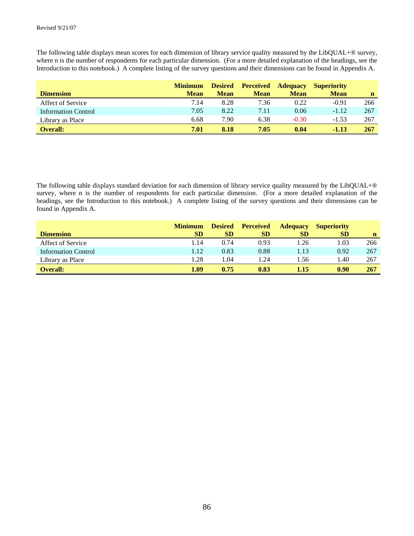The following table displays mean scores for each dimension of library service quality measured by the LibQUAL+® survey, where n is the number of respondents for each particular dimension. (For a more detailed explanation of the headings, see the Introduction to this notebook.) A complete listing of the survey questions and their dimensions can be found in Appendix A.

|                            | <b>Minimum</b> |             | <b>Desired Perceived</b> | <b>Adequacy</b> | <b>Superiority</b> |     |
|----------------------------|----------------|-------------|--------------------------|-----------------|--------------------|-----|
| <b>Dimension</b>           | <b>Mean</b>    | <b>Mean</b> | <b>Mean</b>              | <b>Mean</b>     | <b>Mean</b>        | n   |
| Affect of Service          | 7.14           | 8.28        | 7.36                     | 0.22            | $-0.91$            | 266 |
| <b>Information Control</b> | 7.05           | 8.22        | 7.11                     | 0.06            | $-1.12$            | 267 |
| Library as Place           | 6.68           | 7.90        | 6.38                     | $-0.30$         | $-1.53$            | 267 |
| <b>Overall:</b>            | 7.01           | 8.18        | 7.05                     | 0.04            | $-1.13$            | 267 |

The following table displays standard deviation for each dimension of library service quality measured by the LibQUAL+® survey, where n is the number of respondents for each particular dimension. (For a more detailed explanation of the headings, see the Introduction to this notebook.) A complete listing of the survey questions and their dimensions can be found in Appendix A.

|                            | <b>Minimum</b> | <b>Desired</b> | <b>Perceived</b> | <b>Adequacy</b> | <b>Superiority</b> |     |
|----------------------------|----------------|----------------|------------------|-----------------|--------------------|-----|
| <b>Dimension</b>           | <b>SD</b>      | <b>SD</b>      | <b>SD</b>        | <b>SD</b>       | <b>SD</b>          | n   |
| Affect of Service          | 1.14           | 0.74           | 0.93             | 1.26            | 1.03               | 266 |
| <b>Information Control</b> | 1.12           | 0.83           | 0.88             | 1.13            | 0.92               | 267 |
| Library as Place           | 1.28           | L.04           | 1.24             | 1.56            | 1.40               | 267 |
| <b>Overall:</b>            | 1.09           | 0.75           | 0.83             | 1.15            | 0.90               | 267 |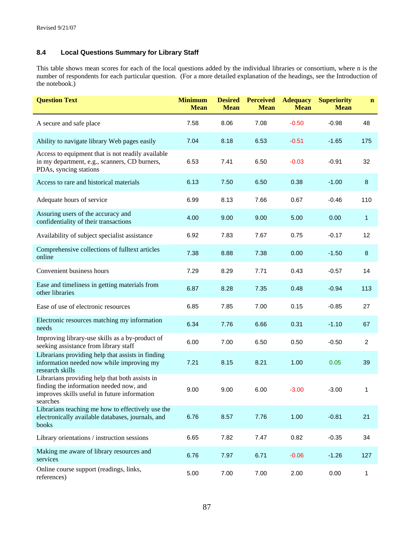# **8.4 Local Questions Summary for Library Staff**

| <b>Question Text</b>                                                                                                                                  | <b>Minimum</b><br><b>Mean</b> | <b>Desired</b><br><b>Mean</b> | <b>Perceived</b><br><b>Mean</b> | <b>Adequacy</b><br><b>Mean</b> | <b>Superiority</b><br><b>Mean</b> | $\mathbf n$    |
|-------------------------------------------------------------------------------------------------------------------------------------------------------|-------------------------------|-------------------------------|---------------------------------|--------------------------------|-----------------------------------|----------------|
| A secure and safe place                                                                                                                               | 7.58                          | 8.06                          | 7.08                            | $-0.50$                        | $-0.98$                           | 48             |
| Ability to navigate library Web pages easily                                                                                                          | 7.04                          | 8.18                          | 6.53                            | $-0.51$                        | $-1.65$                           | 175            |
| Access to equipment that is not readily available<br>in my department, e.g., scanners, CD burners,<br>PDAs, syncing stations                          | 6.53                          | 7.41                          | 6.50                            | $-0.03$                        | $-0.91$                           | 32             |
| Access to rare and historical materials                                                                                                               | 6.13                          | 7.50                          | 6.50                            | 0.38                           | $-1.00$                           | $\bf 8$        |
| Adequate hours of service                                                                                                                             | 6.99                          | 8.13                          | 7.66                            | 0.67                           | $-0.46$                           | 110            |
| Assuring users of the accuracy and<br>confidentiality of their transactions                                                                           | 4.00                          | 9.00                          | 9.00                            | 5.00                           | 0.00                              | 1              |
| Availability of subject specialist assistance                                                                                                         | 6.92                          | 7.83                          | 7.67                            | 0.75                           | $-0.17$                           | 12             |
| Comprehensive collections of fulltext articles<br>online                                                                                              | 7.38                          | 8.88                          | 7.38                            | 0.00                           | $-1.50$                           | $\, 8$         |
| Convenient business hours                                                                                                                             | 7.29                          | 8.29                          | 7.71                            | 0.43                           | $-0.57$                           | 14             |
| Ease and timeliness in getting materials from<br>other libraries                                                                                      | 6.87                          | 8.28                          | 7.35                            | 0.48                           | $-0.94$                           | 113            |
| Ease of use of electronic resources                                                                                                                   | 6.85                          | 7.85                          | 7.00                            | 0.15                           | $-0.85$                           | 27             |
| Electronic resources matching my information<br>needs                                                                                                 | 6.34                          | 7.76                          | 6.66                            | 0.31                           | $-1.10$                           | 67             |
| Improving library-use skills as a by-product of<br>seeking assistance from library staff                                                              | 6.00                          | 7.00                          | 6.50                            | 0.50                           | $-0.50$                           | $\overline{2}$ |
| Librarians providing help that assists in finding<br>information needed now while improving my<br>research skills                                     | 7.21                          | 8.15                          | 8.21                            | 1.00                           | 0.05                              | 39             |
| Librarians providing help that both assists in<br>finding the information needed now, and<br>improves skills useful in future information<br>searches | 9.00                          | 9.00                          | 6.00                            | $-3.00$                        | $-3.00$                           | 1              |
| Librarians teaching me how to effectively use the<br>electronically available databases, journals, and<br>books                                       | 6.76                          | 8.57                          | 7.76                            | 1.00                           | $-0.81$                           | 21             |
| Library orientations / instruction sessions                                                                                                           | 6.65                          | 7.82                          | 7.47                            | 0.82                           | $-0.35$                           | 34             |
| Making me aware of library resources and<br>services                                                                                                  | 6.76                          | 7.97                          | 6.71                            | $-0.06$                        | $-1.26$                           | 127            |
| Online course support (readings, links,<br>references)                                                                                                | 5.00                          | 7.00                          | 7.00                            | 2.00                           | 0.00                              | 1              |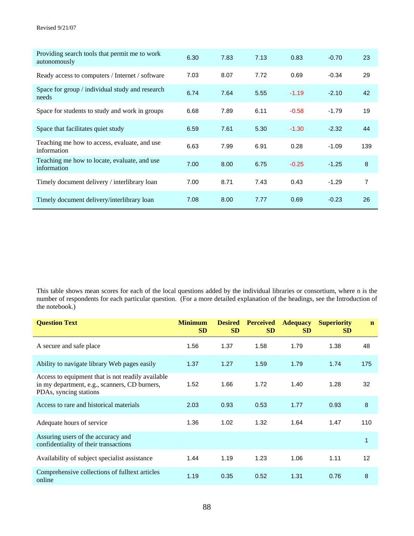| Providing search tools that permit me to work<br>autonomously | 6.30 | 7.83 | 7.13 | 0.83    | $-0.70$ | 23  |
|---------------------------------------------------------------|------|------|------|---------|---------|-----|
| Ready access to computers / Internet / software               | 7.03 | 8.07 | 7.72 | 0.69    | $-0.34$ | 29  |
| Space for group / individual study and research<br>needs      | 6.74 | 7.64 | 5.55 | $-1.19$ | $-2.10$ | 42  |
| Space for students to study and work in groups                | 6.68 | 7.89 | 6.11 | $-0.58$ | $-1.79$ | 19  |
| Space that facilitates quiet study                            | 6.59 | 7.61 | 5.30 | $-1.30$ | $-2.32$ | 44  |
| Teaching me how to access, evaluate, and use<br>information   | 6.63 | 7.99 | 6.91 | 0.28    | $-1.09$ | 139 |
| Teaching me how to locate, evaluate, and use<br>information   | 7.00 | 8.00 | 6.75 | $-0.25$ | $-1.25$ | 8   |
| Timely document delivery / interlibrary loan                  | 7.00 | 8.71 | 7.43 | 0.43    | $-1.29$ | 7   |
| Timely document delivery/interlibrary loan                    | 7.08 | 8.00 | 7.77 | 0.69    | $-0.23$ | 26  |

| <b>Question Text</b>                                                                                                         | <b>Minimum</b><br><b>SD</b> | <b>Desired</b><br><b>SD</b> | <b>Perceived</b><br><b>SD</b> | <b>Adequacy</b><br><b>SD</b> | <b>Superiority</b><br><b>SD</b> | $\mathbf n$ |
|------------------------------------------------------------------------------------------------------------------------------|-----------------------------|-----------------------------|-------------------------------|------------------------------|---------------------------------|-------------|
| A secure and safe place                                                                                                      | 1.56                        | 1.37                        | 1.58                          | 1.79                         | 1.38                            | 48          |
| Ability to navigate library Web pages easily                                                                                 | 1.37                        | 1.27                        | 1.59                          | 1.79                         | 1.74                            | 175         |
| Access to equipment that is not readily available<br>in my department, e.g., scanners, CD burners,<br>PDAs, syncing stations | 1.52                        | 1.66                        | 1.72                          | 1.40                         | 1.28                            | 32          |
| Access to rare and historical materials                                                                                      | 2.03                        | 0.93                        | 0.53                          | 1.77                         | 0.93                            | 8           |
| Adequate hours of service                                                                                                    | 1.36                        | 1.02                        | 1.32                          | 1.64                         | 1.47                            | 110         |
| Assuring users of the accuracy and<br>confidentiality of their transactions                                                  |                             |                             |                               |                              |                                 | 1           |
| Availability of subject specialist assistance                                                                                | 1.44                        | 1.19                        | 1.23                          | 1.06                         | 1.11                            | 12          |
| Comprehensive collections of fulltext articles<br>online                                                                     | 1.19                        | 0.35                        | 0.52                          | 1.31                         | 0.76                            | 8           |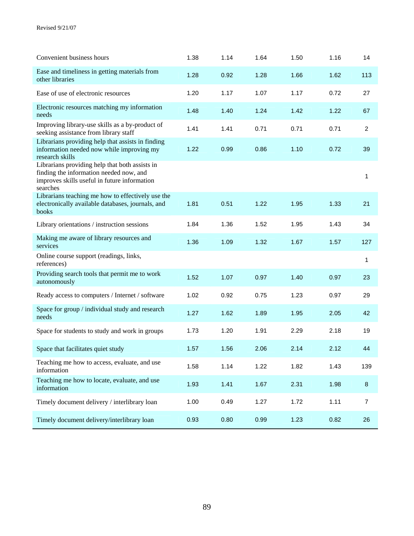| Convenient business hours                                                                                                                             | 1.38 | 1.14 | 1.64 | 1.50 | 1.16 | 14             |
|-------------------------------------------------------------------------------------------------------------------------------------------------------|------|------|------|------|------|----------------|
| Ease and timeliness in getting materials from<br>other libraries                                                                                      | 1.28 | 0.92 | 1.28 | 1.66 | 1.62 | 113            |
| Ease of use of electronic resources                                                                                                                   | 1.20 | 1.17 | 1.07 | 1.17 | 0.72 | 27             |
| Electronic resources matching my information<br>needs                                                                                                 | 1.48 | 1.40 | 1.24 | 1.42 | 1.22 | 67             |
| Improving library-use skills as a by-product of<br>seeking assistance from library staff                                                              | 1.41 | 1.41 | 0.71 | 0.71 | 0.71 | $\overline{2}$ |
| Librarians providing help that assists in finding<br>information needed now while improving my<br>research skills                                     | 1.22 | 0.99 | 0.86 | 1.10 | 0.72 | 39             |
| Librarians providing help that both assists in<br>finding the information needed now, and<br>improves skills useful in future information<br>searches |      |      |      |      |      | 1              |
| Librarians teaching me how to effectively use the<br>electronically available databases, journals, and<br>books                                       | 1.81 | 0.51 | 1.22 | 1.95 | 1.33 | 21             |
| Library orientations / instruction sessions                                                                                                           | 1.84 | 1.36 | 1.52 | 1.95 | 1.43 | 34             |
| Making me aware of library resources and<br>services                                                                                                  | 1.36 | 1.09 | 1.32 | 1.67 | 1.57 | 127            |
| Online course support (readings, links,<br>references)                                                                                                |      |      |      |      |      | 1              |
| Providing search tools that permit me to work<br>autonomously                                                                                         | 1.52 | 1.07 | 0.97 | 1.40 | 0.97 | 23             |
| Ready access to computers / Internet / software                                                                                                       | 1.02 | 0.92 | 0.75 | 1.23 | 0.97 | 29             |
| Space for group / individual study and research<br>needs                                                                                              | 1.27 | 1.62 | 1.89 | 1.95 | 2.05 | 42             |
| Space for students to study and work in groups                                                                                                        | 1.73 | 1.20 | 1.91 | 2.29 | 2.18 | 19             |
| Space that facilitates quiet study                                                                                                                    | 1.57 | 1.56 | 2.06 | 2.14 | 2.12 | 44             |
| Teaching me how to access, evaluate, and use<br>information                                                                                           | 1.58 | 1.14 | 1.22 | 1.82 | 1.43 | 139            |
| Teaching me how to locate, evaluate, and use<br>information                                                                                           | 1.93 | 1.41 | 1.67 | 2.31 | 1.98 | $\,8\,$        |
| Timely document delivery / interlibrary loan                                                                                                          | 1.00 | 0.49 | 1.27 | 1.72 | 1.11 | $\overline{7}$ |
| Timely document delivery/interlibrary loan                                                                                                            | 0.93 | 0.80 | 0.99 | 1.23 | 0.82 | 26             |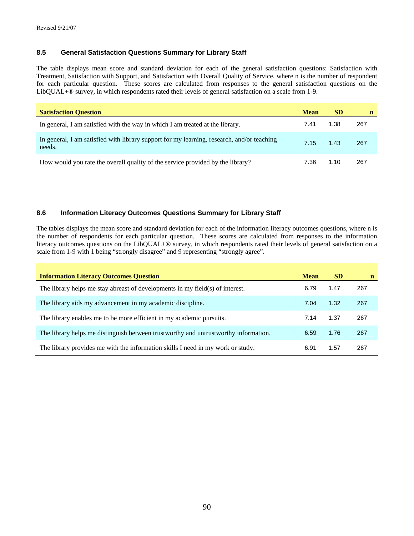#### **8.5 General Satisfaction Questions Summary for Library Staff**

The table displays mean score and standard deviation for each of the general satisfaction questions: Satisfaction with Treatment, Satisfaction with Support, and Satisfaction with Overall Quality of Service, where n is the number of respondent for each particular question. These scores are calculated from responses to the general satisfaction questions on the LibQUAL+® survey, in which respondents rated their levels of general satisfaction on a scale from 1-9.

| <b>Satisfaction Question</b>                                                                         | <b>Mean</b> | SD   | n   |
|------------------------------------------------------------------------------------------------------|-------------|------|-----|
| In general, I am satisfied with the way in which I am treated at the library.                        | 7.41        | 1.38 | 267 |
| In general, I am satisfied with library support for my learning, research, and/or teaching<br>needs. | 7.15        | 1.43 | 267 |
| How would you rate the overall quality of the service provided by the library?                       | 7.36        | 1.10 | 267 |

#### **8.6 Information Literacy Outcomes Questions Summary for Library Staff**

The tables displays the mean score and standard deviation for each of the information literacy outcomes questions, where n is the number of respondents for each particular question. These scores are calculated from responses to the information literacy outcomes questions on the LibQUAL+® survey, in which respondents rated their levels of general satisfaction on a scale from 1-9 with 1 being "strongly disagree" and 9 representing "strongly agree".

| <b>Information Literacy Outcomes Ouestion</b>                                       | <b>Mean</b> | <b>SD</b> | n   |
|-------------------------------------------------------------------------------------|-------------|-----------|-----|
| The library helps me stay abreast of developments in my field(s) of interest.       | 6.79        | 1.47      | 267 |
| The library aids my advancement in my academic discipline.                          | 7.04        | 1.32      | 267 |
| The library enables me to be more efficient in my academic pursuits.                | 7.14        | 1.37      | 267 |
| The library helps me distinguish between trustworthy and untrustworthy information. | 6.59        | 1.76      | 267 |
| The library provides me with the information skills I need in my work or study.     | 6.91        | 1.57      | 267 |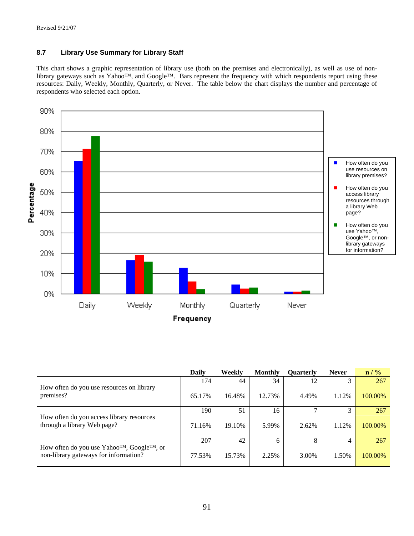# **8.7 Library Use Summary for Library Staff**

This chart shows a graphic representation of library use (both on the premises and electronically), as well as use of nonlibrary gateways such as Yahoo™, and Google™. Bars represent the frequency with which respondents report using these resources: Daily, Weekly, Monthly, Quarterly, or Never. The table below the chart displays the number and percentage of respondents who selected each option.



|                                                                                   | Daily  | Weekly | <b>Monthly</b> | Ouarterly | <b>Never</b> | n / %   |
|-----------------------------------------------------------------------------------|--------|--------|----------------|-----------|--------------|---------|
|                                                                                   | 174    | 44     | 34             | 12        | 3            | 267     |
| How often do you use resources on library<br>premises?                            | 65.17% | 16.48% | 12.73%         | 4.49%     | 1.12%        | 100.00% |
| How often do you access library resources<br>through a library Web page?          | 190    | 51     | 16             |           | 3            | 267     |
|                                                                                   | 71.16% | 19.10% | 5.99%          | 2.62%     | 1.12%        | 100.00% |
|                                                                                   | 207    | 42     | 6              | 8         | 4            | 267     |
| How often do you use Yahoo™, Google™, or<br>non-library gateways for information? | 77.53% | 15.73% | 2.25%          | 3.00%     | 1.50%        | 100.00% |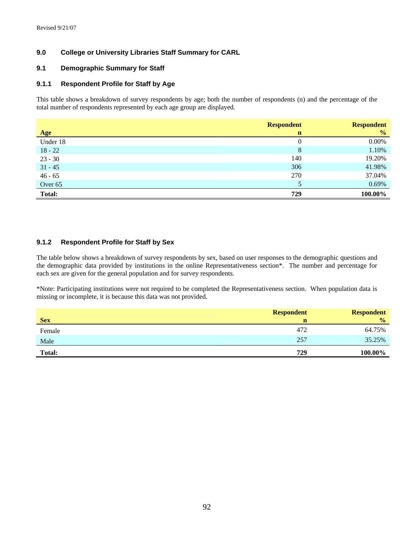## **9.0 College or University Libraries Staff Summary for CARL**

## **9.1 Demographic Summary for Staff**

#### **9.1.1 Respondent Profile for Staff by Age**

This table shows a breakdown of survey respondents by age; both the number of respondents (n) and the percentage of the total number of respondents represented by each age group are displayed.

|               | <b>Respondent</b> | <b>Respondent</b> |
|---------------|-------------------|-------------------|
| <b>Age</b>    | $\mathbf n$       | $\frac{0}{0}$     |
| Under 18      | 0                 | 0.00%             |
| $18 - 22$     | 8                 | 1.10%             |
| $23 - 30$     | 140               | 19.20%            |
| $31 - 45$     | 306               | 41.98%            |
| $46 - 65$     | 270               | 37.04%            |
| Over 65       |                   | 0.69%             |
| <b>Total:</b> | 729               | 100.00%           |

## **9.1.2 Respondent Profile for Staff by Sex**

The table below shows a breakdown of survey respondents by sex, based on user responses to the demographic questions and the demographic data provided by institutions in the online Representativeness section\*. The number and percentage for each sex are given for the general population and for survey respondents.

\*Note: Participating institutions were not required to be completed the Representativeness section. When population data is missing or incomplete, it is because this data was not provided.

|               | <b>Respondent</b> | <b>Respondent</b> |
|---------------|-------------------|-------------------|
| <b>Sex</b>    | $\mathbf n$       | $\frac{0}{0}$     |
| Female        | 472               | 64.75%            |
| Male          | 257               | 35.25%            |
| <b>Total:</b> | 729               | 100.00%           |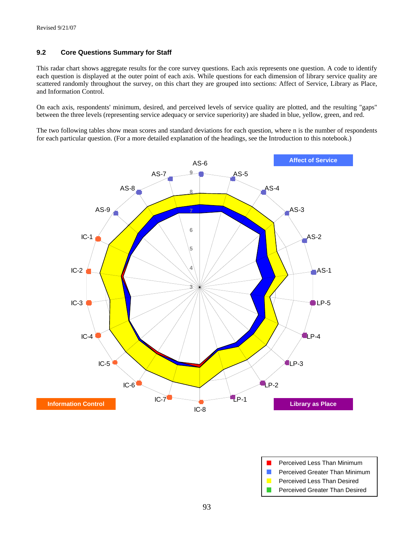## **9.2 Core Questions Summary for Staff**

This radar chart shows aggregate results for the core survey questions. Each axis represents one question. A code to identify each question is displayed at the outer point of each axis. While questions for each dimension of library service quality are scattered randomly throughout the survey, on this chart they are grouped into sections: Affect of Service, Library as Place, and Information Control.

On each axis, respondents' minimum, desired, and perceived levels of service quality are plotted, and the resulting "gaps" between the three levels (representing service adequacy or service superiority) are shaded in blue, yellow, green, and red.

The two following tables show mean scores and standard deviations for each question, where n is the number of respondents for each particular question. (For a more detailed explanation of the headings, see the Introduction to this notebook.)



| <b>The Second Second</b> | Perceived Less Than Minimum    |
|--------------------------|--------------------------------|
|                          | Perceived Greater Than Minimum |
|                          | Perceived Less Than Desired    |
|                          | Perceived Greater Than Desired |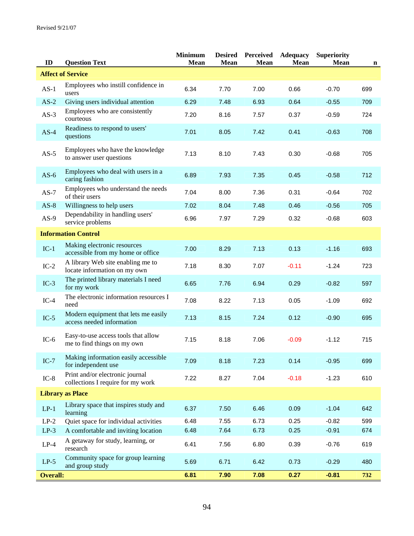| ID              | <b>Question Text</b>                                                 | <b>Minimum</b><br><b>Mean</b> | <b>Desired</b><br><b>Mean</b> | Perceived<br><b>Mean</b> | <b>Adequacy</b><br><b>Mean</b> | <b>Superiority</b><br>Mean | $\mathbf n$ |
|-----------------|----------------------------------------------------------------------|-------------------------------|-------------------------------|--------------------------|--------------------------------|----------------------------|-------------|
|                 | <b>Affect of Service</b>                                             |                               |                               |                          |                                |                            |             |
| $AS-1$          | Employees who instill confidence in<br>users                         | 6.34                          | 7.70                          | 7.00                     | 0.66                           | $-0.70$                    | 699         |
| $AS-2$          | Giving users individual attention                                    | 6.29                          | 7.48                          | 6.93                     | 0.64                           | $-0.55$                    | 709         |
| $AS-3$          | Employees who are consistently<br>courteous                          | 7.20                          | 8.16                          | 7.57                     | 0.37                           | $-0.59$                    | 724         |
| $AS-4$          | Readiness to respond to users'<br>questions                          | 7.01                          | 8.05                          | 7.42                     | 0.41                           | $-0.63$                    | 708         |
| $AS-5$          | Employees who have the knowledge<br>to answer user questions         | 7.13                          | 8.10                          | 7.43                     | 0.30                           | $-0.68$                    | 705         |
| $AS-6$          | Employees who deal with users in a<br>caring fashion                 | 6.89                          | 7.93                          | 7.35                     | 0.45                           | $-0.58$                    | 712         |
| $AS-7$          | Employees who understand the needs<br>of their users                 | 7.04                          | 8.00                          | 7.36                     | 0.31                           | $-0.64$                    | 702         |
| $AS-8$          | Willingness to help users                                            | 7.02                          | 8.04                          | 7.48                     | 0.46                           | $-0.56$                    | 705         |
| $AS-9$          | Dependability in handling users'<br>service problems                 | 6.96                          | 7.97                          | 7.29                     | 0.32                           | $-0.68$                    | 603         |
|                 | <b>Information Control</b>                                           |                               |                               |                          |                                |                            |             |
| $IC-1$          | Making electronic resources<br>accessible from my home or office     | 7.00                          | 8.29                          | 7.13                     | 0.13                           | $-1.16$                    | 693         |
| $IC-2$          | A library Web site enabling me to<br>locate information on my own    | 7.18                          | 8.30                          | 7.07                     | $-0.11$                        | $-1.24$                    | 723         |
| $IC-3$          | The printed library materials I need<br>for my work                  | 6.65                          | 7.76                          | 6.94                     | 0.29                           | $-0.82$                    | 597         |
| $IC-4$          | The electronic information resources I<br>need                       | 7.08                          | 8.22                          | 7.13                     | 0.05                           | $-1.09$                    | 692         |
| $IC-5$          | Modern equipment that lets me easily<br>access needed information    | 7.13                          | 8.15                          | 7.24                     | 0.12                           | $-0.90$                    | 695         |
| $IC-6$          | Easy-to-use access tools that allow<br>me to find things on my own   | 7.15                          | 8.18                          | 7.06                     | $-0.09$                        | $-1.12$                    | 715         |
| $IC-7$          | Making information easily accessible<br>for independent use          | 7.09                          | 8.18                          | 7.23                     | 0.14                           | $-0.95$                    | 699         |
| $IC-8$          | Print and/or electronic journal<br>collections I require for my work | 7.22                          | 8.27                          | 7.04                     | $-0.18$                        | $-1.23$                    | 610         |
|                 | <b>Library as Place</b>                                              |                               |                               |                          |                                |                            |             |
| $LP-1$          | Library space that inspires study and<br>learning                    | 6.37                          | 7.50                          | 6.46                     | 0.09                           | $-1.04$                    | 642         |
| $LP-2$          | Quiet space for individual activities                                | 6.48                          | 7.55                          | 6.73                     | 0.25                           | $-0.82$                    | 599         |
| $LP-3$          | A comfortable and inviting location                                  | 6.48                          | 7.64                          | 6.73                     | 0.25                           | $-0.91$                    | 674         |
| $LP-4$          | A getaway for study, learning, or<br>research                        | 6.41                          | 7.56                          | 6.80                     | 0.39                           | $-0.76$                    | 619         |
| $LP-5$          | Community space for group learning<br>and group study                | 5.69                          | 6.71                          | 6.42                     | 0.73                           | $-0.29$                    | 480         |
| <b>Overall:</b> |                                                                      | 6.81                          | 7.90                          | 7.08                     | 0.27                           | $-0.81$                    | 732         |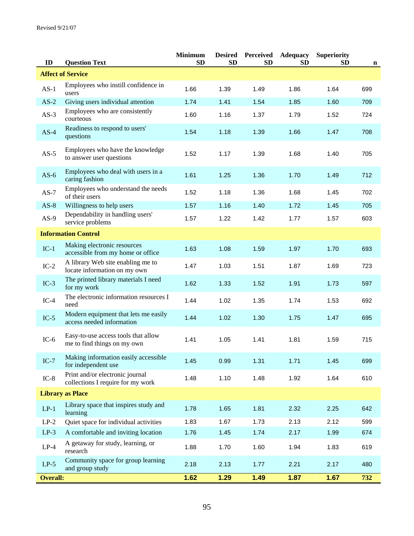| ID              | <b>Question Text</b>                                                 | <b>Minimum</b><br><b>SD</b> | <b>Desired</b><br><b>SD</b> | Perceived<br><b>SD</b> | <b>Adequacy</b><br><b>SD</b> | <b>Superiority</b><br><b>SD</b> | $\mathbf n$ |
|-----------------|----------------------------------------------------------------------|-----------------------------|-----------------------------|------------------------|------------------------------|---------------------------------|-------------|
|                 | <b>Affect of Service</b>                                             |                             |                             |                        |                              |                                 |             |
| $AS-1$          | Employees who instill confidence in<br>users                         | 1.66                        | 1.39                        | 1.49                   | 1.86                         | 1.64                            | 699         |
| $AS-2$          | Giving users individual attention                                    | 1.74                        | 1.41                        | 1.54                   | 1.85                         | 1.60                            | 709         |
| $AS-3$          | Employees who are consistently<br>courteous                          | 1.60                        | 1.16                        | 1.37                   | 1.79                         | 1.52                            | 724         |
| $AS-4$          | Readiness to respond to users'<br>questions                          | 1.54                        | 1.18                        | 1.39                   | 1.66                         | 1.47                            | 708         |
| $AS-5$          | Employees who have the knowledge<br>to answer user questions         | 1.52                        | 1.17                        | 1.39                   | 1.68                         | 1.40                            | 705         |
| $AS-6$          | Employees who deal with users in a<br>caring fashion                 | 1.61                        | 1.25                        | 1.36                   | 1.70                         | 1.49                            | 712         |
| $AS-7$          | Employees who understand the needs<br>of their users                 | 1.52                        | 1.18                        | 1.36                   | 1.68                         | 1.45                            | 702         |
| $AS-8$          | Willingness to help users                                            | 1.57                        | 1.16                        | 1.40                   | 1.72                         | 1.45                            | 705         |
| $AS-9$          | Dependability in handling users'<br>service problems                 | 1.57                        | 1.22                        | 1.42                   | 1.77                         | 1.57                            | 603         |
|                 | <b>Information Control</b>                                           |                             |                             |                        |                              |                                 |             |
| $IC-1$          | Making electronic resources<br>accessible from my home or office     | 1.63                        | 1.08                        | 1.59                   | 1.97                         | 1.70                            | 693         |
| $IC-2$          | A library Web site enabling me to<br>locate information on my own    | 1.47                        | 1.03                        | 1.51                   | 1.87                         | 1.69                            | 723         |
| $IC-3$          | The printed library materials I need<br>for my work                  | 1.62                        | 1.33                        | 1.52                   | 1.91                         | 1.73                            | 597         |
| $IC-4$          | The electronic information resources I<br>need                       | 1.44                        | 1.02                        | 1.35                   | 1.74                         | 1.53                            | 692         |
| $IC-5$          | Modern equipment that lets me easily<br>access needed information    | 1.44                        | 1.02                        | 1.30                   | 1.75                         | 1.47                            | 695         |
| $IC-6$          | Easy-to-use access tools that allow<br>me to find things on my own   | 1.41                        | 1.05                        | 1.41                   | 1.81                         | 1.59                            | 715         |
| $IC-7$          | Making information easily accessible<br>for independent use          | 1.45                        | 0.99                        | 1.31                   | 1.71                         | 1.45                            | 699         |
| $IC-8$          | Print and/or electronic journal<br>collections I require for my work | 1.48                        | 1.10                        | 1.48                   | 1.92                         | 1.64                            | 610         |
|                 | <b>Library as Place</b>                                              |                             |                             |                        |                              |                                 |             |
| $LP-1$          | Library space that inspires study and<br>learning                    | 1.78                        | 1.65                        | 1.81                   | 2.32                         | 2.25                            | 642         |
| $LP-2$          | Quiet space for individual activities                                | 1.83                        | 1.67                        | 1.73                   | 2.13                         | 2.12                            | 599         |
| $LP-3$          | A comfortable and inviting location                                  | 1.76                        | 1.45                        | 1.74                   | 2.17                         | 1.99                            | 674         |
| $LP-4$          | A getaway for study, learning, or<br>research                        | 1.88                        | 1.70                        | 1.60                   | 1.94                         | 1.83                            | 619         |
| $LP-5$          | Community space for group learning<br>and group study                | 2.18                        | 2.13                        | 1.77                   | 2.21                         | 2.17                            | 480         |
| <b>Overall:</b> |                                                                      | 1.62                        | 1.29                        | 1.49                   | 1.87                         | 1.67                            | 732         |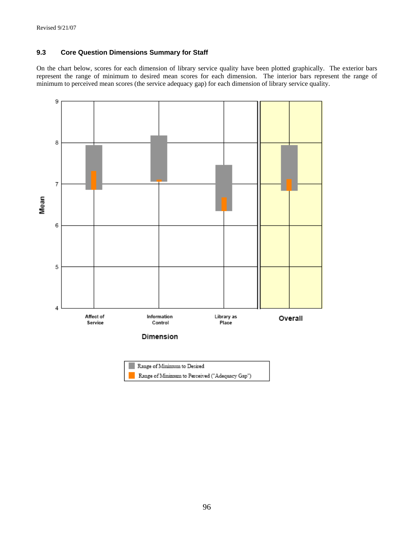## **9.3 Core Question Dimensions Summary for Staff**

On the chart below, scores for each dimension of library service quality have been plotted graphically. The exterior bars represent the range of minimum to desired mean scores for each dimension. The interior bars represent the range of minimum to perceived mean scores (the service adequacy gap) for each dimension of library service quality.



Range of Minimum to Perceived ("Adequacy Gap")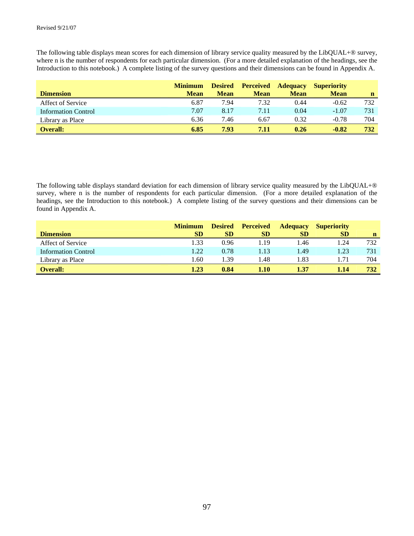The following table displays mean scores for each dimension of library service quality measured by the LibQUAL+® survey, where n is the number of respondents for each particular dimension. (For a more detailed explanation of the headings, see the Introduction to this notebook.) A complete listing of the survey questions and their dimensions can be found in Appendix A.

|                            | <b>Minimum</b> |             | <b>Desired Perceived</b> | <b>Adequacy</b> | <b>Superiority</b> |     |
|----------------------------|----------------|-------------|--------------------------|-----------------|--------------------|-----|
| <b>Dimension</b>           | <b>Mean</b>    | <b>Mean</b> | <b>Mean</b>              | <b>Mean</b>     | <b>Mean</b>        | n   |
| Affect of Service          | 6.87           | 7.94        | 7.32                     | 0.44            | $-0.62$            | 732 |
| <b>Information Control</b> | 7.07           | 8.17        | 7.11                     | 0.04            | $-1.07$            | 731 |
| Library as Place           | 6.36           | 7.46        | 6.67                     | 0.32            | $-0.78$            | 704 |
| <b>Overall:</b>            | 6.85           | 7.93        | 7.11                     | 0.26            | $-0.82$            | 732 |

The following table displays standard deviation for each dimension of library service quality measured by the LibQUAL+® survey, where n is the number of respondents for each particular dimension. (For a more detailed explanation of the headings, see the Introduction to this notebook.) A complete listing of the survey questions and their dimensions can be found in Appendix A.

|                            | <b>Minimum</b> | <b>Desired</b> | <b>Perceived</b> | <b>Adequacy</b> | <b>Superiority</b> |     |
|----------------------------|----------------|----------------|------------------|-----------------|--------------------|-----|
| <b>Dimension</b>           | <b>SD</b>      | <b>SD</b>      | <b>SD</b>        | <b>SD</b>       | <b>SD</b>          | n   |
| Affect of Service          | 1.33           | 0.96           | 1.19             | 1.46            | 1.24               | 732 |
| <b>Information Control</b> | 1.22           | 0.78           | 1.13             | 1.49            | 1.23               | 731 |
| Library as Place           | 1.60           | 1.39           | l.48             | 1.83            | 1.71               | 704 |
| <b>Overall:</b>            | 1.23           | 0.84           | 1.10             | 1.37            | 1.14               | 732 |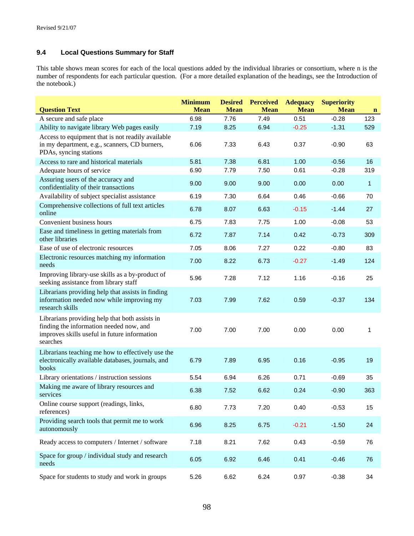# **9.4 Local Questions Summary for Staff**

| <b>Question Text</b>                                                                                                                                  | <b>Minimum</b><br><b>Mean</b> | <b>Desired</b><br><b>Mean</b> | <b>Perceived</b><br><b>Mean</b> | <b>Adequacy</b><br><b>Mean</b> | <b>Superiority</b><br><b>Mean</b> | $\mathbf n$  |
|-------------------------------------------------------------------------------------------------------------------------------------------------------|-------------------------------|-------------------------------|---------------------------------|--------------------------------|-----------------------------------|--------------|
| A secure and safe place                                                                                                                               | 6.98                          | 7.76                          | 7.49                            | 0.51                           | $-0.28$                           | 123          |
| Ability to navigate library Web pages easily                                                                                                          | 7.19                          | 8.25                          | 6.94                            | $-0.25$                        | $-1.31$                           | 529          |
| Access to equipment that is not readily available<br>in my department, e.g., scanners, CD burners,<br>PDAs, syncing stations                          | 6.06                          | 7.33                          | 6.43                            | 0.37                           | $-0.90$                           | 63           |
| Access to rare and historical materials                                                                                                               | 5.81                          | 7.38                          | 6.81                            | 1.00                           | $-0.56$                           | 16           |
| Adequate hours of service                                                                                                                             | 6.90                          | 7.79                          | 7.50                            | 0.61                           | $-0.28$                           | 319          |
| Assuring users of the accuracy and<br>confidentiality of their transactions                                                                           | 9.00                          | 9.00                          | 9.00                            | 0.00                           | 0.00                              | $\mathbf{1}$ |
| Availability of subject specialist assistance                                                                                                         | 6.19                          | 7.30                          | 6.64                            | 0.46                           | $-0.66$                           | 70           |
| Comprehensive collections of full text articles<br>online                                                                                             | 6.78                          | 8.07                          | 6.63                            | $-0.15$                        | $-1.44$                           | 27           |
| Convenient business hours                                                                                                                             | 6.75                          | 7.83                          | 7.75                            | 1.00                           | $-0.08$                           | 53           |
| Ease and timeliness in getting materials from<br>other libraries                                                                                      | 6.72                          | 7.87                          | 7.14                            | 0.42                           | $-0.73$                           | 309          |
| Ease of use of electronic resources                                                                                                                   | 7.05                          | 8.06                          | 7.27                            | 0.22                           | $-0.80$                           | 83           |
| Electronic resources matching my information<br>needs                                                                                                 | 7.00                          | 8.22                          | 6.73                            | $-0.27$                        | $-1.49$                           | 124          |
| Improving library-use skills as a by-product of<br>seeking assistance from library staff                                                              | 5.96                          | 7.28                          | 7.12                            | 1.16                           | $-0.16$                           | 25           |
| Librarians providing help that assists in finding<br>information needed now while improving my<br>research skills                                     | 7.03                          | 7.99                          | 7.62                            | 0.59                           | $-0.37$                           | 134          |
| Librarians providing help that both assists in<br>finding the information needed now, and<br>improves skills useful in future information<br>searches | 7.00                          | 7.00                          | 7.00                            | 0.00                           | 0.00                              | 1            |
| Librarians teaching me how to effectively use the<br>electronically available databases, journals, and<br>books                                       | 6.79                          | 7.89                          | 6.95                            | 0.16                           | $-0.95$                           | 19           |
| Library orientations / instruction sessions                                                                                                           | 5.54                          | 6.94                          | 6.26                            | 0.71                           | $-0.69$                           | 35           |
| Making me aware of library resources and<br>services                                                                                                  | 6.38                          | 7.52                          | 6.62                            | 0.24                           | $-0.90$                           | 363          |
| Online course support (readings, links,<br>references)                                                                                                | 6.80                          | 7.73                          | 7.20                            | 0.40                           | $-0.53$                           | 15           |
| Providing search tools that permit me to work<br>autonomously                                                                                         | 6.96                          | 8.25                          | 6.75                            | $-0.21$                        | $-1.50$                           | 24           |
| Ready access to computers / Internet / software                                                                                                       | 7.18                          | 8.21                          | 7.62                            | 0.43                           | $-0.59$                           | 76           |
| Space for group / individual study and research<br>needs                                                                                              | 6.05                          | 6.92                          | 6.46                            | 0.41                           | $-0.46$                           | 76           |
| Space for students to study and work in groups                                                                                                        | 5.26                          | 6.62                          | 6.24                            | 0.97                           | $-0.38$                           | 34           |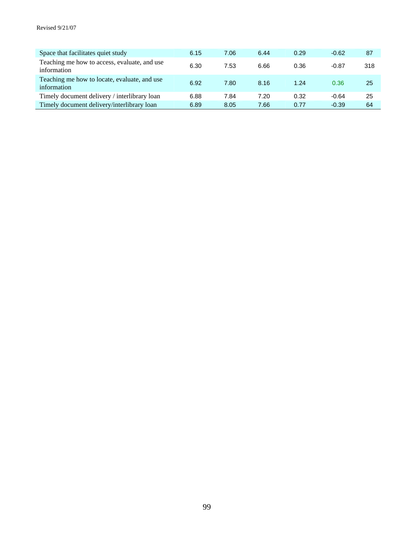| Space that facilitates quiet study                          | 6.15 | 7.06 | 6.44 | 0.29 | $-0.62$ | 87  |
|-------------------------------------------------------------|------|------|------|------|---------|-----|
| Teaching me how to access, evaluate, and use<br>information | 6.30 | 7.53 | 6.66 | 0.36 | $-0.87$ | 318 |
| Teaching me how to locate, evaluate, and use<br>information | 6.92 | 7.80 | 8.16 | 1.24 | 0.36    | 25  |
| Timely document delivery / interlibrary loan                | 6.88 | 7.84 | 7.20 | 0.32 | $-0.64$ | 25  |
| Timely document delivery/interlibrary loan                  | 6.89 | 8.05 | 7.66 | 0.77 | $-0.39$ | 64  |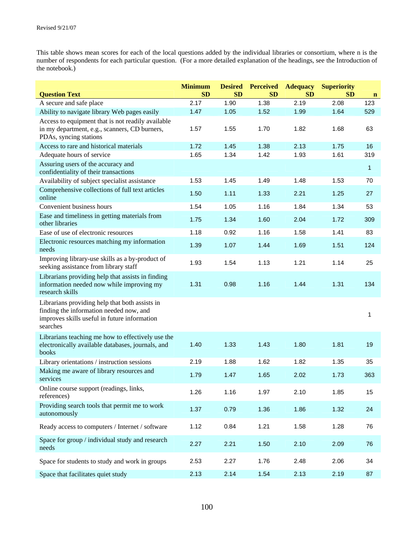| <b>Question Text</b>                                                                                                                                  | <b>Minimum</b><br><b>SD</b> | <b>Desired</b><br><b>SD</b> | <b>Perceived</b><br><b>SD</b> | <b>Adequacy</b><br><b>SD</b> | <b>Superiority</b><br><b>SD</b> | $\mathbf{n}$ |
|-------------------------------------------------------------------------------------------------------------------------------------------------------|-----------------------------|-----------------------------|-------------------------------|------------------------------|---------------------------------|--------------|
| A secure and safe place                                                                                                                               | 2.17                        | 1.90                        | 1.38                          | 2.19                         | 2.08                            | 123          |
| Ability to navigate library Web pages easily                                                                                                          | 1.47                        | 1.05                        | 1.52                          | 1.99                         | 1.64                            | 529          |
| Access to equipment that is not readily available<br>in my department, e.g., scanners, CD burners,<br>PDAs, syncing stations                          | 1.57                        | 1.55                        | 1.70                          | 1.82                         | 1.68                            | 63           |
| Access to rare and historical materials                                                                                                               | 1.72                        | 1.45                        | 1.38                          | 2.13                         | 1.75                            | 16           |
| Adequate hours of service                                                                                                                             | 1.65                        | 1.34                        | 1.42                          | 1.93                         | 1.61                            | 319          |
| Assuring users of the accuracy and<br>confidentiality of their transactions                                                                           |                             |                             |                               |                              |                                 | 1            |
| Availability of subject specialist assistance                                                                                                         | 1.53                        | 1.45                        | 1.49                          | 1.48                         | 1.53                            | 70           |
| Comprehensive collections of full text articles<br>online                                                                                             | 1.50                        | 1.11                        | 1.33                          | 2.21                         | 1.25                            | 27           |
| Convenient business hours                                                                                                                             | 1.54                        | 1.05                        | 1.16                          | 1.84                         | 1.34                            | 53           |
| Ease and timeliness in getting materials from<br>other libraries                                                                                      | 1.75                        | 1.34                        | 1.60                          | 2.04                         | 1.72                            | 309          |
| Ease of use of electronic resources                                                                                                                   | 1.18                        | 0.92                        | 1.16                          | 1.58                         | 1.41                            | 83           |
| Electronic resources matching my information<br>needs                                                                                                 | 1.39                        | 1.07                        | 1.44                          | 1.69                         | 1.51                            | 124          |
| Improving library-use skills as a by-product of<br>seeking assistance from library staff                                                              | 1.93                        | 1.54                        | 1.13                          | 1.21                         | 1.14                            | 25           |
| Librarians providing help that assists in finding<br>information needed now while improving my<br>research skills                                     | 1.31                        | 0.98                        | 1.16                          | 1.44                         | 1.31                            | 134          |
| Librarians providing help that both assists in<br>finding the information needed now, and<br>improves skills useful in future information<br>searches |                             |                             |                               |                              |                                 | 1            |
| Librarians teaching me how to effectively use the<br>electronically available databases, journals, and<br>books                                       | 1.40                        | 1.33                        | 1.43                          | 1.80                         | 1.81                            | 19           |
| Library orientations / instruction sessions                                                                                                           | 2.19                        | 1.88                        | 1.62                          | 1.82                         | 1.35                            | 35           |
| Making me aware of library resources and<br>services                                                                                                  | 1.79                        | 1.47                        | 1.65                          | 2.02                         | 1.73                            | 363          |
| Online course support (readings, links,<br>references)                                                                                                | 1.26                        | 1.16                        | 1.97                          | 2.10                         | 1.85                            | 15           |
| Providing search tools that permit me to work<br>autonomously                                                                                         | 1.37                        | 0.79                        | 1.36                          | 1.86                         | 1.32                            | 24           |
| Ready access to computers / Internet / software                                                                                                       | 1.12                        | 0.84                        | 1.21                          | 1.58                         | 1.28                            | 76           |
| Space for group / individual study and research<br>needs                                                                                              | 2.27                        | 2.21                        | 1.50                          | 2.10                         | 2.09                            | 76           |
| Space for students to study and work in groups                                                                                                        | 2.53                        | 2.27                        | 1.76                          | 2.48                         | 2.06                            | 34           |
| Space that facilitates quiet study                                                                                                                    | 2.13                        | 2.14                        | 1.54                          | 2.13                         | 2.19                            | 87           |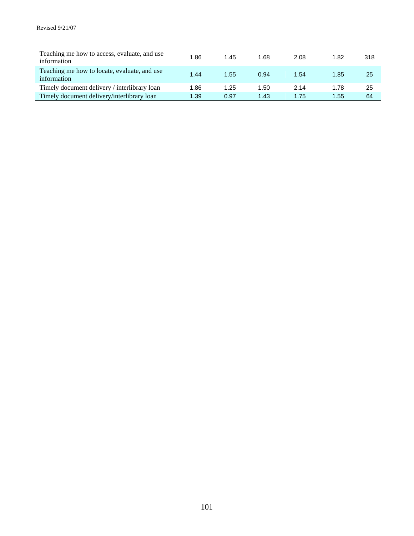| Teaching me how to access, evaluate, and use<br>information | 1.86 | 1.45 | 1.68 | 2.08 | 1.82 | 318 |
|-------------------------------------------------------------|------|------|------|------|------|-----|
| Teaching me how to locate, evaluate, and use<br>information | 1.44 | 1.55 | 0.94 | 1.54 | 1.85 | 25  |
| Timely document delivery / interlibrary loan                | 1.86 | 1.25 | .50  | 2.14 | 1.78 | 25  |
| Timely document delivery/interlibrary loan                  | 1.39 | 0.97 | 1.43 | 1.75 | 1.55 | 64  |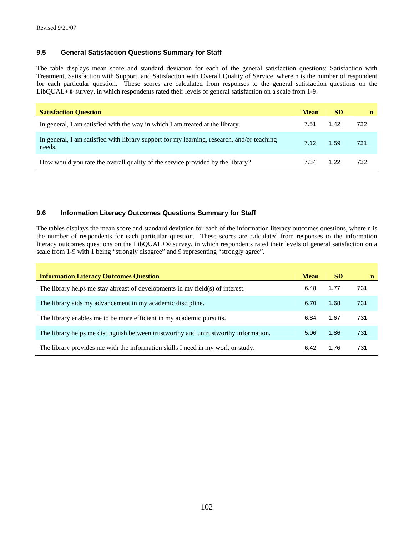### **9.5 General Satisfaction Questions Summary for Staff**

The table displays mean score and standard deviation for each of the general satisfaction questions: Satisfaction with Treatment, Satisfaction with Support, and Satisfaction with Overall Quality of Service, where n is the number of respondent for each particular question. These scores are calculated from responses to the general satisfaction questions on the LibQUAL+® survey, in which respondents rated their levels of general satisfaction on a scale from 1-9.

| <b>Satisfaction Question</b>                                                                         | <b>Mean</b> | 'SD  | $\mathbf n$ |
|------------------------------------------------------------------------------------------------------|-------------|------|-------------|
| In general, I am satisfied with the way in which I am treated at the library.                        | 7.51        | 1.42 | 732         |
| In general, I am satisfied with library support for my learning, research, and/or teaching<br>needs. | 7.12        | 1.59 | -731        |
| How would you rate the overall quality of the service provided by the library?                       | 7.34        | 1 22 | 732         |

#### **9.6 Information Literacy Outcomes Questions Summary for Staff**

The tables displays the mean score and standard deviation for each of the information literacy outcomes questions, where n is the number of respondents for each particular question. These scores are calculated from responses to the information literacy outcomes questions on the LibQUAL+® survey, in which respondents rated their levels of general satisfaction on a scale from 1-9 with 1 being "strongly disagree" and 9 representing "strongly agree".

| <b>Information Literacy Outcomes Ouestion</b>                                       | <b>Mean</b> | <b>SD</b> | n   |
|-------------------------------------------------------------------------------------|-------------|-----------|-----|
| The library helps me stay abreast of developments in my field(s) of interest.       | 6.48        | 1.77      | 731 |
| The library aids my advancement in my academic discipline.                          | 6.70        | 1.68      | 731 |
| The library enables me to be more efficient in my academic pursuits.                | 6.84        | 1.67      | 731 |
| The library helps me distinguish between trustworthy and untrustworthy information. | 5.96        | 1.86      | 731 |
| The library provides me with the information skills I need in my work or study.     | 6.42        | 1.76      | 731 |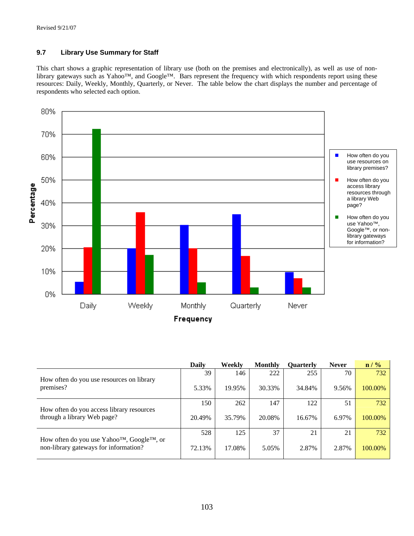# **9.7 Library Use Summary for Staff**

This chart shows a graphic representation of library use (both on the premises and electronically), as well as use of nonlibrary gateways such as Yahoo™, and Google™. Bars represent the frequency with which respondents report using these resources: Daily, Weekly, Monthly, Quarterly, or Never. The table below the chart displays the number and percentage of respondents who selected each option.



|                                                                                   | Daily  | Weekly | <b>Monthly</b> | <b>Ouarterly</b> | <b>Never</b> | n / %   |
|-----------------------------------------------------------------------------------|--------|--------|----------------|------------------|--------------|---------|
|                                                                                   | 39     | 146    | 222            | 255              | 70           | 732     |
| How often do you use resources on library<br>premises?                            | 5.33%  | 19.95% | 30.33%         | 34.84%           | 9.56%        | 100.00% |
|                                                                                   | 150    | 262    | 147            | 122              | 51           | 732     |
| How often do you access library resources<br>through a library Web page?          | 20.49% | 35.79% | 20.08%         | 16.67%           | 6.97%        | 100.00% |
| How often do you use Yahoo™, Google™, or<br>non-library gateways for information? | 528    | 125    | 37             | 21               | 21           | 732     |
|                                                                                   | 72.13% | 17.08% | 5.05%          | 2.87%            | 2.87%        | 100.00% |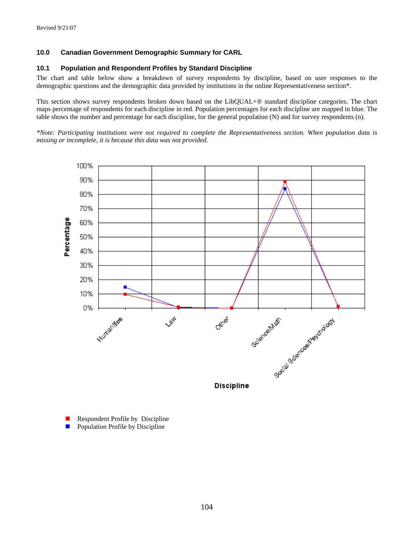### **10.0 Canadian Government Demographic Summary for CARL**

#### **10.1 Population and Respondent Profiles by Standard Discipline**

The chart and table below show a breakdown of survey respondents by discipline, based on user responses to the demographic questions and the demographic data provided by institutions in the online Representativeness section\*.

This section shows survey respondents broken down based on the LibQUAL+® standard discipline categories. The chart maps percentage of respondents for each discipline in red. Population percentages for each discipline are mapped in blue. The table shows the number and percentage for each discipline, for the general population (N) and for survey respondents (n).

*\*Note: Participating institutions were not required to complete the Representativeness section. When population data is missing or incomplete, it is because this data was not provided.* 



 Respondent Profile by Discipline  $\blacksquare$  Population Profile by Discipline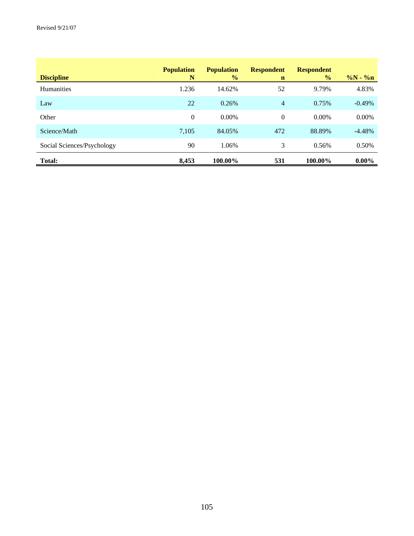| <b>Discipline</b>          | <b>Population</b><br>N | <b>Population</b><br>$\frac{0}{0}$ | <b>Respondent</b><br>$\mathbf n$ | <b>Respondent</b><br>$\frac{1}{2}$ | $\%N - \%n$ |
|----------------------------|------------------------|------------------------------------|----------------------------------|------------------------------------|-------------|
| <b>Humanities</b>          | 1.236                  | 14.62%                             | 52                               | 9.79%                              | 4.83%       |
| Law                        | 22                     | 0.26%                              | $\overline{4}$                   | 0.75%                              | $-0.49%$    |
| Other                      | 0                      | $0.00\%$                           | $\Omega$                         | $0.00\%$                           | $0.00\%$    |
| Science/Math               | 7,105                  | 84.05%                             | 472                              | 88.89%                             | $-4.48%$    |
| Social Sciences/Psychology | 90                     | 1.06%                              | 3                                | 0.56%                              | 0.50%       |
| <b>Total:</b>              | 8,453                  | 100.00%                            | 531                              | 100.00%                            | $0.00\%$    |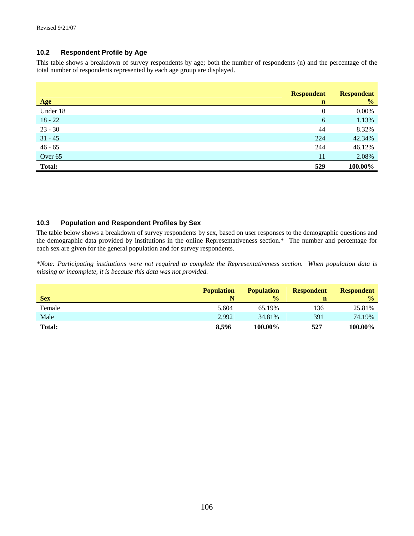# **10.2 Respondent Profile by Age**

This table shows a breakdown of survey respondents by age; both the number of respondents (n) and the percentage of the total number of respondents represented by each age group are displayed.

| <b>Age</b> | <b>Respondent</b><br>$\mathbf n$ | <b>Respondent</b><br>$\frac{0}{0}$ |
|------------|----------------------------------|------------------------------------|
| Under 18   | $\theta$                         | 0.00%                              |
| $18 - 22$  | 6                                | 1.13%                              |
| $23 - 30$  | 44                               | 8.32%                              |
| $31 - 45$  | 224                              | 42.34%                             |
| $46 - 65$  | 244                              | 46.12%                             |
| Over 65    | 11                               | 2.08%                              |
| Total:     | 529                              | 100.00%                            |

## **10.3 Population and Respondent Profiles by Sex**

The table below shows a breakdown of survey respondents by sex, based on user responses to the demographic questions and the demographic data provided by institutions in the online Representativeness section.\* The number and percentage for each sex are given for the general population and for survey respondents.

*\*Note: Participating institutions were not required to complete the Representativeness section. When population data is missing or incomplete, it is because this data was not provided.* 

|               | <b>Population</b> | <b>Population</b> | <b>Respondent</b> | <b>Respondent</b> |
|---------------|-------------------|-------------------|-------------------|-------------------|
| <b>Sex</b>    |                   | $\frac{0}{0}$     | n                 | $\frac{0}{0}$     |
| Female        | 5.604             | 65.19%            | 136               | 25.81%            |
| Male          | 2.992             | 34.81%            | 391               | 74.19%            |
| <b>Total:</b> | 8.596             | 100.00%           | 527               | 100.00%           |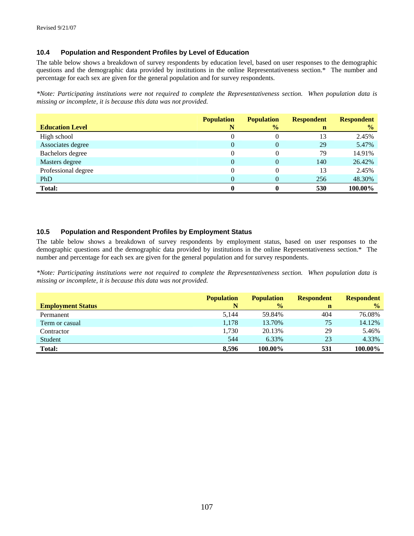# **10.4 Population and Respondent Profiles by Level of Education**

The table below shows a breakdown of survey respondents by education level, based on user responses to the demographic questions and the demographic data provided by institutions in the online Representativeness section.\* The number and percentage for each sex are given for the general population and for survey respondents.

*\*Note: Participating institutions were not required to complete the Representativeness section. When population data is missing or incomplete, it is because this data was not provided.* 

|                        | <b>Population</b> | <b>Population</b> | <b>Respondent</b> | <b>Respondent</b> |
|------------------------|-------------------|-------------------|-------------------|-------------------|
| <b>Education Level</b> |                   | $\frac{0}{0}$     | n                 | $\frac{1}{2}$     |
| High school            |                   |                   | 13                | 2.45%             |
| Associates degree      |                   | $\Omega$          | 29                | 5.47%             |
| Bachelors degree       |                   |                   | 79                | 14.91%            |
| Masters degree         |                   | $\Omega$          | 140               | 26.42%            |
| Professional degree    |                   |                   | 13                | 2.45%             |
| <b>PhD</b>             |                   |                   | 256               | 48.30%            |
| <b>Total:</b>          |                   |                   | 530               | 100.00%           |

#### **10.5 Population and Respondent Profiles by Employment Status**

The table below shows a breakdown of survey respondents by employment status, based on user responses to the demographic questions and the demographic data provided by institutions in the online Representativeness section.\* The number and percentage for each sex are given for the general population and for survey respondents.

*\*Note: Participating institutions were not required to complete the Representativeness section. When population data is missing or incomplete, it is because this data was not provided.* 

|                          | <b>Population</b> | <b>Population</b> | <b>Respondent</b> | <b>Respondent</b> |
|--------------------------|-------------------|-------------------|-------------------|-------------------|
| <b>Employment Status</b> | N                 | $\frac{0}{2}$     | n                 | $\frac{0}{0}$     |
| Permanent                | 5,144             | 59.84%            | 404               | 76.08%            |
| Term or casual           | 1,178             | 13.70%            | 75                | 14.12%            |
| Contractor               | 1,730             | 20.13%            | 29                | 5.46%             |
| Student                  | 544               | 6.33%             | 23                | 4.33%             |
| <b>Total:</b>            | 8.596             | 100.00%           | 531               | 100.00%           |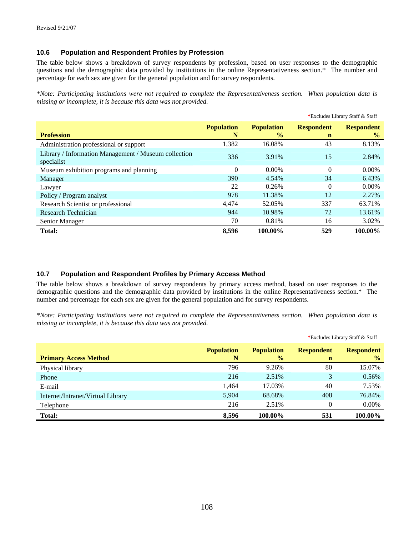## **10.6 Population and Respondent Profiles by Profession**

The table below shows a breakdown of survey respondents by profession, based on user responses to the demographic questions and the demographic data provided by institutions in the online Representativeness section.\* The number and percentage for each sex are given for the general population and for survey respondents.

*\*Note: Participating institutions were not required to complete the Representativeness section. When population data is missing or incomplete, it is because this data was not provided.* 

|                                                                    |                        |                                    |                                  | *Excludes Library Staff & Staff    |
|--------------------------------------------------------------------|------------------------|------------------------------------|----------------------------------|------------------------------------|
| <b>Profession</b>                                                  | <b>Population</b><br>N | <b>Population</b><br>$\frac{0}{0}$ | <b>Respondent</b><br>$\mathbf n$ | <b>Respondent</b><br>$\frac{6}{9}$ |
| Administration professional or support                             | 1,382                  | 16.08%                             | 43                               | 8.13%                              |
| Library / Information Management / Museum collection<br>specialist | 336                    | 3.91%                              | 15                               | 2.84%                              |
| Museum exhibition programs and planning                            | $\theta$               | $0.00\%$                           | 0                                | $0.00\%$                           |
| Manager                                                            | 390                    | 4.54%                              | 34                               | 6.43%                              |
| Lawyer                                                             | 22                     | 0.26%                              | 0                                | $0.00\%$                           |
| Policy / Program analyst                                           | 978                    | 11.38%                             | 12                               | 2.27%                              |
| Research Scientist or professional                                 | 4.474                  | 52.05%                             | 337                              | 63.71%                             |
| Research Technician                                                | 944                    | 10.98%                             | 72                               | 13.61%                             |
| Senior Manager                                                     | 70                     | 0.81%                              | 16                               | 3.02%                              |
| <b>Total:</b>                                                      | 8,596                  | 100.00%                            | 529                              | 100.00%                            |

#### **10.7 Population and Respondent Profiles by Primary Access Method**

The table below shows a breakdown of survey respondents by primary access method, based on user responses to the demographic questions and the demographic data provided by institutions in the online Representativeness section.\* The number and percentage for each sex are given for the general population and for survey respondents.

*\*Note: Participating institutions were not required to complete the Representativeness section. When population data is missing or incomplete, it is because this data was not provided.* 

|                                   |                        |                                    | *Excludes Library Staff & Staff |                                    |  |
|-----------------------------------|------------------------|------------------------------------|---------------------------------|------------------------------------|--|
| <b>Primary Access Method</b>      | <b>Population</b><br>N | <b>Population</b><br>$\frac{1}{2}$ | <b>Respondent</b><br>n          | <b>Respondent</b><br>$\frac{0}{2}$ |  |
| Physical library                  | 796                    | 9.26%                              | 80                              | 15.07%                             |  |
| Phone                             | 216                    | 2.51%                              | 3                               | 0.56%                              |  |
| E-mail                            | 1,464                  | 17.03%                             | 40                              | 7.53%                              |  |
| Internet/Intranet/Virtual Library | 5,904                  | 68.68%                             | 408                             | 76.84%                             |  |
| Telephone                         | 216                    | 2.51%                              | 0                               | 0.00%                              |  |
| Total:                            | 8.596                  | 100.00%                            | 531                             | 100.00%                            |  |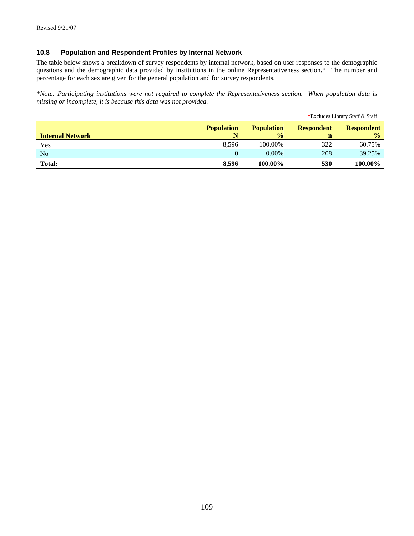## **10.8 Population and Respondent Profiles by Internal Network**

The table below shows a breakdown of survey respondents by internal network, based on user responses to the demographic questions and the demographic data provided by institutions in the online Representativeness section.\* The number and percentage for each sex are given for the general population and for survey respondents.

*\*Note: Participating institutions were not required to complete the Representativeness section. When population data is missing or incomplete, it is because this data was not provided.* 

|                         |                   |                   | *Excludes Library Staff & Staff |                   |  |  |
|-------------------------|-------------------|-------------------|---------------------------------|-------------------|--|--|
|                         | <b>Population</b> | <b>Population</b> | <b>Respondent</b>               | <b>Respondent</b> |  |  |
| <b>Internal Network</b> |                   | $\frac{0}{0}$     | $\mathbf n$                     | $\frac{0}{0}$     |  |  |
| Yes                     | 8,596             | 100.00%           | 322                             | 60.75%            |  |  |
| N <sub>o</sub>          | 0                 | $0.00\%$          | 208                             | 39.25%            |  |  |
| Total:                  | 8.596             | 100.00%           | 530                             | 100.00%           |  |  |

109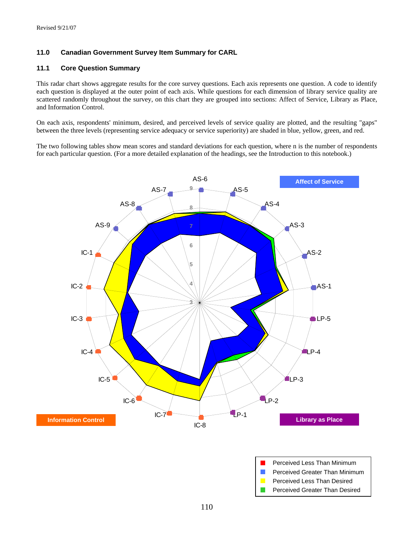## **11.0 Canadian Government Survey Item Summary for CARL**

## **11.1 Core Question Summary**

This radar chart shows aggregate results for the core survey questions. Each axis represents one question. A code to identify each question is displayed at the outer point of each axis. While questions for each dimension of library service quality are scattered randomly throughout the survey, on this chart they are grouped into sections: Affect of Service, Library as Place, and Information Control.

On each axis, respondents' minimum, desired, and perceived levels of service quality are plotted, and the resulting "gaps" between the three levels (representing service adequacy or service superiority) are shaded in blue, yellow, green, and red.

The two following tables show mean scores and standard deviations for each question, where n is the number of respondents for each particular question. (For a more detailed explanation of the headings, see the Introduction to this notebook.)

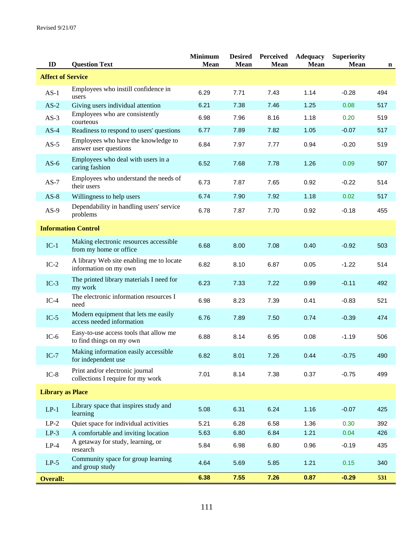| ID                       | <b>Question Text</b>                                                 | <b>Minimum</b><br><b>Mean</b> | <b>Desired</b><br>Mean | <b>Perceived</b><br><b>Mean</b> | <b>Adequacy</b><br><b>Mean</b> | <b>Superiority</b><br><b>Mean</b> | $\mathbf n$ |
|--------------------------|----------------------------------------------------------------------|-------------------------------|------------------------|---------------------------------|--------------------------------|-----------------------------------|-------------|
| <b>Affect of Service</b> |                                                                      |                               |                        |                                 |                                |                                   |             |
| $AS-1$                   | Employees who instill confidence in<br>users                         | 6.29                          | 7.71                   | 7.43                            | 1.14                           | $-0.28$                           | 494         |
| $AS-2$                   | Giving users individual attention                                    | 6.21                          | 7.38                   | 7.46                            | 1.25                           | 0.08                              | 517         |
| $AS-3$                   | Employees who are consistently<br>courteous                          | 6.98                          | 7.96                   | 8.16                            | 1.18                           | 0.20                              | 519         |
| $AS-4$                   | Readiness to respond to users' questions                             | 6.77                          | 7.89                   | 7.82                            | 1.05                           | $-0.07$                           | 517         |
| $AS-5$                   | Employees who have the knowledge to<br>answer user questions         | 6.84                          | 7.97                   | 7.77                            | 0.94                           | $-0.20$                           | 519         |
| $AS-6$                   | Employees who deal with users in a<br>caring fashion                 | 6.52                          | 7.68                   | 7.78                            | 1.26                           | 0.09                              | 507         |
| $AS-7$                   | Employees who understand the needs of<br>their users                 | 6.73                          | 7.87                   | 7.65                            | 0.92                           | $-0.22$                           | 514         |
| $AS-8$                   | Willingness to help users                                            | 6.74                          | 7.90                   | 7.92                            | 1.18                           | 0.02                              | 517         |
| $AS-9$                   | Dependability in handling users' service<br>problems                 | 6.78                          | 7.87                   | 7.70                            | 0.92                           | $-0.18$                           | 455         |
|                          | <b>Information Control</b>                                           |                               |                        |                                 |                                |                                   |             |
| $IC-1$                   | Making electronic resources accessible<br>from my home or office     | 6.68                          | 8.00                   | 7.08                            | 0.40                           | $-0.92$                           | 503         |
| $IC-2$                   | A library Web site enabling me to locate<br>information on my own    | 6.82                          | 8.10                   | 6.87                            | 0.05                           | $-1.22$                           | 514         |
| $IC-3$                   | The printed library materials I need for<br>my work                  | 6.23                          | 7.33                   | 7.22                            | 0.99                           | $-0.11$                           | 492         |
| $IC-4$                   | The electronic information resources I<br>need                       | 6.98                          | 8.23                   | 7.39                            | 0.41                           | $-0.83$                           | 521         |
| $IC-5$                   | Modern equipment that lets me easily<br>access needed information    | 6.76                          | 7.89                   | 7.50                            | 0.74                           | $-0.39$                           | 474         |
| $IC-6$                   | Easy-to-use access tools that allow me<br>to find things on my own   | 6.88                          | 8.14                   | 6.95                            | 0.08                           | $-1.19$                           | 506         |
| $IC-7$                   | Making information easily accessible<br>for independent use          | 6.82                          | 8.01                   | 7.26                            | 0.44                           | $-0.75$                           | 490         |
| $IC-8$                   | Print and/or electronic journal<br>collections I require for my work | 7.01                          | 8.14                   | 7.38                            | 0.37                           | $-0.75$                           | 499         |
| <b>Library as Place</b>  |                                                                      |                               |                        |                                 |                                |                                   |             |
| $LP-1$                   | Library space that inspires study and<br>learning                    | 5.08                          | 6.31                   | 6.24                            | 1.16                           | $-0.07$                           | 425         |
| $LP-2$                   | Quiet space for individual activities                                | 5.21                          | 6.28                   | 6.58                            | 1.36                           | 0.30                              | 392         |
| $LP-3$                   | A comfortable and inviting location                                  | 5.63                          | 6.80                   | 6.84                            | 1.21                           | 0.04                              | 426         |
| $LP-4$                   | A getaway for study, learning, or<br>research                        | 5.84                          | 6.98                   | 6.80                            | 0.96                           | $-0.19$                           | 435         |
| $LP-5$                   | Community space for group learning<br>and group study                | 4.64                          | 5.69                   | 5.85                            | 1.21                           | 0.15                              | 340         |
| <b>Overall:</b>          |                                                                      | 6.38                          | 7.55                   | 7.26                            | 0.87                           | $-0.29$                           | 531         |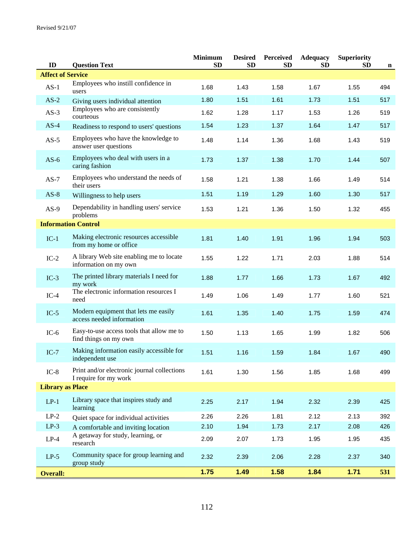| ID                       | <b>Question Text</b>                                                 | <b>Minimum</b><br><b>SD</b> | <b>Desired</b><br><b>SD</b> | Perceived<br><b>SD</b> | <b>Adequacy</b><br><b>SD</b> | <b>Superiority</b><br><b>SD</b> | $\mathbf n$ |
|--------------------------|----------------------------------------------------------------------|-----------------------------|-----------------------------|------------------------|------------------------------|---------------------------------|-------------|
| <b>Affect of Service</b> |                                                                      |                             |                             |                        |                              |                                 |             |
| $AS-1$                   | Employees who instill confidence in<br>users                         | 1.68                        | 1.43                        | 1.58                   | 1.67                         | 1.55                            | 494         |
| $AS-2$                   | Giving users individual attention                                    | 1.80                        | 1.51                        | 1.61                   | 1.73                         | 1.51                            | 517         |
| $AS-3$                   | Employees who are consistently<br>courteous                          | 1.62                        | 1.28                        | 1.17                   | 1.53                         | 1.26                            | 519         |
| $AS-4$                   | Readiness to respond to users' questions                             | 1.54                        | 1.23                        | 1.37                   | 1.64                         | 1.47                            | 517         |
| $AS-5$                   | Employees who have the knowledge to<br>answer user questions         | 1.48                        | 1.14                        | 1.36                   | 1.68                         | 1.43                            | 519         |
| $AS-6$                   | Employees who deal with users in a<br>caring fashion                 | 1.73                        | 1.37                        | 1.38                   | 1.70                         | 1.44                            | 507         |
| $AS-7$                   | Employees who understand the needs of<br>their users                 | 1.58                        | 1.21                        | 1.38                   | 1.66                         | 1.49                            | 514         |
| $AS-8$                   | Willingness to help users                                            | 1.51                        | 1.19                        | 1.29                   | 1.60                         | 1.30                            | 517         |
| $AS-9$                   | Dependability in handling users' service<br>problems                 | 1.53                        | 1.21                        | 1.36                   | 1.50                         | 1.32                            | 455         |
|                          | <b>Information Control</b>                                           |                             |                             |                        |                              |                                 |             |
| $IC-1$                   | Making electronic resources accessible<br>from my home or office     | 1.81                        | 1.40                        | 1.91                   | 1.96                         | 1.94                            | 503         |
| $IC-2$                   | A library Web site enabling me to locate<br>information on my own    | 1.55                        | 1.22                        | 1.71                   | 2.03                         | 1.88                            | 514         |
| $IC-3$                   | The printed library materials I need for<br>my work                  | 1.88                        | 1.77                        | 1.66                   | 1.73                         | 1.67                            | 492         |
| $IC-4$                   | The electronic information resources I<br>need                       | 1.49                        | 1.06                        | 1.49                   | 1.77                         | 1.60                            | 521         |
| $IC-5$                   | Modern equipment that lets me easily<br>access needed information    | 1.61                        | 1.35                        | 1.40                   | 1.75                         | 1.59                            | 474         |
| $IC-6$                   | Easy-to-use access tools that allow me to<br>find things on my own   | 1.50                        | 1.13                        | 1.65                   | 1.99                         | 1.82                            | 506         |
| $IC-7$                   | Making information easily accessible for<br>independent use          | 1.51                        | 1.16                        | 1.59                   | 1.84                         | 1.67                            | 490         |
| $IC-8$                   | Print and/or electronic journal collections<br>I require for my work | 1.61                        | 1.30                        | 1.56                   | 1.85                         | 1.68                            | 499         |
| <b>Library as Place</b>  |                                                                      |                             |                             |                        |                              |                                 |             |
| $LP-1$                   | Library space that inspires study and<br>learning                    | 2.25                        | 2.17                        | 1.94                   | 2.32                         | 2.39                            | 425         |
| $LP-2$                   | Quiet space for individual activities                                | 2.26                        | 2.26                        | 1.81                   | 2.12                         | 2.13                            | 392         |
| $LP-3$                   | A comfortable and inviting location                                  | 2.10                        | 1.94                        | 1.73                   | 2.17                         | 2.08                            | 426         |
| $LP-4$                   | A getaway for study, learning, or<br>research                        | 2.09                        | 2.07                        | 1.73                   | 1.95                         | 1.95                            | 435         |
| $LP-5$                   | Community space for group learning and<br>group study                | 2.32                        | 2.39                        | 2.06                   | 2.28                         | 2.37                            | 340         |
| <b>Overall:</b>          |                                                                      | 1.75                        | 1.49                        | 1.58                   | 1.84                         | 1.71                            | 531         |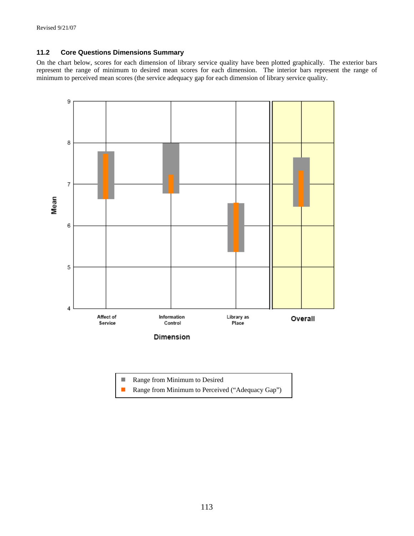## **11.2 Core Questions Dimensions Summary**

On the chart below, scores for each dimension of library service quality have been plotted graphically. The exterior bars represent the range of minimum to desired mean scores for each dimension. The interior bars represent the range of minimum to perceived mean scores (the service adequacy gap for each dimension of library service quality.



- **Range from Minimum to Desired**
- **Range from Minimum to Perceived ("Adequacy Gap")**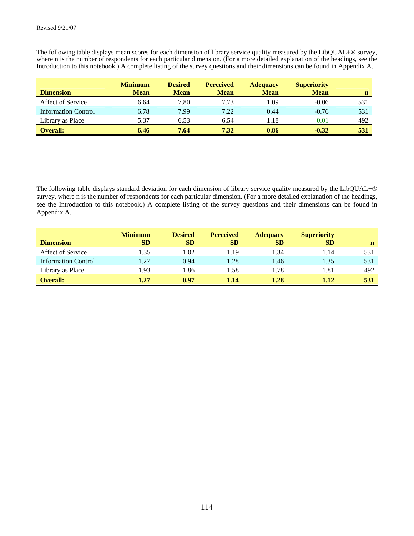The following table displays mean scores for each dimension of library service quality measured by the LibQUAL+® survey, where n is the number of respondents for each particular dimension. (For a more detailed explanation of the headings, see the Introduction to this notebook.) A complete listing of the survey questions and their dimensions can be found in Appendix A.

|                     | <b>Minimum</b> | <b>Desired</b> | <b>Perceived</b> | <b>Adequacy</b> | <b>Superiority</b> |     |
|---------------------|----------------|----------------|------------------|-----------------|--------------------|-----|
| <b>Dimension</b>    | <b>Mean</b>    | <b>Mean</b>    | <b>Mean</b>      | <b>Mean</b>     | <b>Mean</b>        |     |
| Affect of Service   | 6.64           | 7.80           | 7.73             | 1.09            | $-0.06$            | 531 |
| Information Control | 6.78           | 7.99           | 7.22             | 0.44            | $-0.76$            | 531 |
| Library as Place    | 5.37           | 6.53           | 6.54             | 1.18            | 0.01               | 492 |
| <b>Overall:</b>     | 6.46           | 7.64           | 7.32             | 0.86            | $-0.32$            | 531 |

The following table displays standard deviation for each dimension of library service quality measured by the LibQUAL+® survey, where n is the number of respondents for each particular dimension. (For a more detailed explanation of the headings, see the Introduction to this notebook.) A complete listing of the survey questions and their dimensions can be found in Appendix A.

|                            | <b>Minimum</b> | <b>Desired</b> | <b>Perceived</b> | <b>Adequacy</b> | <b>Superiority</b> |     |
|----------------------------|----------------|----------------|------------------|-----------------|--------------------|-----|
| <b>Dimension</b>           | <b>SD</b>      | <b>SD</b>      | <b>SD</b>        | <b>SD</b>       | <b>SD</b>          | n   |
| Affect of Service          | 1.35           | 1.02           | 1.19             | 1.34            | 1.14               | 531 |
| <b>Information Control</b> | .27            | 0.94           | .28              | 1.46            | 1.35               | 531 |
| Library as Place           | l.93           | 1.86           | 1.58             | 1.78            | 1.81               | 492 |
| <b>Overall:</b>            | 1.27           | 0.97           | 1.14             | 1.28            | 1.12               | 531 |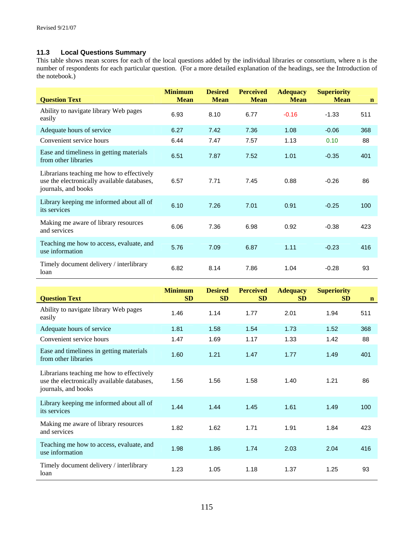## **11.3 Local Questions Summary**

This table shows mean scores for each of the local questions added by the individual libraries or consortium, where n is the number of respondents for each particular question. (For a more detailed explanation of the headings, see the Introduction of the notebook.)

| <b>Question Text</b>                                                                                            | <b>Minimum</b><br><b>Mean</b> | <b>Desired</b><br><b>Mean</b> | <b>Perceived</b><br><b>Mean</b> | <b>Adequacy</b><br><b>Mean</b> | <b>Superiority</b><br><b>Mean</b> | $\mathbf{n}$ |
|-----------------------------------------------------------------------------------------------------------------|-------------------------------|-------------------------------|---------------------------------|--------------------------------|-----------------------------------|--------------|
| Ability to navigate library Web pages<br>easily                                                                 | 6.93                          | 8.10                          | 6.77                            | $-0.16$                        | $-1.33$                           | 511          |
| Adequate hours of service                                                                                       | 6.27                          | 7.42                          | 7.36                            | 1.08                           | $-0.06$                           | 368          |
| Convenient service hours                                                                                        | 6.44                          | 7.47                          | 7.57                            | 1.13                           | 0.10                              | 88           |
| Ease and timeliness in getting materials<br>from other libraries                                                | 6.51                          | 7.87                          | 7.52                            | 1.01                           | $-0.35$                           | 401          |
| Librarians teaching me how to effectively<br>use the electronically available databases,<br>journals, and books | 6.57                          | 7.71                          | 7.45                            | 0.88                           | $-0.26$                           | 86           |
| Library keeping me informed about all of<br>its services                                                        | 6.10                          | 7.26                          | 7.01                            | 0.91                           | $-0.25$                           | 100          |
| Making me aware of library resources<br>and services                                                            | 6.06                          | 7.36                          | 6.98                            | 0.92                           | $-0.38$                           | 423          |
| Teaching me how to access, evaluate, and<br>use information                                                     | 5.76                          | 7.09                          | 6.87                            | 1.11                           | $-0.23$                           | 416          |
| Timely document delivery / interlibrary<br>loan                                                                 | 6.82                          | 8.14                          | 7.86                            | 1.04                           | $-0.28$                           | 93           |

| <b>Question Text</b>                                                                                            | <b>Minimum</b><br><b>SD</b> | <b>Desired</b><br><b>SD</b> | <b>Perceived</b><br><b>SD</b> | <b>Adequacy</b><br><b>SD</b> | <b>Superiority</b><br><b>SD</b> | $\mathbf n$ |
|-----------------------------------------------------------------------------------------------------------------|-----------------------------|-----------------------------|-------------------------------|------------------------------|---------------------------------|-------------|
| Ability to navigate library Web pages<br>easily                                                                 | 1.46                        | 1.14                        | 1.77                          | 2.01                         | 1.94                            | 511         |
| Adequate hours of service                                                                                       | 1.81                        | 1.58                        | 1.54                          | 1.73                         | 1.52                            | 368         |
| Convenient service hours                                                                                        | 1.47                        | 1.69                        | 1.17                          | 1.33                         | 1.42                            | 88          |
| Ease and timeliness in getting materials<br>from other libraries                                                | 1.60                        | 1.21                        | 1.47                          | 1.77                         | 1.49                            | 401         |
| Librarians teaching me how to effectively<br>use the electronically available databases,<br>journals, and books | 1.56                        | 1.56                        | 1.58                          | 1.40                         | 1.21                            | 86          |
| Library keeping me informed about all of<br>its services                                                        | 1.44                        | 1.44                        | 1.45                          | 1.61                         | 1.49                            | 100         |
| Making me aware of library resources<br>and services                                                            | 1.82                        | 1.62                        | 1.71                          | 1.91                         | 1.84                            | 423         |
| Teaching me how to access, evaluate, and<br>use information                                                     | 1.98                        | 1.86                        | 1.74                          | 2.03                         | 2.04                            | 416         |
| Timely document delivery / interlibrary<br>loan                                                                 | 1.23                        | 1.05                        | 1.18                          | 1.37                         | 1.25                            | 93          |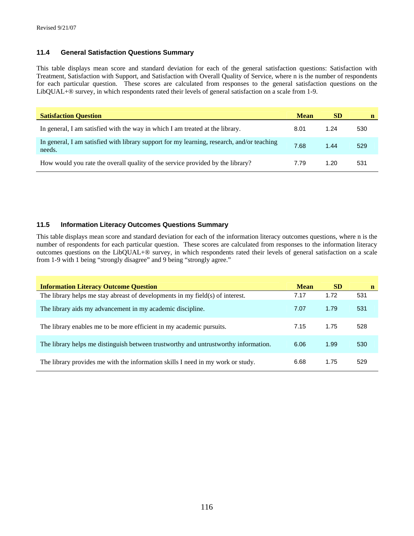## **11.4 General Satisfaction Questions Summary**

This table displays mean score and standard deviation for each of the general satisfaction questions: Satisfaction with Treatment, Satisfaction with Support, and Satisfaction with Overall Quality of Service, where n is the number of respondents for each particular question. These scores are calculated from responses to the general satisfaction questions on the LibQUAL+® survey, in which respondents rated their levels of general satisfaction on a scale from 1-9.

| <b>Satisfaction Question</b>                                                                         | <b>Mean</b> | <b>SD</b> |     |
|------------------------------------------------------------------------------------------------------|-------------|-----------|-----|
| In general, I am satisfied with the way in which I am treated at the library.                        | 8.01        | 1.24      | 530 |
| In general, I am satisfied with library support for my learning, research, and/or teaching<br>needs. | 7.68        | 1.44      | 529 |
| How would you rate the overall quality of the service provided by the library?                       | 7.79        | 1.20      | 531 |

### **11.5 Information Literacy Outcomes Questions Summary**

This table displays mean score and standard deviation for each of the information literacy outcomes questions, where n is the number of respondents for each particular question. These scores are calculated from responses to the information literacy outcomes questions on the LibQUAL+® survey, in which respondents rated their levels of general satisfaction on a scale from 1-9 with 1 being "strongly disagree" and 9 being "strongly agree."

| <b>Information Literacy Outcome Ouestion</b>                                        | <b>Mean</b> | <b>SD</b> | $\mathbf n$ |
|-------------------------------------------------------------------------------------|-------------|-----------|-------------|
| The library helps me stay abreast of developments in my field(s) of interest.       | 7.17        | 1.72      | 531         |
| The library aids my advancement in my academic discipline.                          | 7.07        | 1.79      | 531         |
| The library enables me to be more efficient in my academic pursuits.                | 7.15        | 1.75      | 528         |
| The library helps me distinguish between trustworthy and untrustworthy information. | 6.06        | 1.99      | 530         |
| The library provides me with the information skills I need in my work or study.     | 6.68        | 1.75      | 529         |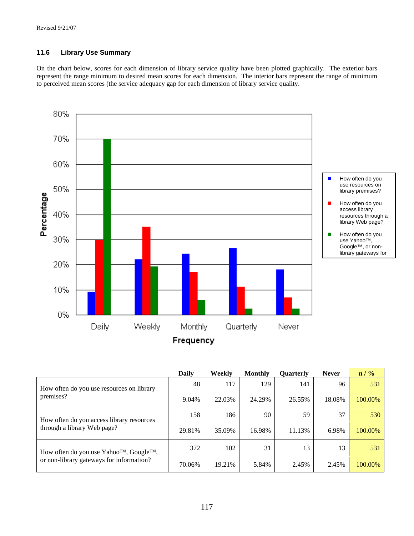# **11.6 Library Use Summary**

On the chart below, scores for each dimension of library service quality have been plotted graphically. The exterior bars represent the range minimum to desired mean scores for each dimension. The interior bars represent the range of minimum to perceived mean scores (the service adequacy gap for each dimension of library service quality.



|                                                                                   | <b>Daily</b> | Weekly | <b>Monthly</b> | <b>Ouarterly</b> | <b>Never</b> | n / %   |
|-----------------------------------------------------------------------------------|--------------|--------|----------------|------------------|--------------|---------|
| How often do you use resources on library<br>premises?                            | 48           | 117    | 129            | 141              | 96           | 531     |
|                                                                                   | 9.04%        | 22.03% | 24.29%         | 26.55%           | 18.08%       | 100.00% |
| How often do you access library resources<br>through a library Web page?          | 158          | 186    | 90             | 59               | 37           | 530     |
|                                                                                   | 29.81%       | 35.09% | 16.98%         | 11.13%           | 6.98%        | 100.00% |
| How often do you use Yahoo™, Google™,<br>or non-library gateways for information? | 372          | 102    | 31             | 13               | 13           | 531     |
|                                                                                   | 70.06%       | 19.21% | 5.84%          | 2.45%            | 2.45%        | 100.00% |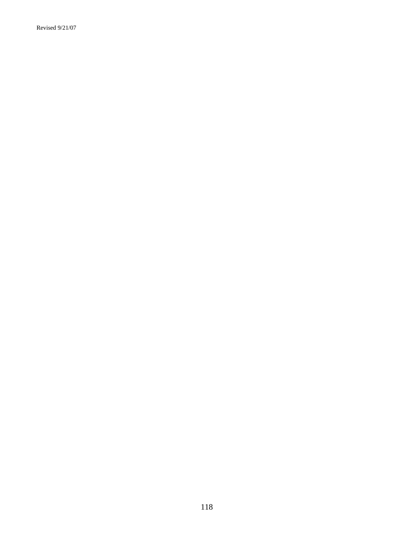Revised 9/21/07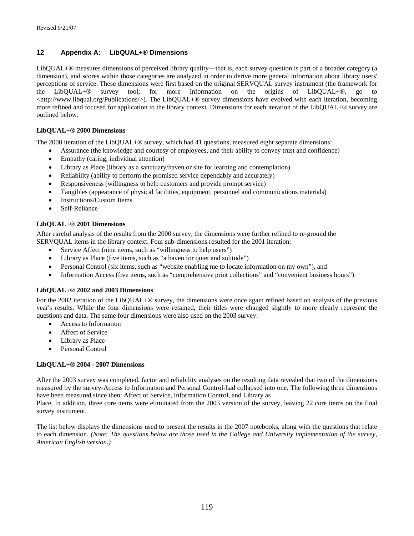## **12 Appendix A: LibQUAL+® Dimensions**

LibQUAL+® measures dimensions of perceived library quality---that is, each survey question is part of a broader category (a dimension), and scores within those categories are analyzed in order to derive more general information about library users' perceptions of service. These dimensions were first based on the original SERVQUAL survey instrument (the framework for the LibQUAL+® survey tool; for more information on the origins of LibQUAL+®, go to <http://www.libqual.org/Publications/>). The LibQUAL+® survey dimensions have evolved with each iteration, becoming more refined and focused for application to the library context. Dimensions for each iteration of the LibQUAL+® survey are outlined below.

### **LibQUAL+® 2000 Dimensions**

The 2000 iteration of the LibQUAL+® survey, which had 41 questions, measured eight separate dimensions:

- Assurance (the knowledge and courtesy of employees, and their ability to convey trust and confidence)
- Empathy (caring, individual attention)
- Library as Place (library as a sanctuary/haven or site for learning and contemplation)
- Reliability (ability to perform the promised service dependably and accurately)
- Responsiveness (willingness to help customers and provide prompt service)
- Tangibles (appearance of physical facilities, equipment, personnel and communications materials)
- Instructions/Custom Items
- Self-Reliance

### **LibQUAL+® 2001 Dimensions**

After careful analysis of the results from the 2000 survey, the dimensions were further refined to re-ground the SERVQUAL items in the library context. Four sub-dimensions resulted for the 2001 iteration:

- Service Affect (nine items, such as "willingness to help users")
- Library as Place (five items, such as "a haven for quiet and solitude")
- Personal Control (six items, such as "website enabling me to locate information on my own"), and
- Information Access (five items, such as "comprehensive print collections" and "convenient business hours")

### **LibQUAL+® 2002 and 2003 Dimensions**

For the 2002 iteration of the LibQUAL+® survey, the dimensions were once again refined based on analysis of the previous year's results. While the four dimensions were retained, their titles were changed slightly to more clearly represent the questions and data. The same four dimensions were also used on the 2003 survey:

- Access to Information
- Affect of Service
- Library as Place
- Personal Control

### **LibQUAL+® 2004 - 2007 Dimensions**

After the 2003 survey was completed, factor and reliability analyses on the resulting data revealed that two of the dimensions measured by the survey-Access to Information and Personal Control-had collapsed into one. The following three dimensions have been measured since then: Affect of Service, Information Control, and Library as

Place. In addition, three core items were eliminated from the 2003 version of the survey, leaving 22 core items on the final survey instrument.

The list below displays the dimensions used to present the results in the 2007 notebooks, along with the questions that relate to each dimension. *(Note: The questions below are those used in the College and University implementation of the survey, American English version.)*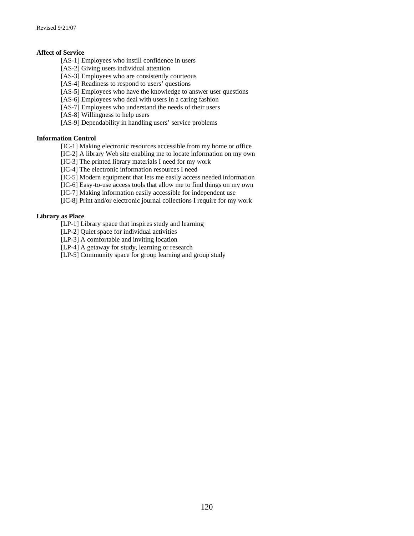### **Affect of Service**

[AS-1] Employees who instill confidence in users

[AS-2] Giving users individual attention

[AS-3] Employees who are consistently courteous

[AS-4] Readiness to respond to users' questions

[AS-5] Employees who have the knowledge to answer user questions

[AS-6] Employees who deal with users in a caring fashion

[AS-7] Employees who understand the needs of their users

[AS-8] Willingness to help users

[AS-9] Dependability in handling users' service problems

### **Information Control**

[IC-1] Making electronic resources accessible from my home or office

[IC-2] A library Web site enabling me to locate information on my own

[IC-3] The printed library materials I need for my work

[IC-4] The electronic information resources I need

[IC-5] Modern equipment that lets me easily access needed information

[IC-6] Easy-to-use access tools that allow me to find things on my own

[IC-7] Making information easily accessible for independent use

[IC-8] Print and/or electronic journal collections I require for my work

### **Library as Place**

[LP-1] Library space that inspires study and learning

[LP-2] Quiet space for individual activities

[LP-3] A comfortable and inviting location

[LP-4] A getaway for study, learning or research

[LP-5] Community space for group learning and group study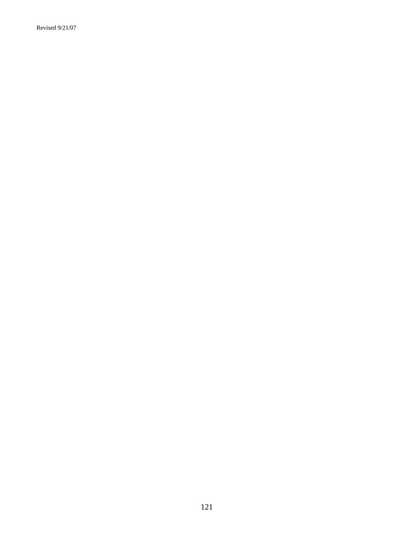Revised 9/21/07